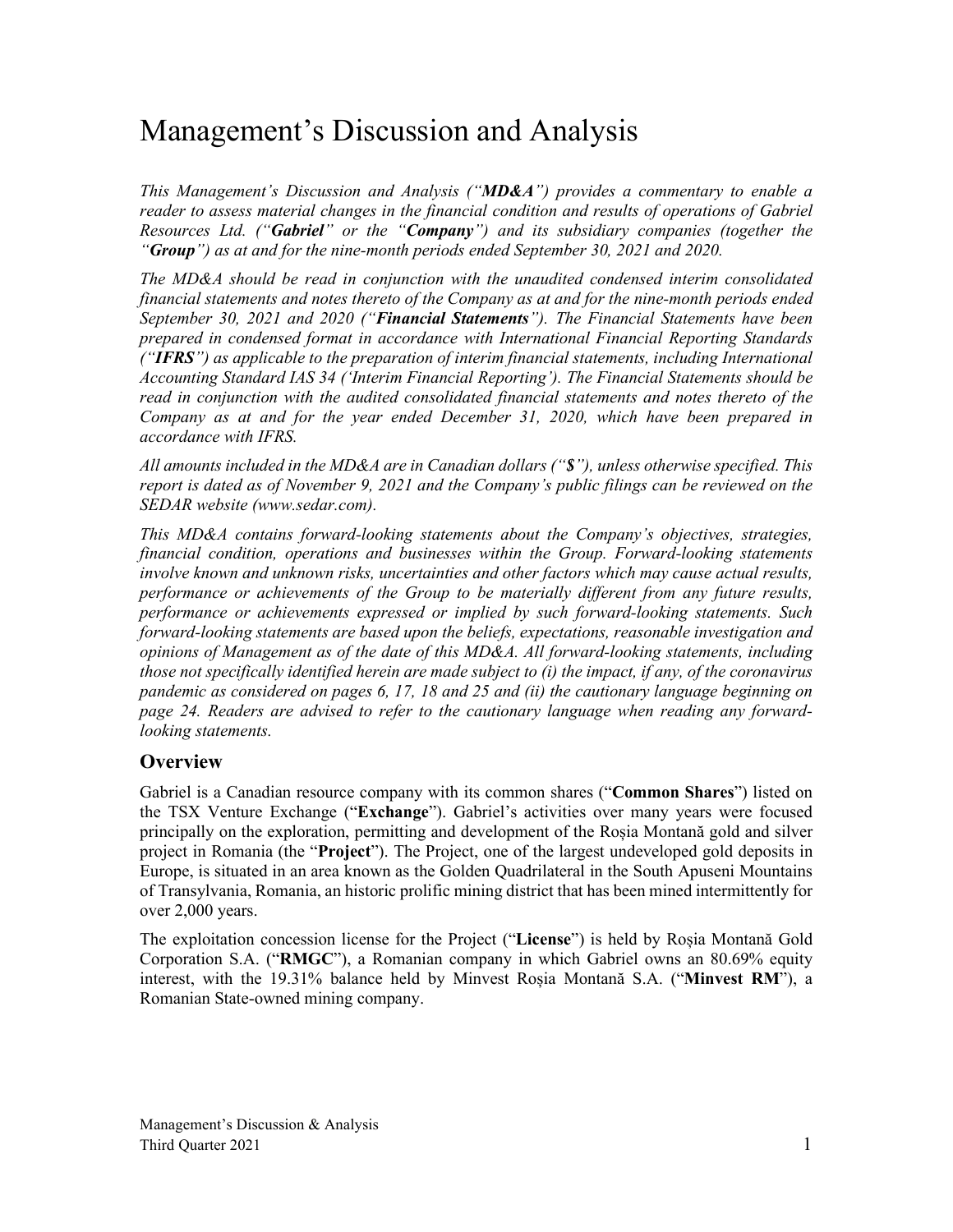# Management's Discussion and Analysis

*This Management's Discussion and Analysis ("MD&A") provides a commentary to enable a reader to assess material changes in the financial condition and results of operations of Gabriel Resources Ltd. ("Gabriel" or the "Company") and its subsidiary companies (together the "Group") as at and for the nine-month periods ended September 30, 2021 and 2020.*

*The MD&A should be read in conjunction with the unaudited condensed interim consolidated financial statements and notes thereto of the Company as at and for the nine-month periods ended September 30, 2021 and 2020 ("Financial Statements"). The Financial Statements have been prepared in condensed format in accordance with International Financial Reporting Standards ("IFRS") as applicable to the preparation of interim financial statements, including International Accounting Standard IAS 34 ('Interim Financial Reporting'). The Financial Statements should be read in conjunction with the audited consolidated financial statements and notes thereto of the Company as at and for the year ended December 31, 2020, which have been prepared in accordance with IFRS.*

*All amounts included in the MD&A are in Canadian dollars ("\$"), unless otherwise specified. This report is dated as of November 9, 2021 and the Company's public filings can be reviewed on the SEDAR website (www.sedar.com).*

*This MD&A contains forward-looking statements about the Company's objectives, strategies, financial condition, operations and businesses within the Group. Forward-looking statements involve known and unknown risks, uncertainties and other factors which may cause actual results, performance or achievements of the Group to be materially different from any future results, performance or achievements expressed or implied by such forward-looking statements. Such forward-looking statements are based upon the beliefs, expectations, reasonable investigation and opinions of Management as of the date of this MD&A. All forward-looking statements, including those not specifically identified herein are made subject to (i) the impact, if any, of the coronavirus pandemic as considered on pages 6, 17, 18 and 25 and (ii) the cautionary language beginning on page 24. Readers are advised to refer to the cautionary language when reading any forwardlooking statements.*

# **Overview**

Gabriel is a Canadian resource company with its common shares ("**Common Shares**") listed on the TSX Venture Exchange ("**Exchange**"). Gabriel's activities over many years were focused principally on the exploration, permitting and development of the Roșia Montană gold and silver project in Romania (the "**Project**"). The Project, one of the largest undeveloped gold deposits in Europe, is situated in an area known as the Golden Quadrilateral in the South Apuseni Mountains of Transylvania, Romania, an historic prolific mining district that has been mined intermittently for over 2,000 years.

The exploitation concession license for the Project ("**License**") is held by Roșia Montană Gold Corporation S.A. ("**RMGC**"), a Romanian company in which Gabriel owns an 80.69% equity interest, with the 19.31% balance held by Minvest Roșia Montană S.A. ("**Minvest RM**"), a Romanian State-owned mining company.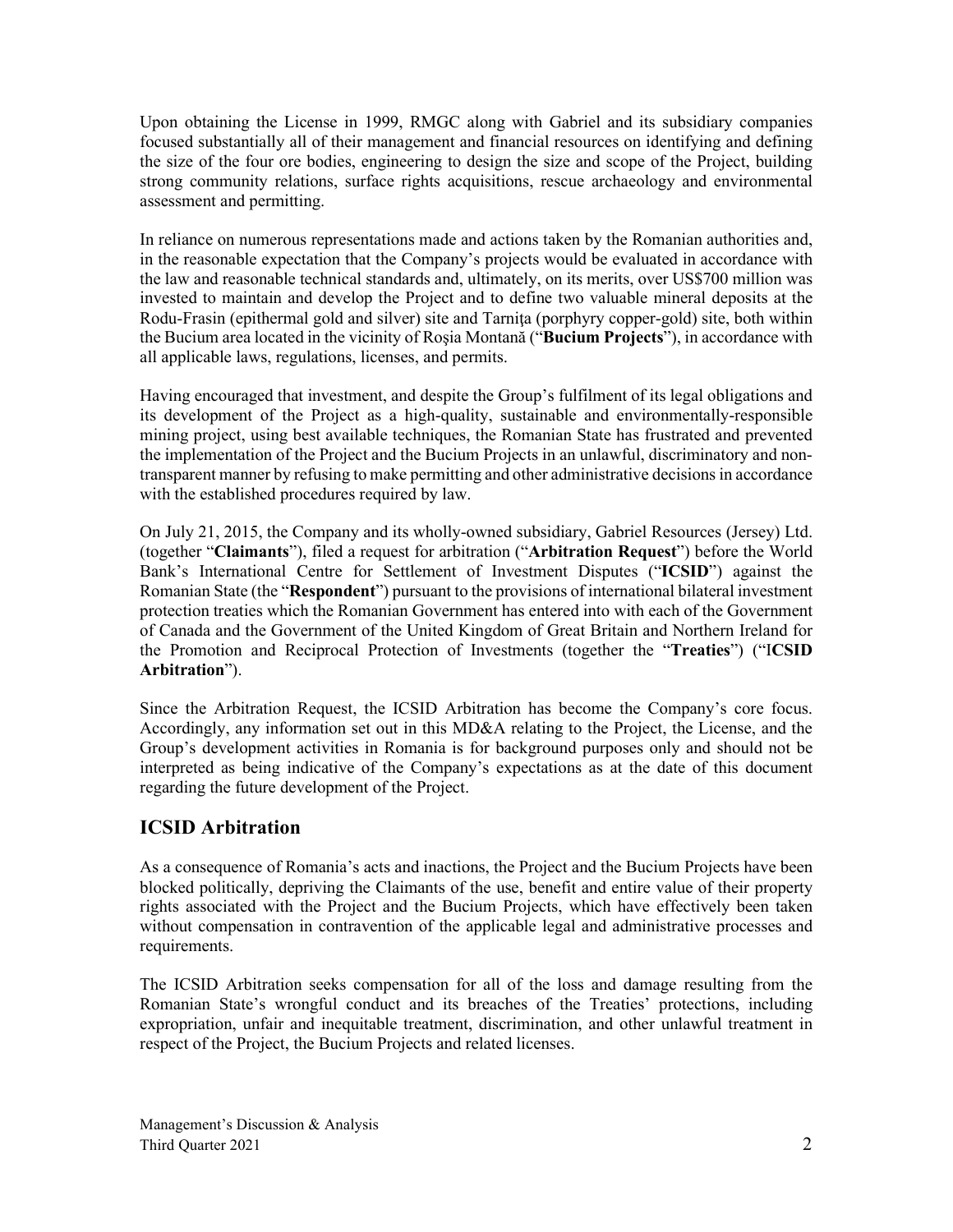Upon obtaining the License in 1999, RMGC along with Gabriel and its subsidiary companies focused substantially all of their management and financial resources on identifying and defining the size of the four ore bodies, engineering to design the size and scope of the Project, building strong community relations, surface rights acquisitions, rescue archaeology and environmental assessment and permitting.

In reliance on numerous representations made and actions taken by the Romanian authorities and, in the reasonable expectation that the Company's projects would be evaluated in accordance with the law and reasonable technical standards and, ultimately, on its merits, over US\$700 million was invested to maintain and develop the Project and to define two valuable mineral deposits at the Rodu-Frasin (epithermal gold and silver) site and Tarnita (porphyry copper-gold) site, both within the Bucium area located in the vicinity of Roşia Montană ("**Bucium Projects**"), in accordance with all applicable laws, regulations, licenses, and permits.

Having encouraged that investment, and despite the Group's fulfilment of its legal obligations and its development of the Project as a high-quality, sustainable and environmentally-responsible mining project, using best available techniques, the Romanian State has frustrated and prevented the implementation of the Project and the Bucium Projects in an unlawful, discriminatory and nontransparent manner by refusing to make permitting and other administrative decisions in accordance with the established procedures required by law.

On July 21, 2015, the Company and its wholly-owned subsidiary, Gabriel Resources (Jersey) Ltd. (together "**Claimants**"), filed a request for arbitration ("**Arbitration Request**") before the World Bank's International Centre for Settlement of Investment Disputes ("**ICSID**") against the Romanian State (the "**Respondent**") pursuant to the provisions of international bilateral investment protection treaties which the Romanian Government has entered into with each of the Government of Canada and the Government of the United Kingdom of Great Britain and Northern Ireland for the Promotion and Reciprocal Protection of Investments (together the "**Treaties**") ("I**CSID Arbitration**").

Since the Arbitration Request, the ICSID Arbitration has become the Company's core focus. Accordingly, any information set out in this MD&A relating to the Project, the License, and the Group's development activities in Romania is for background purposes only and should not be interpreted as being indicative of the Company's expectations as at the date of this document regarding the future development of the Project.

# **ICSID Arbitration**

As a consequence of Romania's acts and inactions, the Project and the Bucium Projects have been blocked politically, depriving the Claimants of the use, benefit and entire value of their property rights associated with the Project and the Bucium Projects, which have effectively been taken without compensation in contravention of the applicable legal and administrative processes and requirements.

The ICSID Arbitration seeks compensation for all of the loss and damage resulting from the Romanian State's wrongful conduct and its breaches of the Treaties' protections, including expropriation, unfair and inequitable treatment, discrimination, and other unlawful treatment in respect of the Project, the Bucium Projects and related licenses.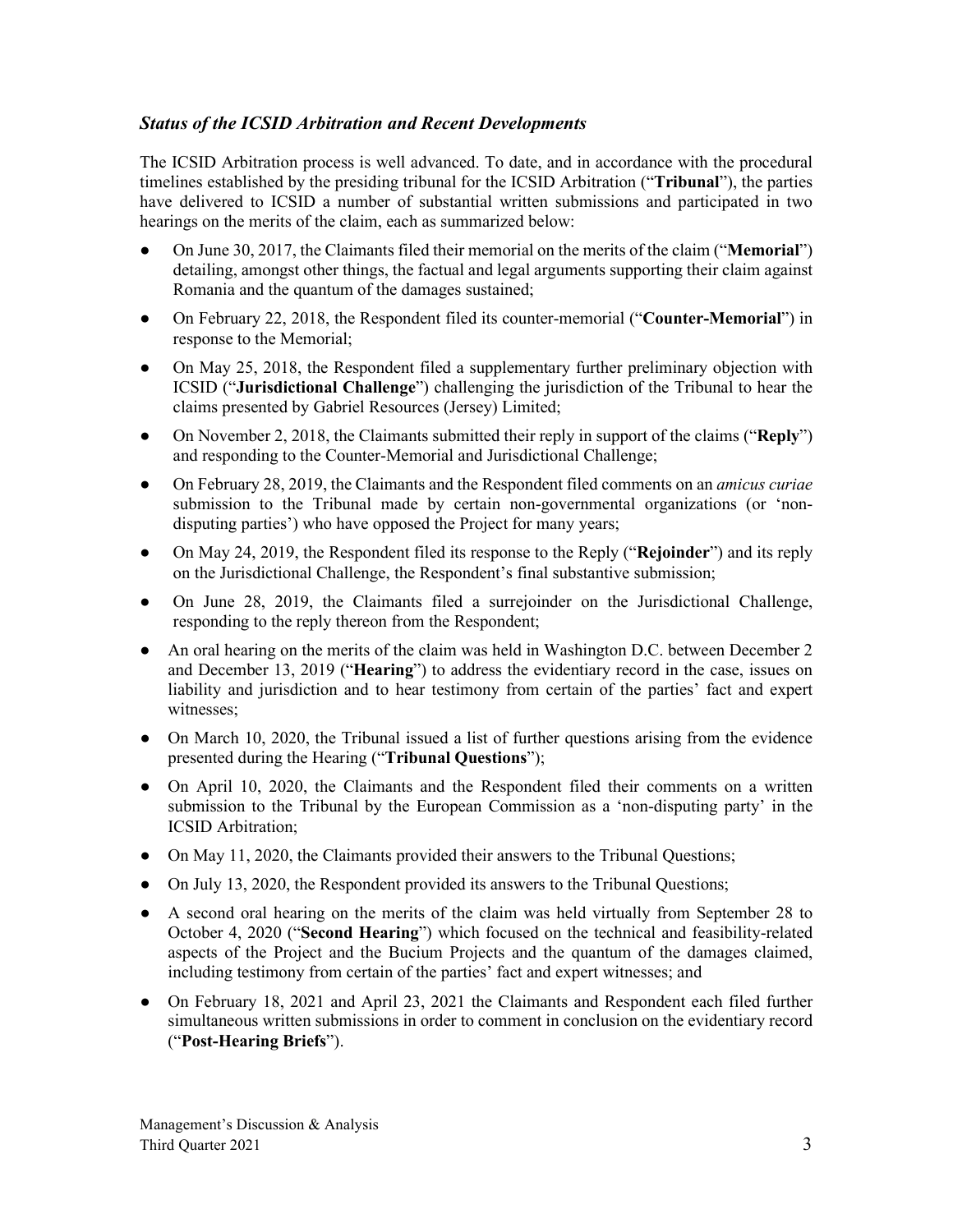# *Status of the ICSID Arbitration and Recent Developments*

The ICSID Arbitration process is well advanced. To date, and in accordance with the procedural timelines established by the presiding tribunal for the ICSID Arbitration ("**Tribunal**"), the parties have delivered to ICSID a number of substantial written submissions and participated in two hearings on the merits of the claim, each as summarized below:

- On June 30, 2017, the Claimants filed their memorial on the merits of the claim ("**Memorial**") detailing, amongst other things, the factual and legal arguments supporting their claim against Romania and the quantum of the damages sustained;
- On February 22, 2018, the Respondent filed its counter-memorial ("**Counter-Memorial**") in response to the Memorial;
- On May 25, 2018, the Respondent filed a supplementary further preliminary objection with ICSID ("**Jurisdictional Challenge**") challenging the jurisdiction of the Tribunal to hear the claims presented by Gabriel Resources (Jersey) Limited;
- On November 2, 2018, the Claimants submitted their reply in support of the claims ("**Reply**") and responding to the Counter-Memorial and Jurisdictional Challenge;
- On February 28, 2019, the Claimants and the Respondent filed comments on an *amicus curiae* submission to the Tribunal made by certain non-governmental organizations (or 'nondisputing parties') who have opposed the Project for many years;
- On May 24, 2019, the Respondent filed its response to the Reply ("**Rejoinder**") and its reply on the Jurisdictional Challenge, the Respondent's final substantive submission;
- On June 28, 2019, the Claimants filed a surrejoinder on the Jurisdictional Challenge, responding to the reply thereon from the Respondent;
- An oral hearing on the merits of the claim was held in Washington D.C. between December 2 and December 13, 2019 ("**Hearing**") to address the evidentiary record in the case, issues on liability and jurisdiction and to hear testimony from certain of the parties' fact and expert witnesses;
- On March 10, 2020, the Tribunal issued a list of further questions arising from the evidence presented during the Hearing ("**Tribunal Questions**");
- On April 10, 2020, the Claimants and the Respondent filed their comments on a written submission to the Tribunal by the European Commission as a 'non-disputing party' in the ICSID Arbitration;
- On May 11, 2020, the Claimants provided their answers to the Tribunal Questions;
- On July 13, 2020, the Respondent provided its answers to the Tribunal Questions;
- A second oral hearing on the merits of the claim was held virtually from September 28 to October 4, 2020 ("**Second Hearing**") which focused on the technical and feasibility-related aspects of the Project and the Bucium Projects and the quantum of the damages claimed, including testimony from certain of the parties' fact and expert witnesses; and
- On February 18, 2021 and April 23, 2021 the Claimants and Respondent each filed further simultaneous written submissions in order to comment in conclusion on the evidentiary record ("**Post-Hearing Briefs**").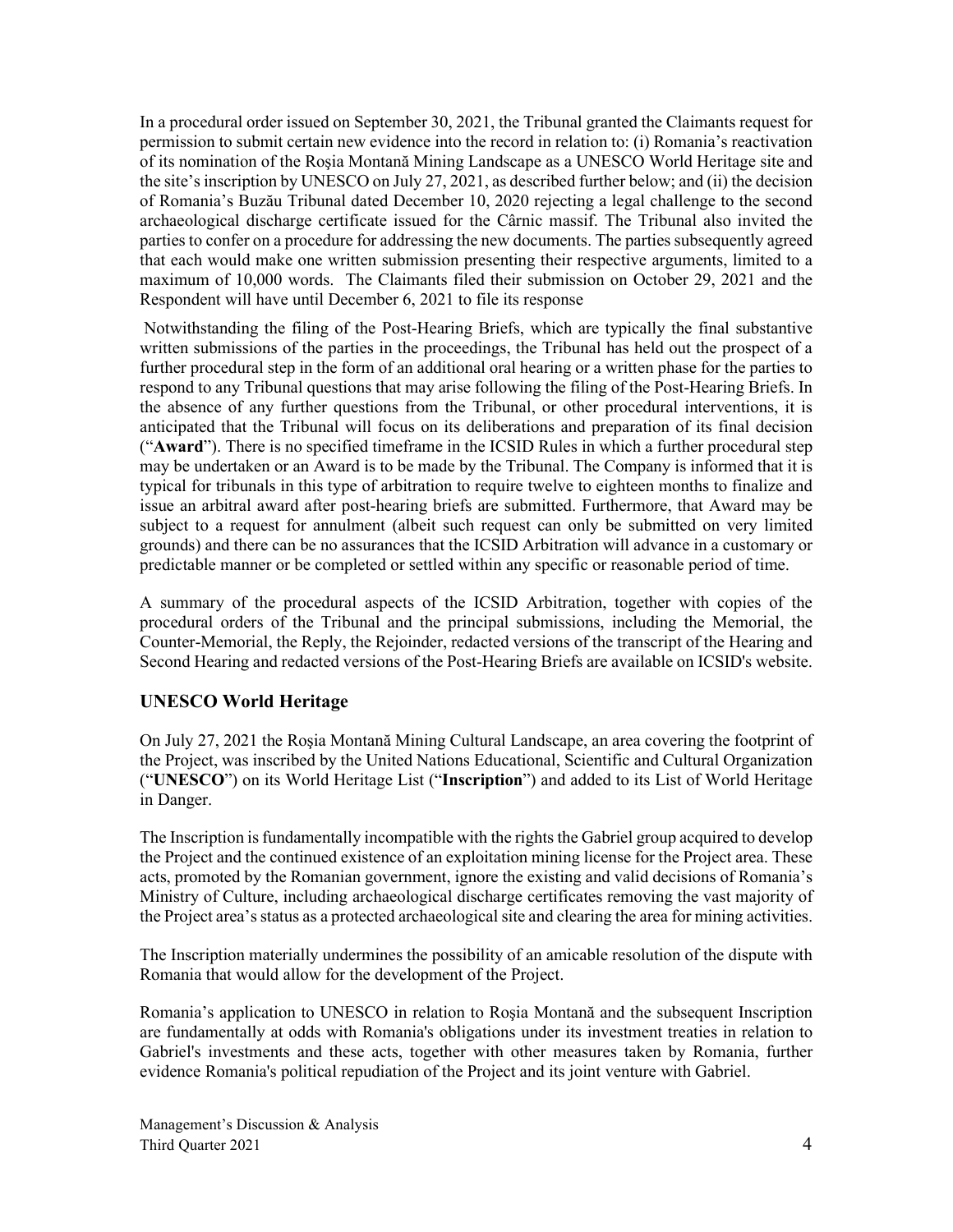In a procedural order issued on September 30, 2021, the Tribunal granted the Claimants request for permission to submit certain new evidence into the record in relation to: (i) Romania's reactivation of its nomination of the Roşia Montană Mining Landscape as a UNESCO World Heritage site and the site's inscription by UNESCO on July 27, 2021, as described further below; and (ii) the decision of Romania's Buzău Tribunal dated December 10, 2020 rejecting a legal challenge to the second archaeological discharge certificate issued for the Cârnic massif. The Tribunal also invited the parties to confer on a procedure for addressing the new documents. The parties subsequently agreed that each would make one written submission presenting their respective arguments, limited to a maximum of 10,000 words. The Claimants filed their submission on October 29, 2021 and the Respondent will have until December 6, 2021 to file its response

Notwithstanding the filing of the Post-Hearing Briefs, which are typically the final substantive written submissions of the parties in the proceedings, the Tribunal has held out the prospect of a further procedural step in the form of an additional oral hearing or a written phase for the parties to respond to any Tribunal questions that may arise following the filing of the Post-Hearing Briefs. In the absence of any further questions from the Tribunal, or other procedural interventions, it is anticipated that the Tribunal will focus on its deliberations and preparation of its final decision ("**Award**"). There is no specified timeframe in the ICSID Rules in which a further procedural step may be undertaken or an Award is to be made by the Tribunal. The Company is informed that it is typical for tribunals in this type of arbitration to require twelve to eighteen months to finalize and issue an arbitral award after post-hearing briefs are submitted. Furthermore, that Award may be subject to a request for annulment (albeit such request can only be submitted on very limited grounds) and there can be no assurances that the ICSID Arbitration will advance in a customary or predictable manner or be completed or settled within any specific or reasonable period of time.

A summary of the procedural aspects of the ICSID Arbitration, together with copies of the procedural orders of the Tribunal and the principal submissions, including the Memorial, the Counter-Memorial, the Reply, the Rejoinder, redacted versions of the transcript of the Hearing and Second Hearing and redacted versions of the Post-Hearing Briefs are available on ICSID's website.

# **UNESCO World Heritage**

On July 27, 2021 the Roşia Montană Mining Cultural Landscape, an area covering the footprint of the Project, was inscribed by the United Nations Educational, Scientific and Cultural Organization ("**UNESCO**") on its World Heritage List ("**Inscription**") and added to its List of World Heritage in Danger.

The Inscription is fundamentally incompatible with the rights the Gabriel group acquired to develop the Project and the continued existence of an exploitation mining license for the Project area. These acts, promoted by the Romanian government, ignore the existing and valid decisions of Romania's Ministry of Culture, including archaeological discharge certificates removing the vast majority of the Project area's status as a protected archaeological site and clearing the area for mining activities.

The Inscription materially undermines the possibility of an amicable resolution of the dispute with Romania that would allow for the development of the Project.

Romania's application to UNESCO in relation to Roşia Montană and the subsequent Inscription are fundamentally at odds with Romania's obligations under its investment treaties in relation to Gabriel's investments and these acts, together with other measures taken by Romania, further evidence Romania's political repudiation of the Project and its joint venture with Gabriel.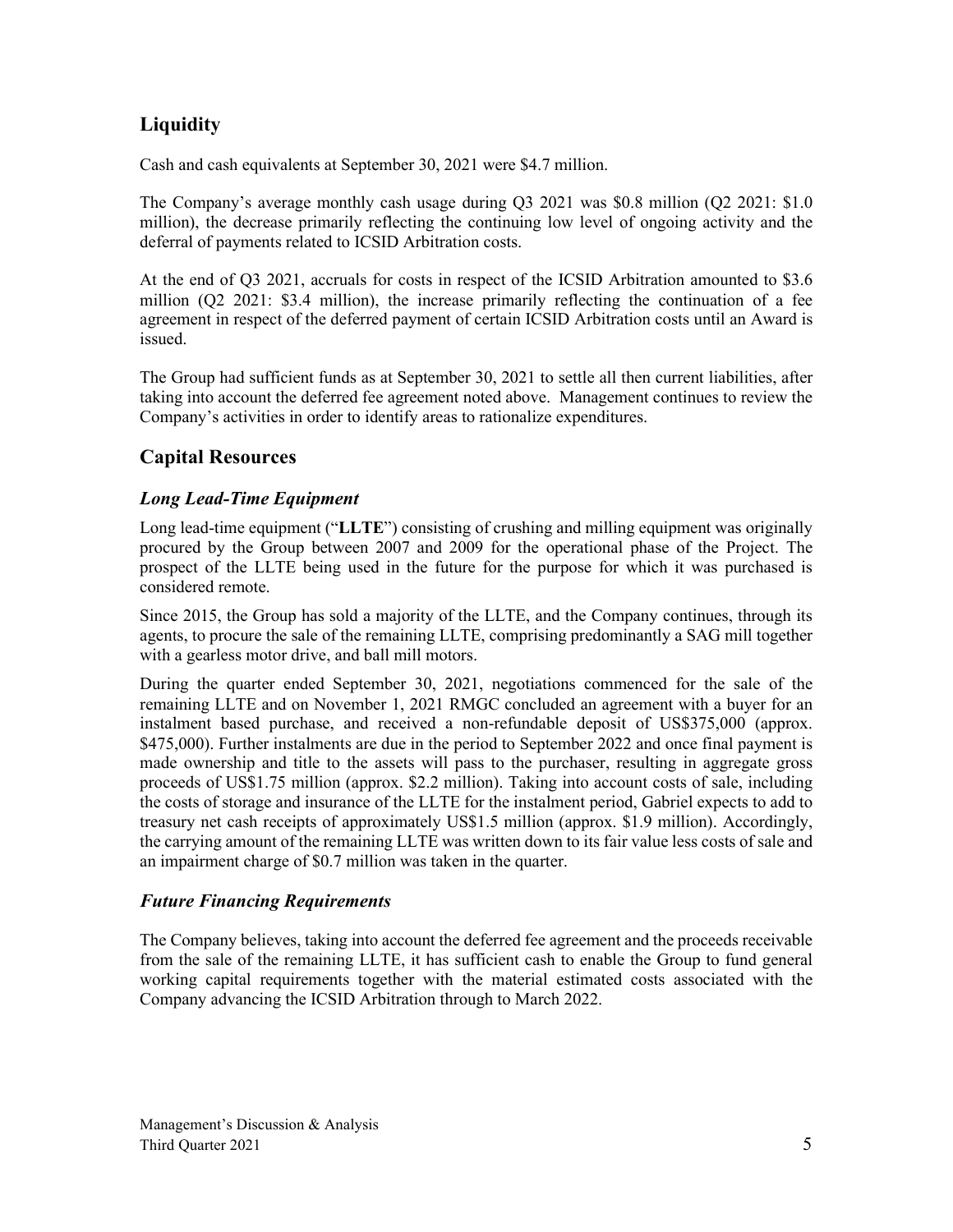# **Liquidity**

Cash and cash equivalents at September 30, 2021 were \$4.7 million.

The Company's average monthly cash usage during Q3 2021 was \$0.8 million (Q2 2021: \$1.0 million), the decrease primarily reflecting the continuing low level of ongoing activity and the deferral of payments related to ICSID Arbitration costs.

At the end of Q3 2021, accruals for costs in respect of the ICSID Arbitration amounted to \$3.6 million (Q2 2021: \$3.4 million), the increase primarily reflecting the continuation of a fee agreement in respect of the deferred payment of certain ICSID Arbitration costs until an Award is issued.

The Group had sufficient funds as at September 30, 2021 to settle all then current liabilities, after taking into account the deferred fee agreement noted above. Management continues to review the Company's activities in order to identify areas to rationalize expenditures.

# **Capital Resources**

# *Long Lead-Time Equipment*

Long lead-time equipment ("**LLTE**") consisting of crushing and milling equipment was originally procured by the Group between 2007 and 2009 for the operational phase of the Project. The prospect of the LLTE being used in the future for the purpose for which it was purchased is considered remote.

Since 2015, the Group has sold a majority of the LLTE, and the Company continues, through its agents, to procure the sale of the remaining LLTE, comprising predominantly a SAG mill together with a gearless motor drive, and ball mill motors.

During the quarter ended September 30, 2021, negotiations commenced for the sale of the remaining LLTE and on November 1, 2021 RMGC concluded an agreement with a buyer for an instalment based purchase, and received a non-refundable deposit of US\$375,000 (approx. \$475,000). Further instalments are due in the period to September 2022 and once final payment is made ownership and title to the assets will pass to the purchaser, resulting in aggregate gross proceeds of US\$1.75 million (approx. \$2.2 million). Taking into account costs of sale, including the costs of storage and insurance of the LLTE for the instalment period, Gabriel expects to add to treasury net cash receipts of approximately US\$1.5 million (approx. \$1.9 million). Accordingly, the carrying amount of the remaining LLTE was written down to its fair value less costs of sale and an impairment charge of \$0.7 million was taken in the quarter.

# *Future Financing Requirements*

The Company believes, taking into account the deferred fee agreement and the proceeds receivable from the sale of the remaining LLTE, it has sufficient cash to enable the Group to fund general working capital requirements together with the material estimated costs associated with the Company advancing the ICSID Arbitration through to March 2022.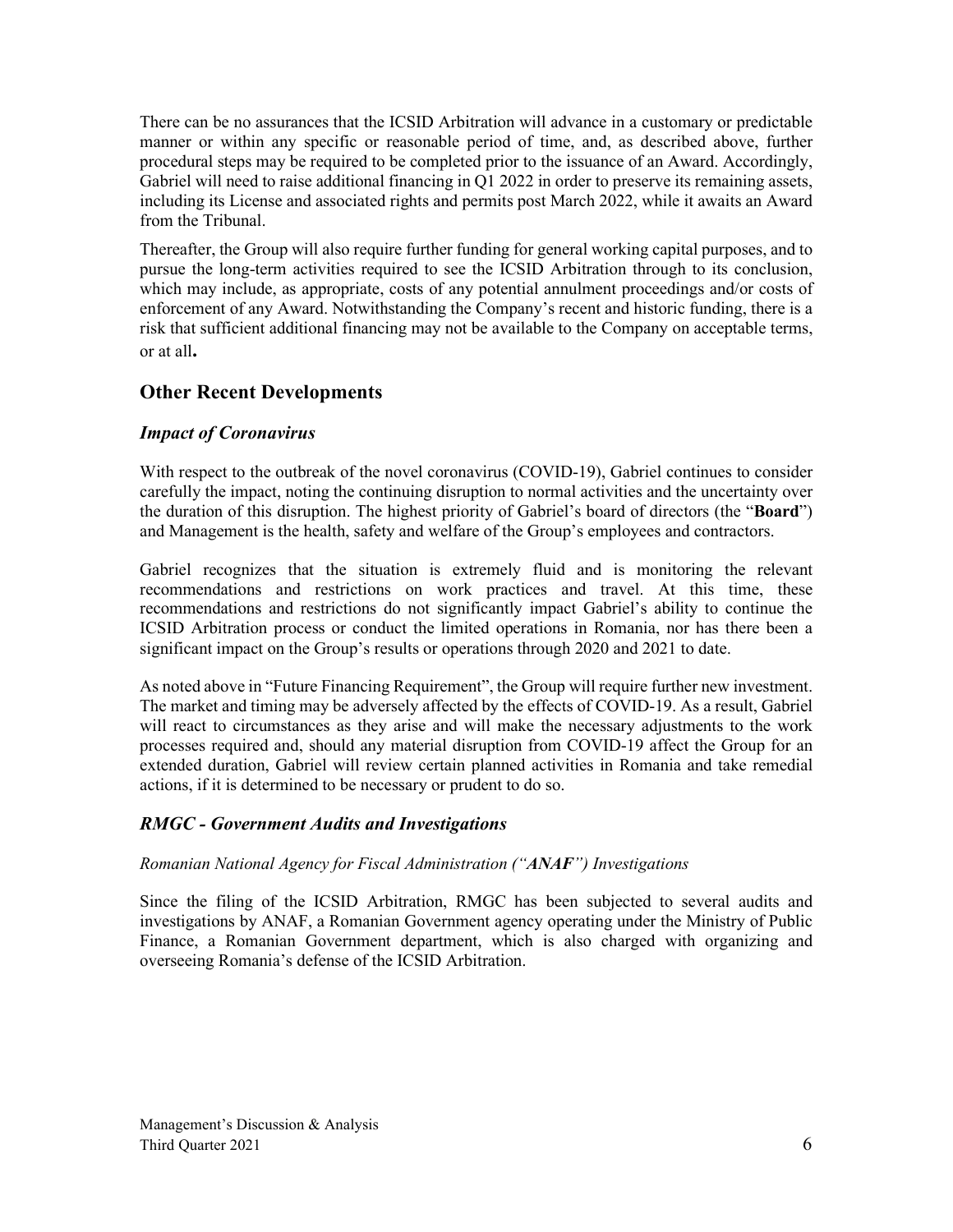There can be no assurances that the ICSID Arbitration will advance in a customary or predictable manner or within any specific or reasonable period of time, and, as described above, further procedural steps may be required to be completed prior to the issuance of an Award. Accordingly, Gabriel will need to raise additional financing in  $\overline{Q}1$  2022 in order to preserve its remaining assets, including its License and associated rights and permits post March 2022, while it awaits an Award from the Tribunal.

Thereafter, the Group will also require further funding for general working capital purposes, and to pursue the long-term activities required to see the ICSID Arbitration through to its conclusion, which may include, as appropriate, costs of any potential annulment proceedings and/or costs of enforcement of any Award. Notwithstanding the Company's recent and historic funding, there is a risk that sufficient additional financing may not be available to the Company on acceptable terms, or at all**.**

# **Other Recent Developments**

# *Impact of Coronavirus*

With respect to the outbreak of the novel coronavirus (COVID-19), Gabriel continues to consider carefully the impact, noting the continuing disruption to normal activities and the uncertainty over the duration of this disruption. The highest priority of Gabriel's board of directors (the "**Board**") and Management is the health, safety and welfare of the Group's employees and contractors.

Gabriel recognizes that the situation is extremely fluid and is monitoring the relevant recommendations and restrictions on work practices and travel. At this time, these recommendations and restrictions do not significantly impact Gabriel's ability to continue the ICSID Arbitration process or conduct the limited operations in Romania, nor has there been a significant impact on the Group's results or operations through 2020 and 2021 to date.

As noted above in "Future Financing Requirement", the Group will require further new investment. The market and timing may be adversely affected by the effects of COVID-19. As a result, Gabriel will react to circumstances as they arise and will make the necessary adjustments to the work processes required and, should any material disruption from COVID-19 affect the Group for an extended duration, Gabriel will review certain planned activities in Romania and take remedial actions, if it is determined to be necessary or prudent to do so.

### *RMGC - Government Audits and Investigations*

### *Romanian National Agency for Fiscal Administration ("ANAF") Investigations*

Since the filing of the ICSID Arbitration, RMGC has been subjected to several audits and investigations by ANAF, a Romanian Government agency operating under the Ministry of Public Finance, a Romanian Government department, which is also charged with organizing and overseeing Romania's defense of the ICSID Arbitration.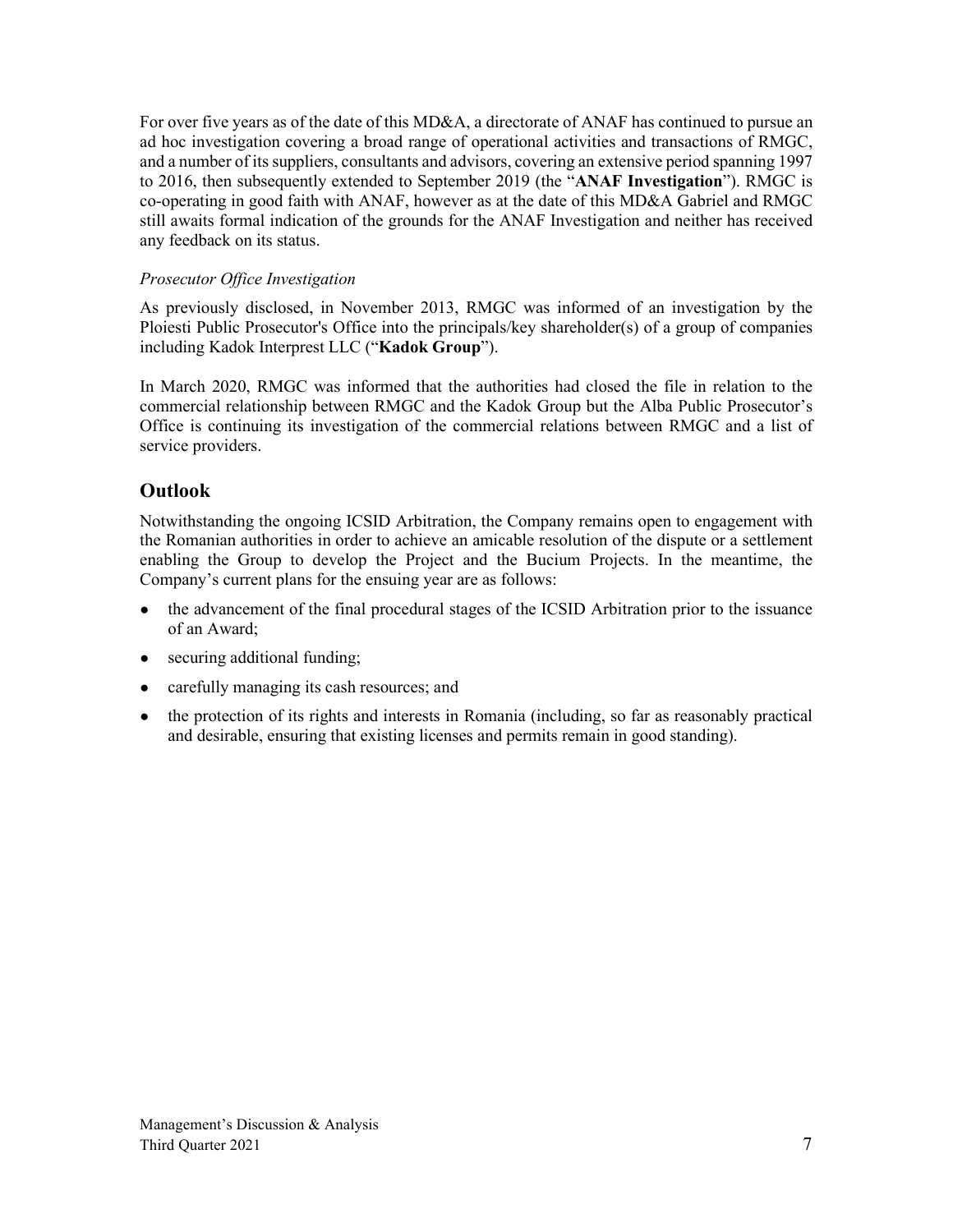For over five years as of the date of this MD&A, a directorate of ANAF has continued to pursue an ad hoc investigation covering a broad range of operational activities and transactions of RMGC, and a number of its suppliers, consultants and advisors, covering an extensive period spanning 1997 to 2016, then subsequently extended to September 2019 (the "**ANAF Investigation**"). RMGC is co-operating in good faith with ANAF, however as at the date of this MD&A Gabriel and RMGC still awaits formal indication of the grounds for the ANAF Investigation and neither has received any feedback on its status.

### *Prosecutor Office Investigation*

As previously disclosed, in November 2013, RMGC was informed of an investigation by the Ploiesti Public Prosecutor's Office into the principals/key shareholder(s) of a group of companies including Kadok Interprest LLC ("**Kadok Group**").

In March 2020, RMGC was informed that the authorities had closed the file in relation to the commercial relationship between RMGC and the Kadok Group but the Alba Public Prosecutor's Office is continuing its investigation of the commercial relations between RMGC and a list of service providers.

# **Outlook**

Notwithstanding the ongoing ICSID Arbitration, the Company remains open to engagement with the Romanian authorities in order to achieve an amicable resolution of the dispute or a settlement enabling the Group to develop the Project and the Bucium Projects. In the meantime, the Company's current plans for the ensuing year are as follows:

- the advancement of the final procedural stages of the ICSID Arbitration prior to the issuance of an Award;
- securing additional funding;
- carefully managing its cash resources; and
- the protection of its rights and interests in Romania (including, so far as reasonably practical and desirable, ensuring that existing licenses and permits remain in good standing).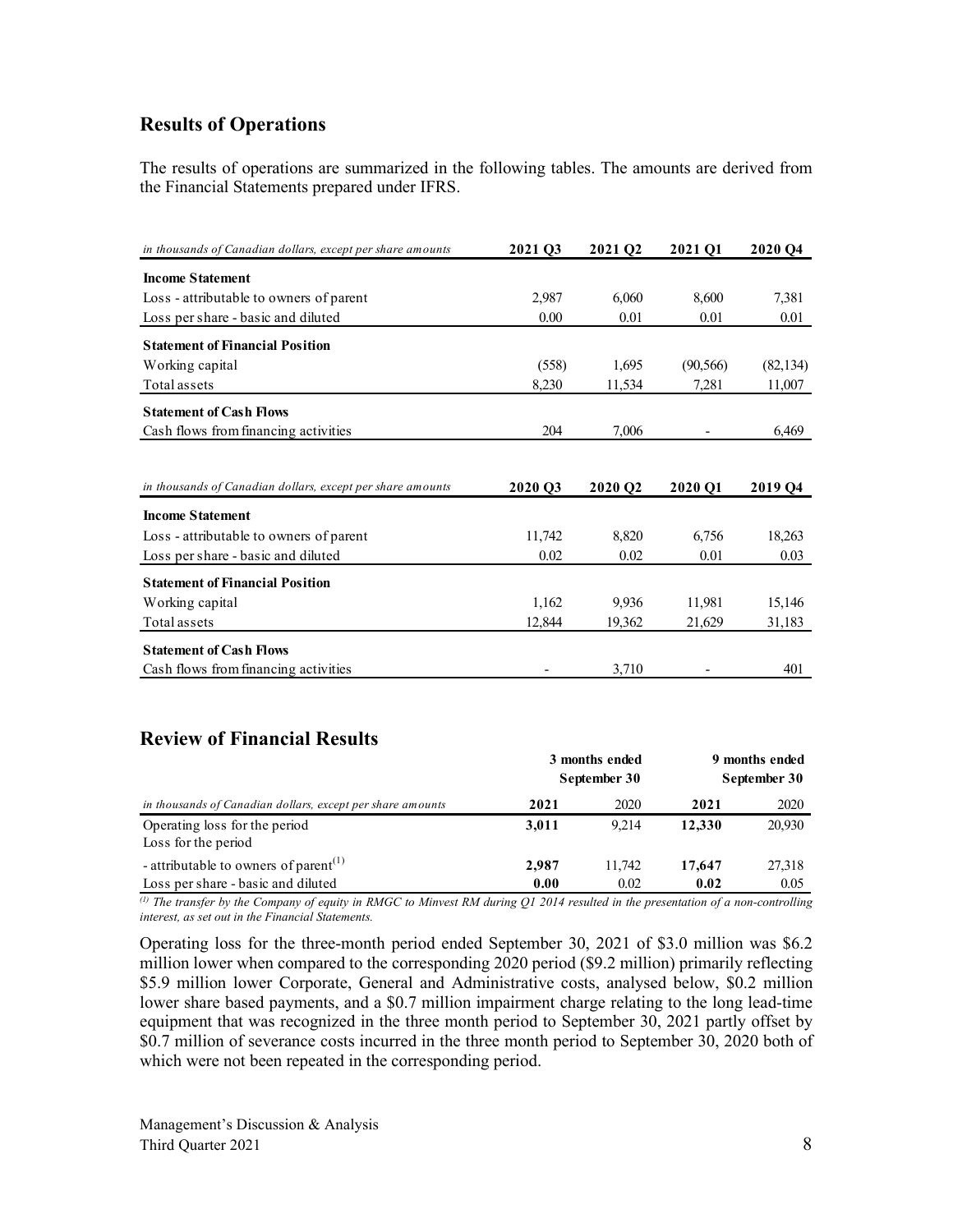# **Results of Operations**

The results of operations are summarized in the following tables. The amounts are derived from the Financial Statements prepared under IFRS.

| in thousands of Canadian dollars, except per share amounts | 2021 Q3 | 2021 O <sub>2</sub> | 2021 O1   | 2020 O <sub>4</sub> |
|------------------------------------------------------------|---------|---------------------|-----------|---------------------|
| <b>Income Statement</b>                                    |         |                     |           |                     |
| Loss - attributable to owners of parent                    | 2,987   | 6,060               | 8,600     | 7,381               |
| Loss per share - basic and diluted                         | 0.00    | 0.01                | 0.01      | 0.01                |
| <b>Statement of Financial Position</b>                     |         |                     |           |                     |
| Working capital                                            | (558)   | 1,695               | (90, 566) | (82, 134)           |
| Total assets                                               | 8,230   | 11,534              | 7,281     | 11,007              |
| <b>Statement of Cash Flows</b>                             |         |                     |           |                     |
| Cash flows from financing activities                       | 204     | 7,006               |           | 6,469               |
|                                                            |         |                     |           |                     |
| in thousands of Canadian dollars, except per share amounts | 2020 Q3 | 2020 Q2             | 2020 Q1   | 2019 Q4             |
| <b>Income Statement</b>                                    |         |                     |           |                     |
| Loss - attributable to owners of parent                    | 11,742  | 8,820               | 6,756     | 18,263              |
| Loss per share - basic and diluted                         | 0.02    | 0.02                | 0.01      | 0.03                |
| <b>Statement of Financial Position</b>                     |         |                     |           |                     |
| Working capital                                            | 1,162   | 9,936               | 11,981    | 15,146              |
| Total assets                                               | 12,844  | 19,362              | 21,629    | 31,183              |
| <b>Statement of Cash Flows</b>                             |         |                     |           |                     |
|                                                            |         |                     |           |                     |

# **Review of Financial Results**

|                                                                                         |               | 3 months ended<br>September 30 | 9 months ended<br>September 30 |                |  |
|-----------------------------------------------------------------------------------------|---------------|--------------------------------|--------------------------------|----------------|--|
| in thousands of Canadian dollars, except per share amounts                              | 2021          | 2020                           | 2021                           | 2020           |  |
| Operating loss for the period<br>Loss for the period                                    | 3,011         | 9.214                          | 12,330                         | 20,930         |  |
| - attributable to owners of parent <sup>(1)</sup><br>Loss per share - basic and diluted | 2.987<br>0.00 | 11.742<br>0.02                 | 17,647<br>0.02                 | 27,318<br>0.05 |  |

*(1) The transfer by the Company of equity in RMGC to Minvest RM during Q1 2014 resulted in the presentation of a non-controlling interest, as set out in the Financial Statements.*

Operating loss for the three-month period ended September 30, 2021 of \$3.0 million was \$6.2 million lower when compared to the corresponding 2020 period (\$9.2 million) primarily reflecting \$5.9 million lower Corporate, General and Administrative costs, analysed below, \$0.2 million lower share based payments, and a \$0.7 million impairment charge relating to the long lead-time equipment that was recognized in the three month period to September 30, 2021 partly offset by \$0.7 million of severance costs incurred in the three month period to September 30, 2020 both of which were not been repeated in the corresponding period.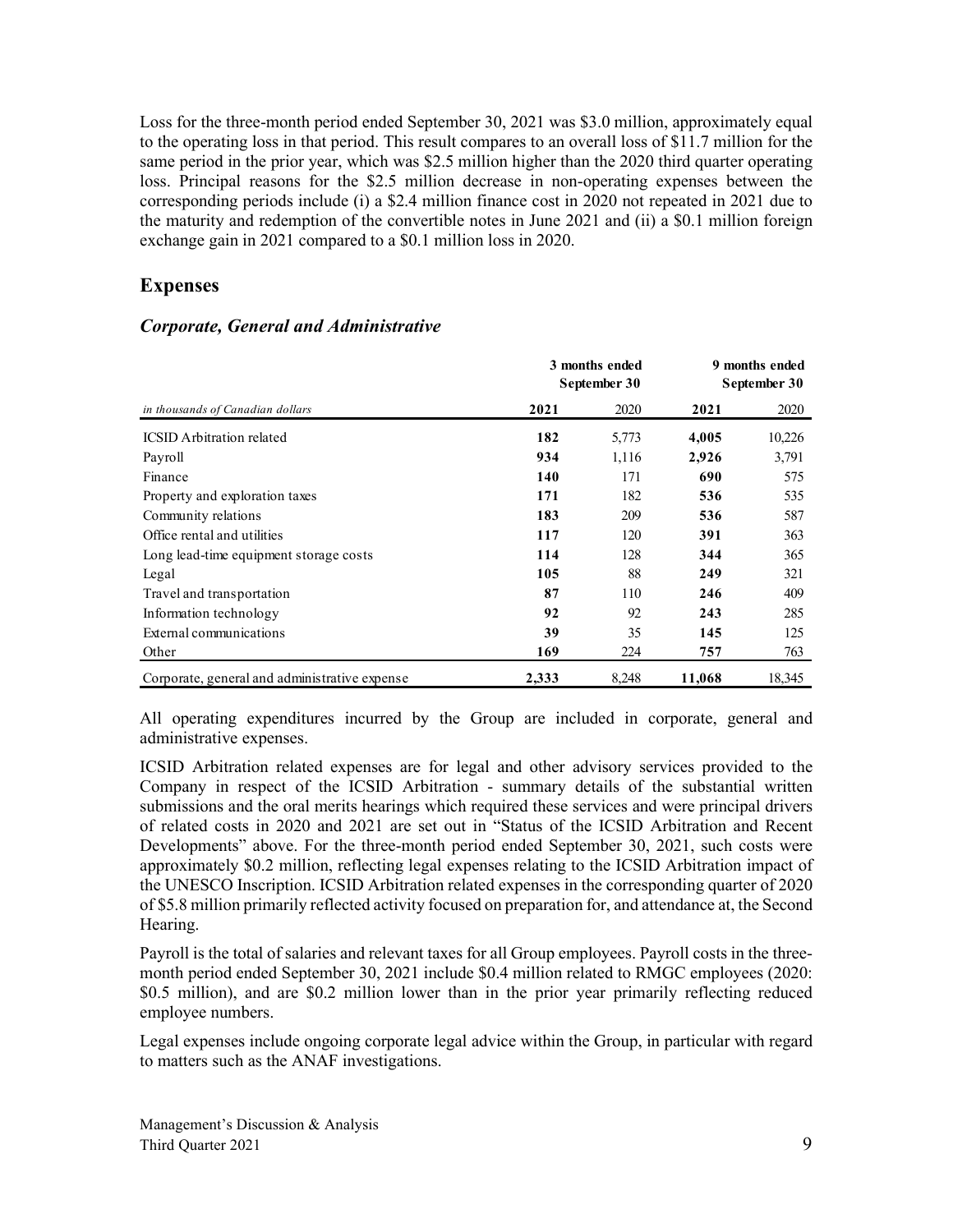Loss for the three-month period ended September 30, 2021 was \$3.0 million, approximately equal to the operating loss in that period. This result compares to an overall loss of \$11.7 million for the same period in the prior year, which was \$2.5 million higher than the 2020 third quarter operating loss. Principal reasons for the \$2.5 million decrease in non-operating expenses between the corresponding periods include (i) a \$2.4 million finance cost in 2020 not repeated in 2021 due to the maturity and redemption of the convertible notes in June 2021 and (ii) a \$0.1 million foreign exchange gain in 2021 compared to a \$0.1 million loss in 2020.

# **Expenses**

### *Corporate, General and Administrative*

|                                               | 3 months ended<br>September 30 | 9 months ended<br>September 30 |        |        |
|-----------------------------------------------|--------------------------------|--------------------------------|--------|--------|
| in thousands of Canadian dollars              | 2021                           | 2020                           | 2021   | 2020   |
| <b>ICSID</b> Arbitration related              | 182                            | 5,773                          | 4,005  | 10,226 |
| Payroll                                       | 934                            | 1,116                          | 2,926  | 3,791  |
| Finance                                       | 140                            | 171                            | 690    | 575    |
| Property and exploration taxes                | 171                            | 182                            | 536    | 535    |
| Community relations                           | 183                            | 209                            | 536    | 587    |
| Office rental and utilities                   | 117                            | 120                            | 391    | 363    |
| Long lead-time equipment storage costs        | 114                            | 128                            | 344    | 365    |
| Legal                                         | 105                            | 88                             | 249    | 321    |
| Travel and transportation                     | 87                             | 110                            | 246    | 409    |
| Information technology                        | 92                             | 92                             | 243    | 285    |
| External communications                       | 39                             | 35                             | 145    | 125    |
| Other                                         | 169                            | 224                            | 757    | 763    |
| Corporate, general and administrative expense | 2,333                          | 8,248                          | 11,068 | 18,345 |

All operating expenditures incurred by the Group are included in corporate, general and administrative expenses.

ICSID Arbitration related expenses are for legal and other advisory services provided to the Company in respect of the ICSID Arbitration - summary details of the substantial written submissions and the oral merits hearings which required these services and were principal drivers of related costs in 2020 and 2021 are set out in "Status of the ICSID Arbitration and Recent Developments" above. For the three-month period ended September 30, 2021, such costs were approximately \$0.2 million, reflecting legal expenses relating to the ICSID Arbitration impact of the UNESCO Inscription. ICSID Arbitration related expenses in the corresponding quarter of 2020 of \$5.8 million primarily reflected activity focused on preparation for, and attendance at, the Second Hearing.

Payroll is the total of salaries and relevant taxes for all Group employees. Payroll costs in the threemonth period ended September 30, 2021 include \$0.4 million related to RMGC employees (2020: \$0.5 million), and are \$0.2 million lower than in the prior year primarily reflecting reduced employee numbers.

Legal expenses include ongoing corporate legal advice within the Group, in particular with regard to matters such as the ANAF investigations.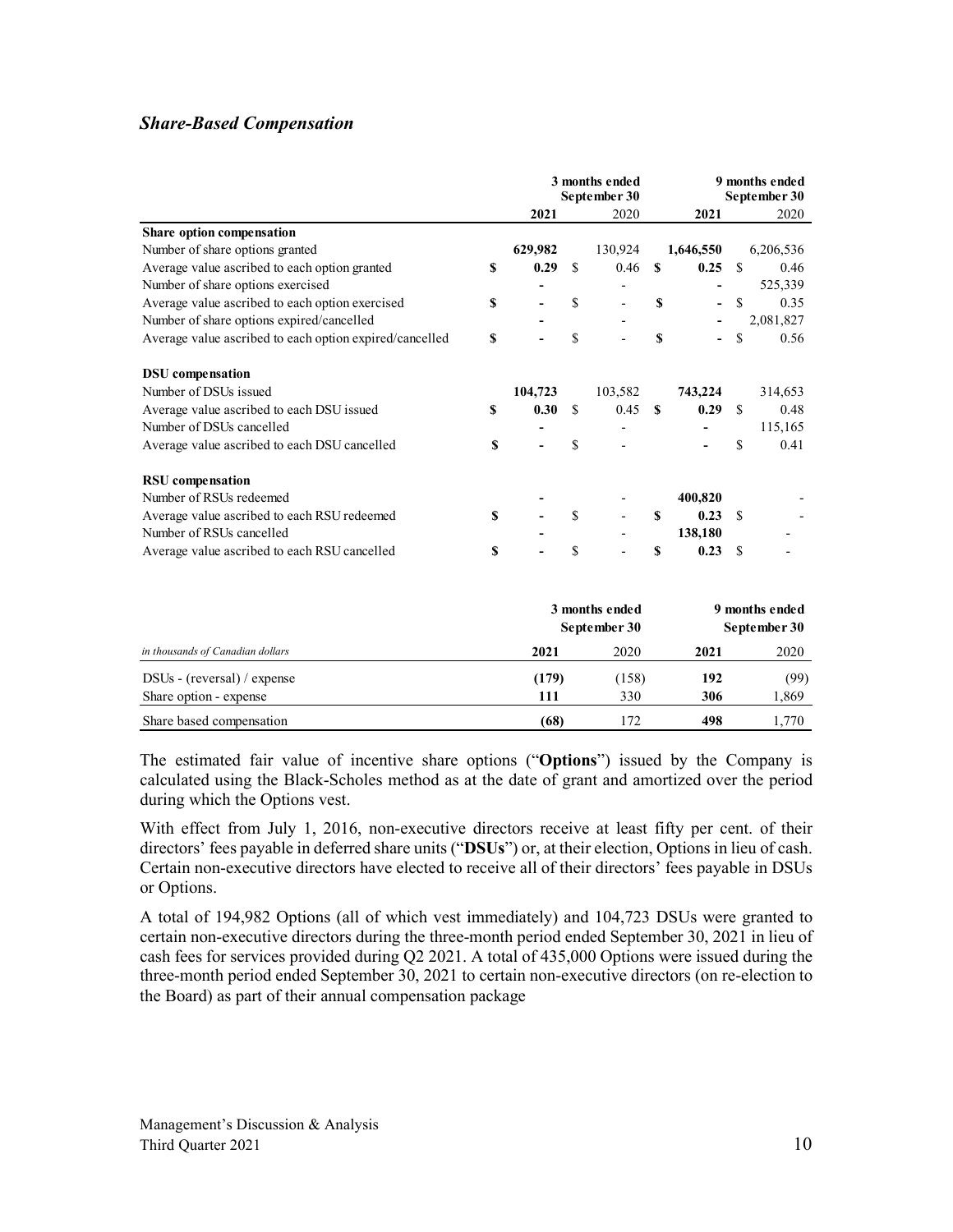# *Share-Based Compensation*

|                                                         |    | 3 months ended<br>September 30 |               |         | 9 months ended<br>September 30 |           |               |           |
|---------------------------------------------------------|----|--------------------------------|---------------|---------|--------------------------------|-----------|---------------|-----------|
|                                                         |    | 2021                           |               | 2020    |                                | 2021      |               | 2020      |
| Share option compensation                               |    |                                |               |         |                                |           |               |           |
| Number of share options granted                         |    | 629,982                        |               | 130,924 |                                | 1,646,550 |               | 6,206,536 |
| Average value ascribed to each option granted           | S  | 0.29                           | <sup>\$</sup> | 0.46    | <b>S</b>                       | 0.25      | <sup>\$</sup> | 0.46      |
| Number of share options exercised                       |    |                                |               |         |                                |           |               | 525,339   |
| Average value ascribed to each option exercised         | \$ |                                | \$            |         | S                              |           | <sup>\$</sup> | 0.35      |
| Number of share options expired/cancelled               |    |                                |               |         |                                |           |               | 2,081,827 |
| Average value ascribed to each option expired/cancelled | \$ |                                | <sup>\$</sup> |         | \$                             |           | \$            | 0.56      |
| <b>DSU</b> compensation                                 |    |                                |               |         |                                |           |               |           |
| Number of DSUs issued                                   |    | 104,723                        |               | 103,582 |                                | 743,224   |               | 314,653   |
| Average value ascribed to each DSU issued               | S  | 0.30                           | <sup>\$</sup> | 0.45    | -S                             | 0.29      | -S            | 0.48      |
| Number of DSUs cancelled                                |    |                                |               |         |                                |           |               | 115,165   |
| Average value ascribed to each DSU cancelled            | \$ |                                | S             |         |                                |           | \$            | 0.41      |
| <b>RSU</b> compensation                                 |    |                                |               |         |                                |           |               |           |
| Number of RSUs redeemed                                 |    |                                |               |         |                                | 400,820   |               |           |
| Average value ascribed to each RSU redeemed             | \$ |                                | <sup>\$</sup> |         | S                              | 0.23      | -S            |           |
| Number of RSUs cancelled                                |    |                                |               |         |                                | 138,180   |               |           |
| Average value ascribed to each RSU cancelled            | \$ |                                | \$            |         | S                              | 0.23      | - \$          |           |
|                                                         |    |                                |               |         |                                |           |               |           |

|                                  |       | 3 months ended<br>September 30 | 9 months ended<br>September 30 |       |  |
|----------------------------------|-------|--------------------------------|--------------------------------|-------|--|
| in thousands of Canadian dollars | 2021  | 2020                           | 2021                           | 2020  |  |
| $DSUs - (reversal) / expense$    | (179) | (158)                          | 192                            | (99)  |  |
| Share option - expense           | 111   | 330                            | 306                            | 1,869 |  |
| Share based compensation         | (68)  | 172                            | 498                            | 1.770 |  |

The estimated fair value of incentive share options ("**Options**") issued by the Company is calculated using the Black-Scholes method as at the date of grant and amortized over the period during which the Options vest.

With effect from July 1, 2016, non-executive directors receive at least fifty per cent. of their directors' fees payable in deferred share units ("**DSUs**") or, at their election, Options in lieu of cash. Certain non-executive directors have elected to receive all of their directors' fees payable in DSUs or Options.

A total of 194,982 Options (all of which vest immediately) and 104,723 DSUs were granted to certain non-executive directors during the three-month period ended September 30, 2021 in lieu of cash fees for services provided during Q2 2021. A total of 435,000 Options were issued during the three-month period ended September 30, 2021 to certain non-executive directors (on re-election to the Board) as part of their annual compensation package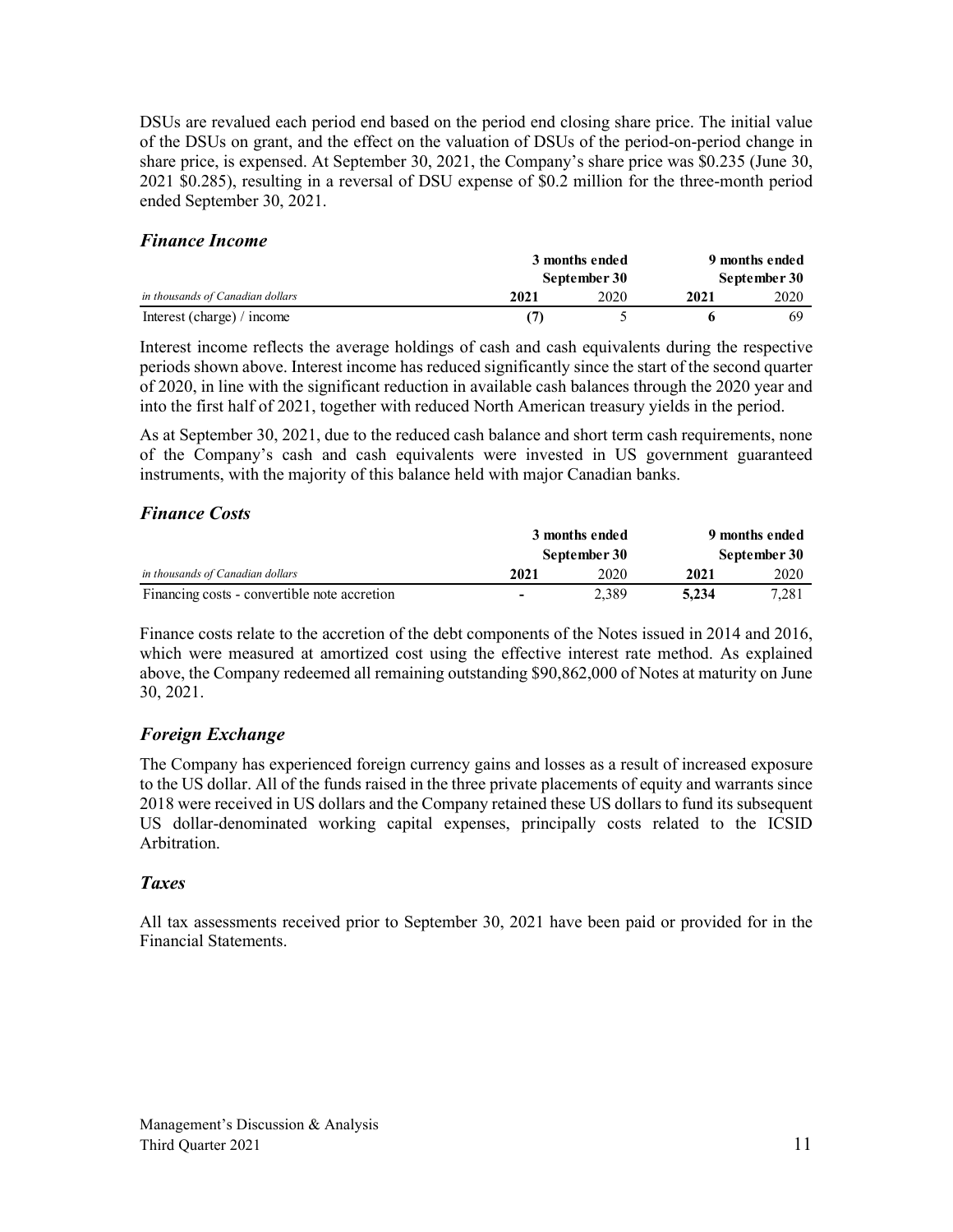DSUs are revalued each period end based on the period end closing share price. The initial value of the DSUs on grant, and the effect on the valuation of DSUs of the period-on-period change in share price, is expensed. At September 30, 2021, the Company's share price was \$0.235 (June 30, 2021 \$0.285), resulting in a reversal of DSU expense of \$0.2 million for the three-month period ended September 30, 2021.

### *Finance Income*

|                                  | 3 months ended |              | 9 months ended |      |  |
|----------------------------------|----------------|--------------|----------------|------|--|
|                                  |                | September 30 | September 30   |      |  |
| in thousands of Canadian dollars | 2021           | 2020         | 2021           | 2020 |  |
| Interest (charge) / income       |                |              |                | 69   |  |

Interest income reflects the average holdings of cash and cash equivalents during the respective periods shown above. Interest income has reduced significantly since the start of the second quarter of 2020, in line with the significant reduction in available cash balances through the 2020 year and into the first half of 2021, together with reduced North American treasury yields in the period.

As at September 30, 2021, due to the reduced cash balance and short term cash requirements, none of the Company's cash and cash equivalents were invested in US government guaranteed instruments, with the majority of this balance held with major Canadian banks.

### *Finance Costs*

|                                              | 3 months ended<br>September 30 |       | 9 months ended |       |  |
|----------------------------------------------|--------------------------------|-------|----------------|-------|--|
|                                              |                                |       | September 30   |       |  |
| in thousands of Canadian dollars             | 2021                           | 2020  | 2021           | 2020  |  |
| Financing costs - convertible note accretion | ٠                              | 2.389 | 5.234          | 7.281 |  |

Finance costs relate to the accretion of the debt components of the Notes issued in 2014 and 2016, which were measured at amortized cost using the effective interest rate method. As explained above, the Company redeemed all remaining outstanding \$90,862,000 of Notes at maturity on June 30, 2021.

# *Foreign Exchange*

The Company has experienced foreign currency gains and losses as a result of increased exposure to the US dollar. All of the funds raised in the three private placements of equity and warrants since 2018 were received in US dollars and the Company retained these US dollars to fund its subsequent US dollar-denominated working capital expenses, principally costs related to the ICSID Arbitration.

### *Taxes*

All tax assessments received prior to September 30, 2021 have been paid or provided for in the Financial Statements.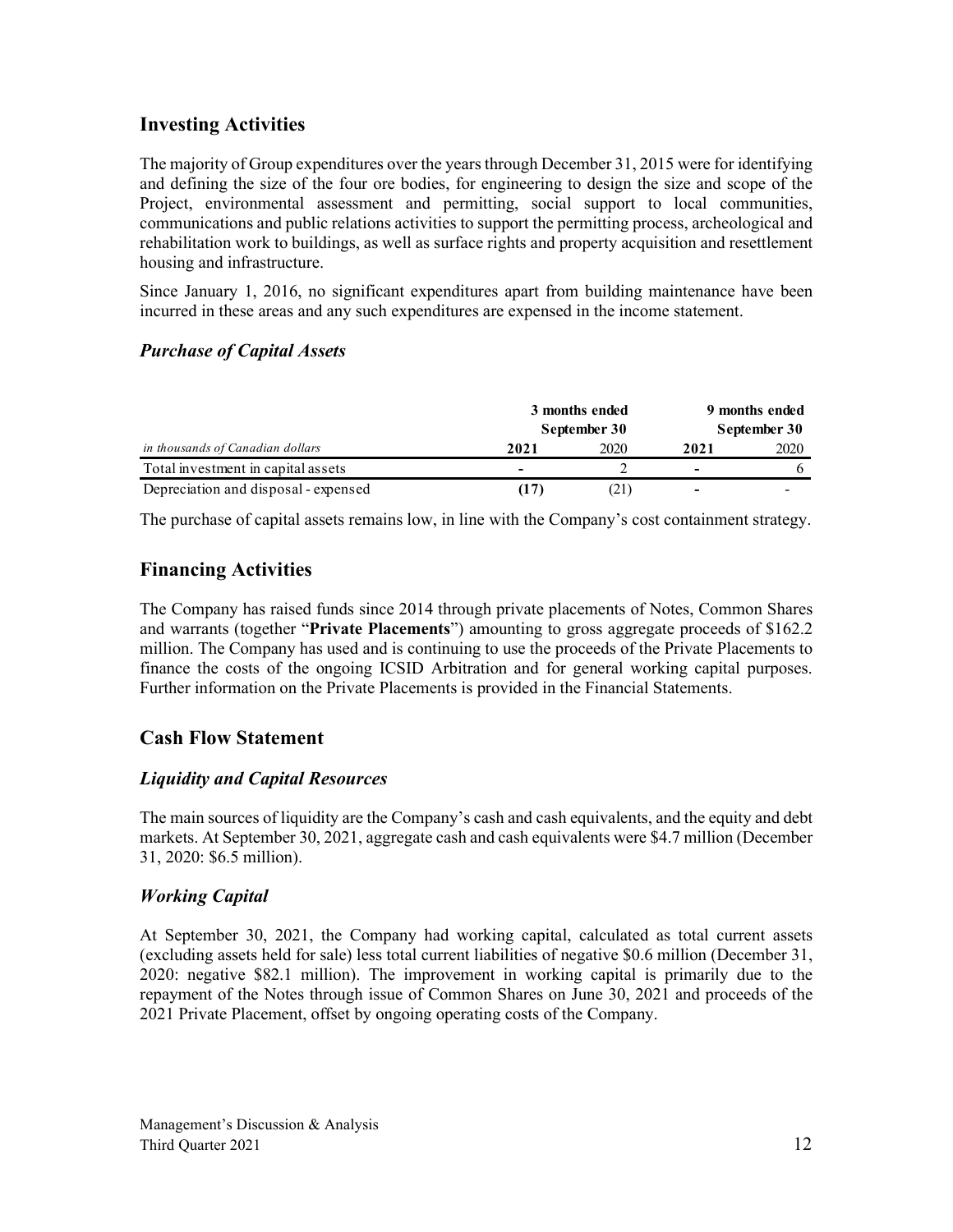# **Investing Activities**

The majority of Group expenditures over the years through December 31, 2015 were for identifying and defining the size of the four ore bodies, for engineering to design the size and scope of the Project, environmental assessment and permitting, social support to local communities, communications and public relations activities to support the permitting process, archeological and rehabilitation work to buildings, as well as surface rights and property acquisition and resettlement housing and infrastructure.

Since January 1, 2016, no significant expenditures apart from building maintenance have been incurred in these areas and any such expenditures are expensed in the income statement.

# *Purchase of Capital Assets*

|                                      | 3 months ended           |              | 9 months ended |      |  |
|--------------------------------------|--------------------------|--------------|----------------|------|--|
|                                      | September 30             | September 30 |                |      |  |
| in thousands of Canadian dollars     | 2021                     | 2020         | 2021           | 2020 |  |
| Total investment in capital assets   | $\overline{\phantom{0}}$ |              | -              |      |  |
| Depreciation and disposal - expensed | (17)                     | 21)          | -              |      |  |

The purchase of capital assets remains low, in line with the Company's cost containment strategy.

# **Financing Activities**

The Company has raised funds since 2014 through private placements of Notes, Common Shares and warrants (together "**Private Placements**") amounting to gross aggregate proceeds of \$162.2 million. The Company has used and is continuing to use the proceeds of the Private Placements to finance the costs of the ongoing ICSID Arbitration and for general working capital purposes. Further information on the Private Placements is provided in the Financial Statements.

# **Cash Flow Statement**

# *Liquidity and Capital Resources*

The main sources of liquidity are the Company's cash and cash equivalents, and the equity and debt markets. At September 30, 2021, aggregate cash and cash equivalents were \$4.7 million (December 31, 2020: \$6.5 million).

# *Working Capital*

At September 30, 2021, the Company had working capital, calculated as total current assets (excluding assets held for sale) less total current liabilities of negative \$0.6 million (December 31, 2020: negative \$82.1 million). The improvement in working capital is primarily due to the repayment of the Notes through issue of Common Shares on June 30, 2021 and proceeds of the 2021 Private Placement, offset by ongoing operating costs of the Company.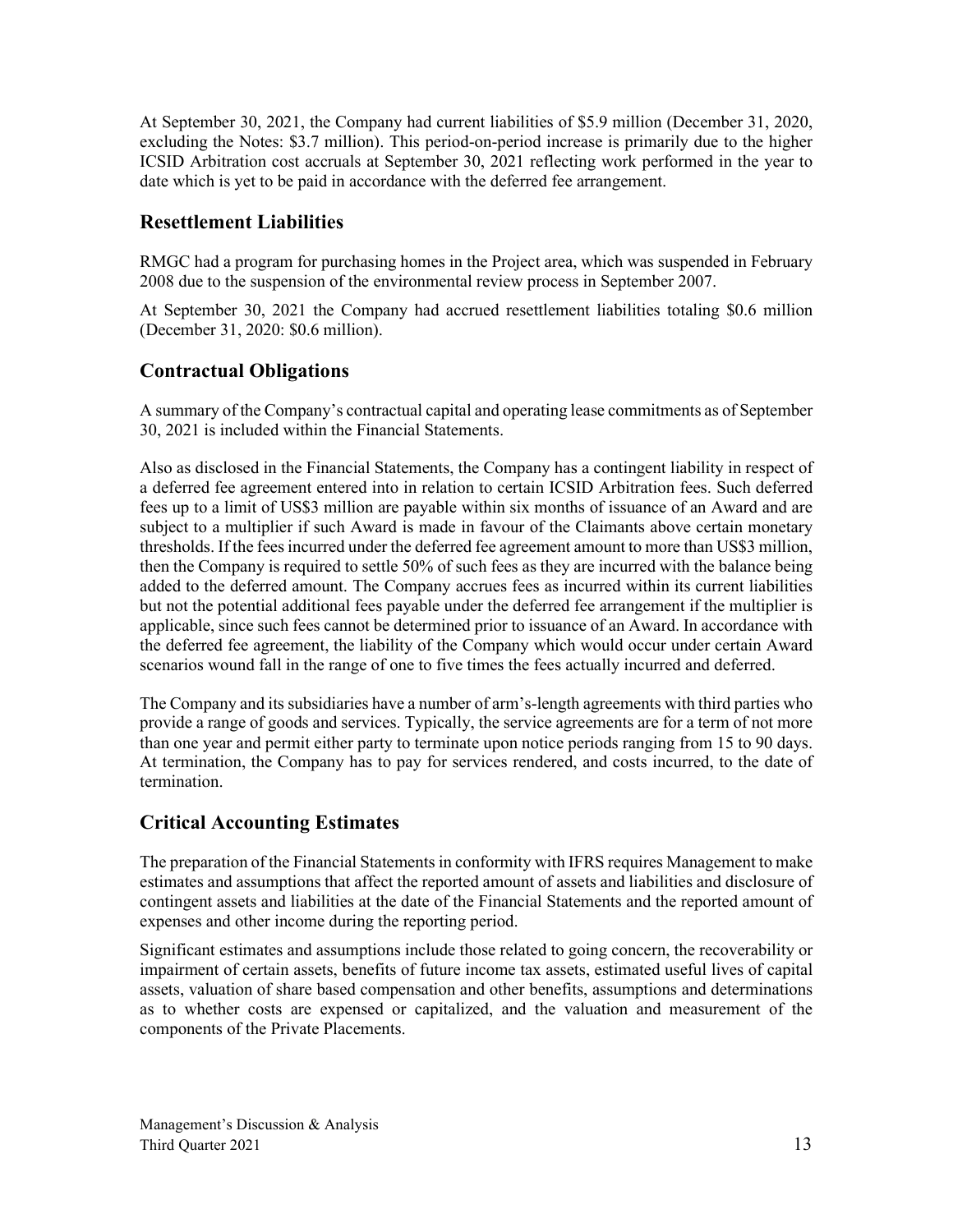At September 30, 2021, the Company had current liabilities of \$5.9 million (December 31, 2020, excluding the Notes: \$3.7 million). This period-on-period increase is primarily due to the higher ICSID Arbitration cost accruals at September 30, 2021 reflecting work performed in the year to date which is yet to be paid in accordance with the deferred fee arrangement.

# **Resettlement Liabilities**

RMGC had a program for purchasing homes in the Project area, which was suspended in February 2008 due to the suspension of the environmental review process in September 2007.

At September 30, 2021 the Company had accrued resettlement liabilities totaling \$0.6 million (December 31, 2020: \$0.6 million).

# **Contractual Obligations**

A summary of the Company's contractual capital and operating lease commitments as of September 30, 2021 is included within the Financial Statements.

Also as disclosed in the Financial Statements, the Company has a contingent liability in respect of a deferred fee agreement entered into in relation to certain ICSID Arbitration fees. Such deferred fees up to a limit of US\$3 million are payable within six months of issuance of an Award and are subject to a multiplier if such Award is made in favour of the Claimants above certain monetary thresholds. If the fees incurred under the deferred fee agreement amount to more than US\$3 million, then the Company is required to settle 50% of such fees as they are incurred with the balance being added to the deferred amount. The Company accrues fees as incurred within its current liabilities but not the potential additional fees payable under the deferred fee arrangement if the multiplier is applicable, since such fees cannot be determined prior to issuance of an Award. In accordance with the deferred fee agreement, the liability of the Company which would occur under certain Award scenarios wound fall in the range of one to five times the fees actually incurred and deferred.

The Company and its subsidiaries have a number of arm's-length agreements with third parties who provide a range of goods and services. Typically, the service agreements are for a term of not more than one year and permit either party to terminate upon notice periods ranging from 15 to 90 days. At termination, the Company has to pay for services rendered, and costs incurred, to the date of termination.

# **Critical Accounting Estimates**

The preparation of the Financial Statements in conformity with IFRS requires Management to make estimates and assumptions that affect the reported amount of assets and liabilities and disclosure of contingent assets and liabilities at the date of the Financial Statements and the reported amount of expenses and other income during the reporting period.

Significant estimates and assumptions include those related to going concern, the recoverability or impairment of certain assets, benefits of future income tax assets, estimated useful lives of capital assets, valuation of share based compensation and other benefits, assumptions and determinations as to whether costs are expensed or capitalized, and the valuation and measurement of the components of the Private Placements.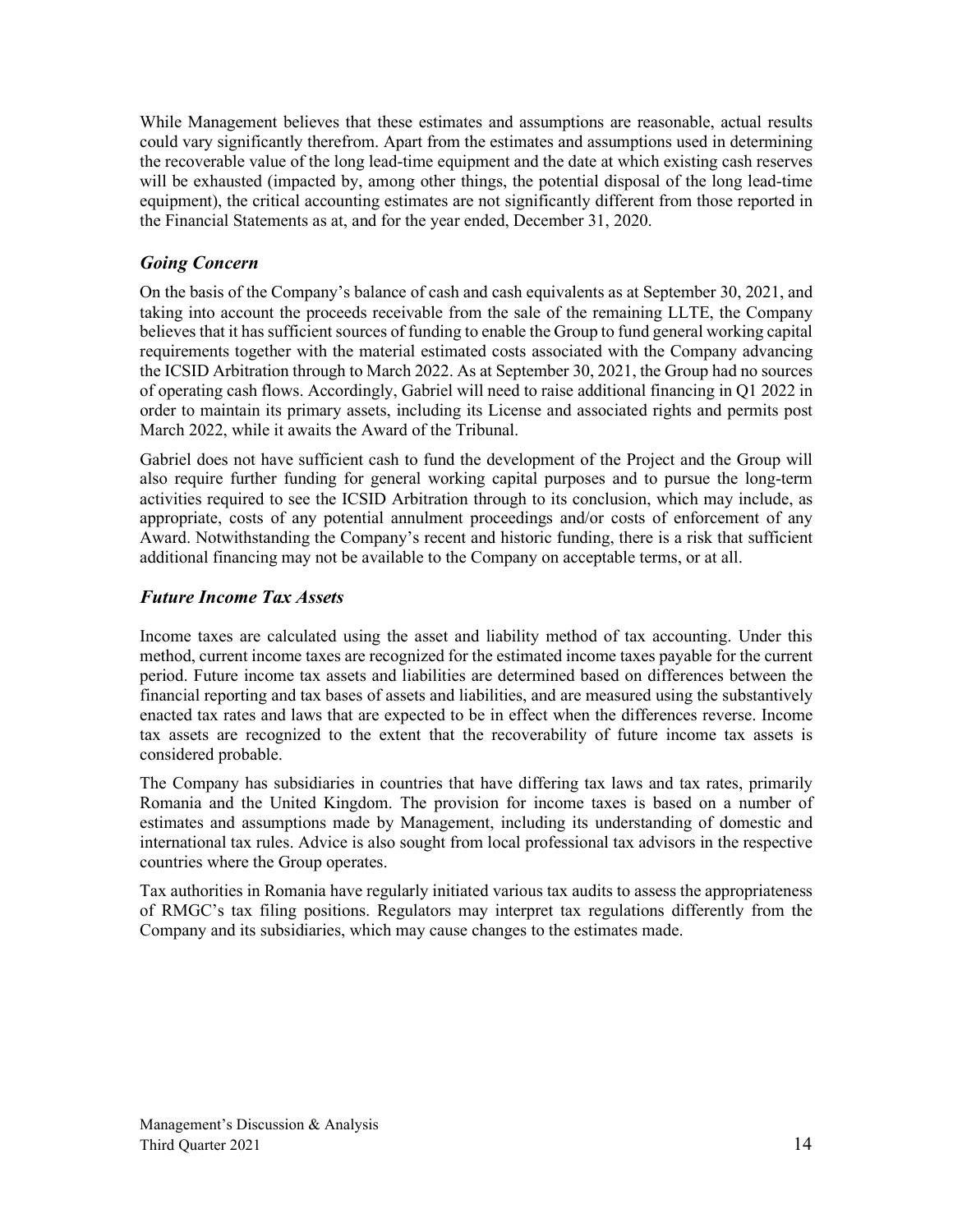While Management believes that these estimates and assumptions are reasonable, actual results could vary significantly therefrom. Apart from the estimates and assumptions used in determining the recoverable value of the long lead-time equipment and the date at which existing cash reserves will be exhausted (impacted by, among other things, the potential disposal of the long lead-time equipment), the critical accounting estimates are not significantly different from those reported in the Financial Statements as at, and for the year ended, December 31, 2020.

### *Going Concern*

On the basis of the Company's balance of cash and cash equivalents as at September 30, 2021, and taking into account the proceeds receivable from the sale of the remaining LLTE, the Company believes that it has sufficient sources of funding to enable the Group to fund general working capital requirements together with the material estimated costs associated with the Company advancing the ICSID Arbitration through to March 2022. As at September 30, 2021, the Group had no sources of operating cash flows. Accordingly, Gabriel will need to raise additional financing in Q1 2022 in order to maintain its primary assets, including its License and associated rights and permits post March 2022, while it awaits the Award of the Tribunal.

Gabriel does not have sufficient cash to fund the development of the Project and the Group will also require further funding for general working capital purposes and to pursue the long-term activities required to see the ICSID Arbitration through to its conclusion, which may include, as appropriate, costs of any potential annulment proceedings and/or costs of enforcement of any Award. Notwithstanding the Company's recent and historic funding, there is a risk that sufficient additional financing may not be available to the Company on acceptable terms, or at all.

### *Future Income Tax Assets*

Income taxes are calculated using the asset and liability method of tax accounting. Under this method, current income taxes are recognized for the estimated income taxes payable for the current period. Future income tax assets and liabilities are determined based on differences between the financial reporting and tax bases of assets and liabilities, and are measured using the substantively enacted tax rates and laws that are expected to be in effect when the differences reverse. Income tax assets are recognized to the extent that the recoverability of future income tax assets is considered probable.

The Company has subsidiaries in countries that have differing tax laws and tax rates, primarily Romania and the United Kingdom. The provision for income taxes is based on a number of estimates and assumptions made by Management, including its understanding of domestic and international tax rules. Advice is also sought from local professional tax advisors in the respective countries where the Group operates.

Tax authorities in Romania have regularly initiated various tax audits to assess the appropriateness of RMGC's tax filing positions. Regulators may interpret tax regulations differently from the Company and its subsidiaries, which may cause changes to the estimates made.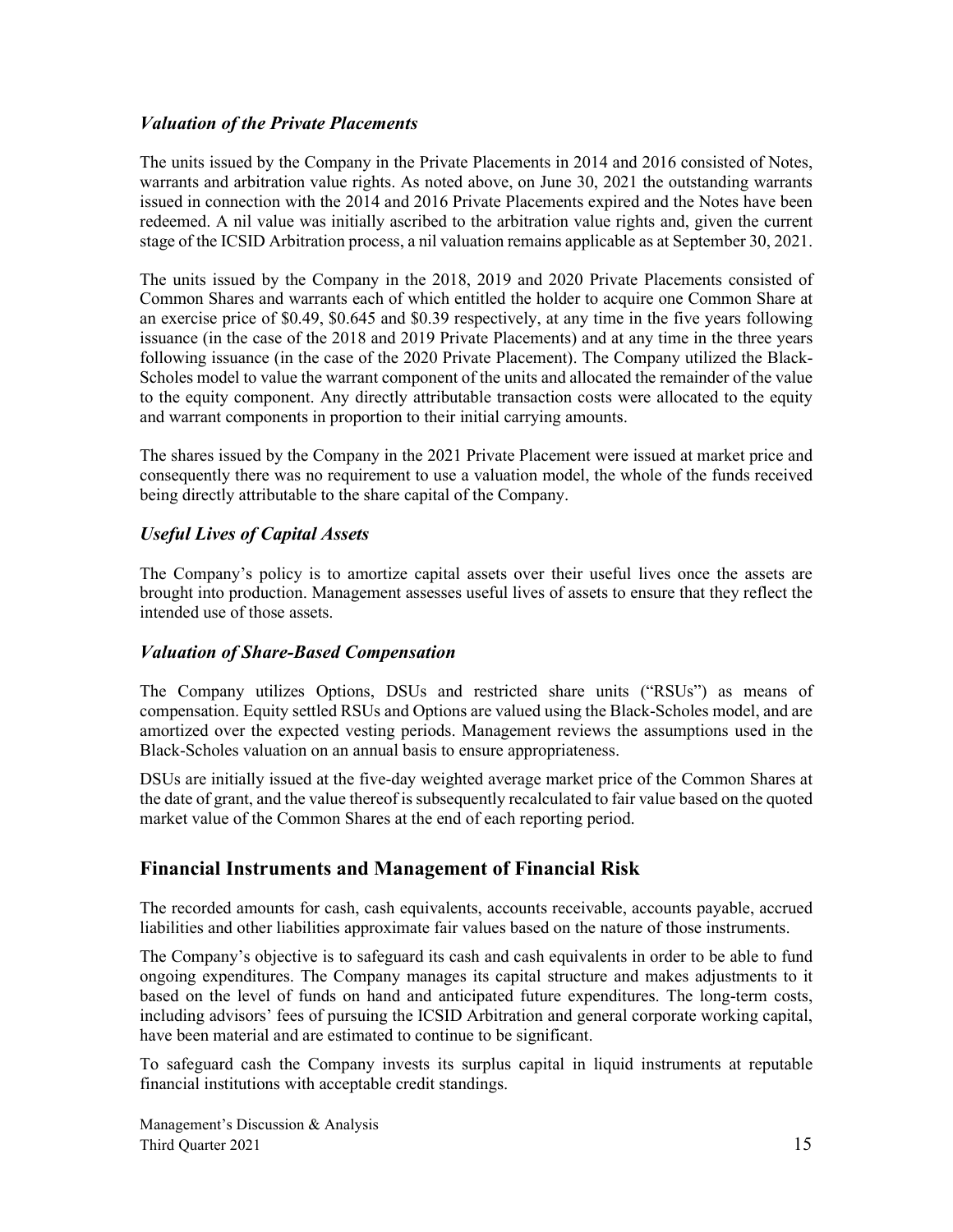### *Valuation of the Private Placements*

The units issued by the Company in the Private Placements in 2014 and 2016 consisted of Notes, warrants and arbitration value rights. As noted above, on June 30, 2021 the outstanding warrants issued in connection with the 2014 and 2016 Private Placements expired and the Notes have been redeemed. A nil value was initially ascribed to the arbitration value rights and, given the current stage of the ICSID Arbitration process, a nil valuation remains applicable as at September 30, 2021.

The units issued by the Company in the 2018, 2019 and 2020 Private Placements consisted of Common Shares and warrants each of which entitled the holder to acquire one Common Share at an exercise price of \$0.49, \$0.645 and \$0.39 respectively, at any time in the five years following issuance (in the case of the 2018 and 2019 Private Placements) and at any time in the three years following issuance (in the case of the 2020 Private Placement). The Company utilized the Black-Scholes model to value the warrant component of the units and allocated the remainder of the value to the equity component. Any directly attributable transaction costs were allocated to the equity and warrant components in proportion to their initial carrying amounts.

The shares issued by the Company in the 2021 Private Placement were issued at market price and consequently there was no requirement to use a valuation model, the whole of the funds received being directly attributable to the share capital of the Company.

# *Useful Lives of Capital Assets*

The Company's policy is to amortize capital assets over their useful lives once the assets are brought into production. Management assesses useful lives of assets to ensure that they reflect the intended use of those assets.

### *Valuation of Share-Based Compensation*

The Company utilizes Options, DSUs and restricted share units ("RSUs") as means of compensation. Equity settled RSUs and Options are valued using the Black-Scholes model, and are amortized over the expected vesting periods. Management reviews the assumptions used in the Black-Scholes valuation on an annual basis to ensure appropriateness.

DSUs are initially issued at the five-day weighted average market price of the Common Shares at the date of grant, and the value thereof is subsequently recalculated to fair value based on the quoted market value of the Common Shares at the end of each reporting period.

# **Financial Instruments and Management of Financial Risk**

The recorded amounts for cash, cash equivalents, accounts receivable, accounts payable, accrued liabilities and other liabilities approximate fair values based on the nature of those instruments.

The Company's objective is to safeguard its cash and cash equivalents in order to be able to fund ongoing expenditures. The Company manages its capital structure and makes adjustments to it based on the level of funds on hand and anticipated future expenditures. The long-term costs, including advisors' fees of pursuing the ICSID Arbitration and general corporate working capital, have been material and are estimated to continue to be significant.

To safeguard cash the Company invests its surplus capital in liquid instruments at reputable financial institutions with acceptable credit standings.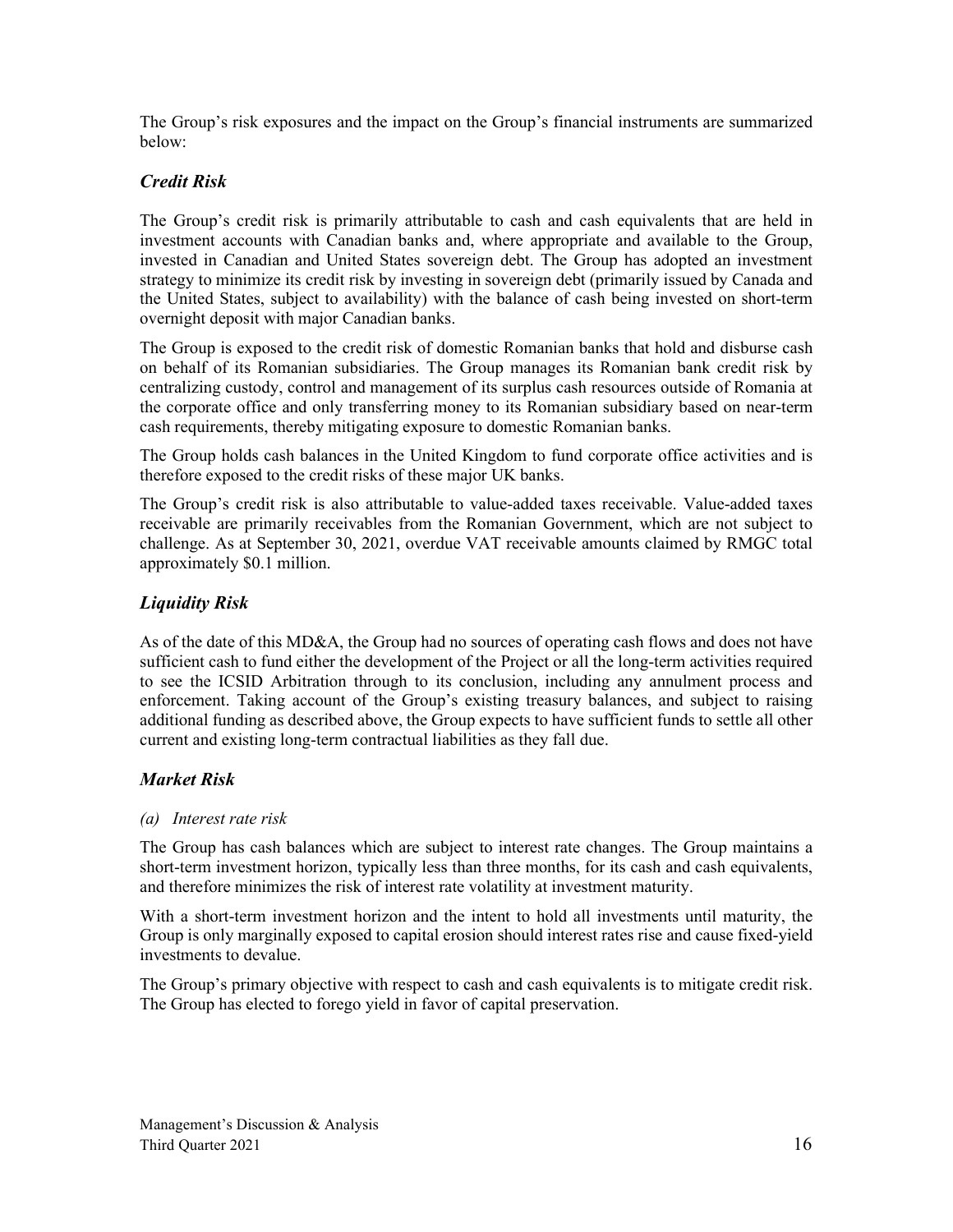The Group's risk exposures and the impact on the Group's financial instruments are summarized below:

# *Credit Risk*

The Group's credit risk is primarily attributable to cash and cash equivalents that are held in investment accounts with Canadian banks and, where appropriate and available to the Group, invested in Canadian and United States sovereign debt. The Group has adopted an investment strategy to minimize its credit risk by investing in sovereign debt (primarily issued by Canada and the United States, subject to availability) with the balance of cash being invested on short-term overnight deposit with major Canadian banks.

The Group is exposed to the credit risk of domestic Romanian banks that hold and disburse cash on behalf of its Romanian subsidiaries. The Group manages its Romanian bank credit risk by centralizing custody, control and management of its surplus cash resources outside of Romania at the corporate office and only transferring money to its Romanian subsidiary based on near-term cash requirements, thereby mitigating exposure to domestic Romanian banks.

The Group holds cash balances in the United Kingdom to fund corporate office activities and is therefore exposed to the credit risks of these major UK banks.

The Group's credit risk is also attributable to value-added taxes receivable. Value-added taxes receivable are primarily receivables from the Romanian Government, which are not subject to challenge. As at September 30, 2021, overdue VAT receivable amounts claimed by RMGC total approximately \$0.1 million.

# *Liquidity Risk*

As of the date of this MD&A, the Group had no sources of operating cash flows and does not have sufficient cash to fund either the development of the Project or all the long-term activities required to see the ICSID Arbitration through to its conclusion, including any annulment process and enforcement. Taking account of the Group's existing treasury balances, and subject to raising additional funding as described above, the Group expects to have sufficient funds to settle all other current and existing long-term contractual liabilities as they fall due.

### *Market Risk*

### *(a) Interest rate risk*

The Group has cash balances which are subject to interest rate changes. The Group maintains a short-term investment horizon, typically less than three months, for its cash and cash equivalents, and therefore minimizes the risk of interest rate volatility at investment maturity.

With a short-term investment horizon and the intent to hold all investments until maturity, the Group is only marginally exposed to capital erosion should interest rates rise and cause fixed-yield investments to devalue.

The Group's primary objective with respect to cash and cash equivalents is to mitigate credit risk. The Group has elected to forego yield in favor of capital preservation.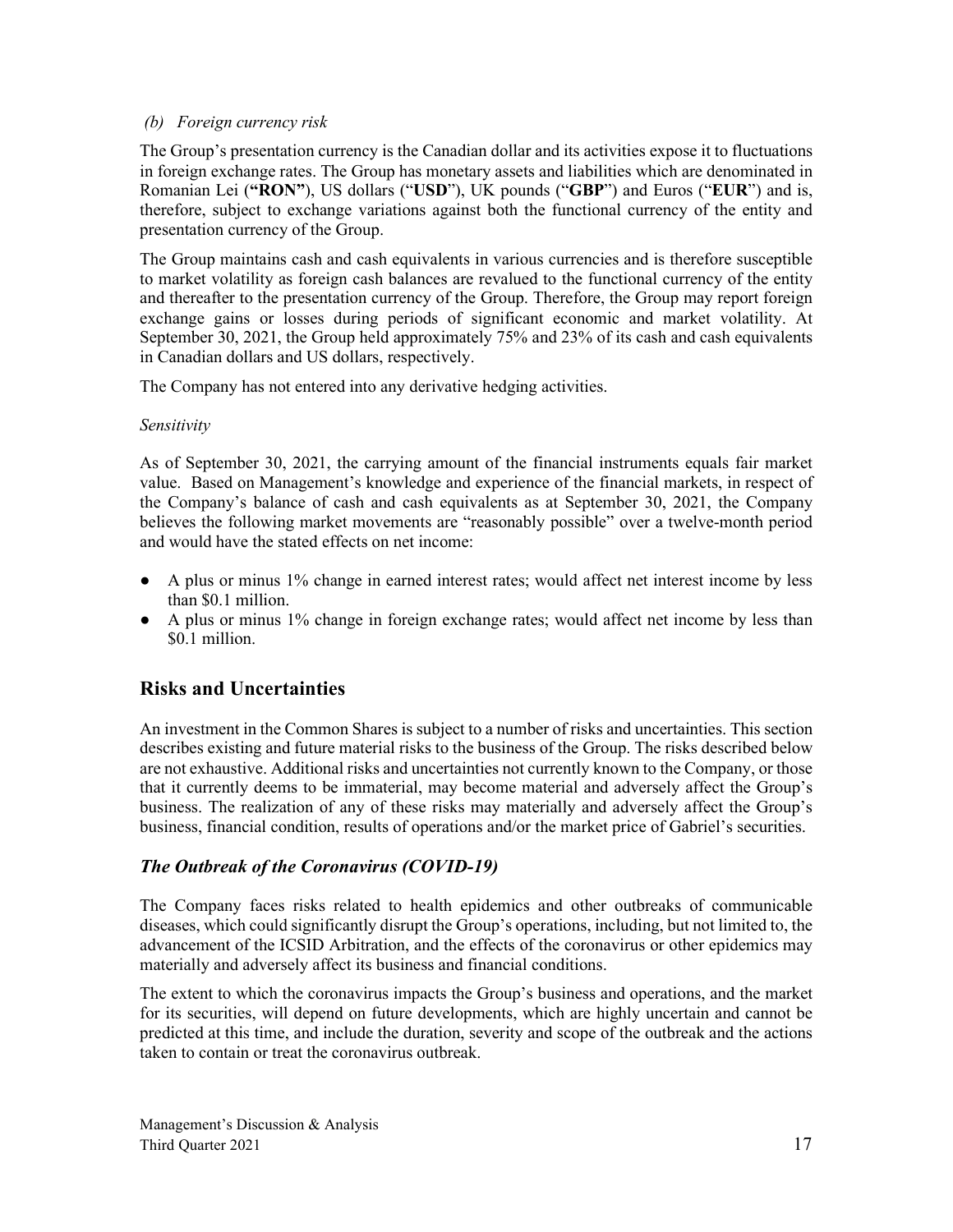### *(b) Foreign currency risk*

The Group's presentation currency is the Canadian dollar and its activities expose it to fluctuations in foreign exchange rates. The Group has monetary assets and liabilities which are denominated in Romanian Lei (**"RON"**), US dollars ("**USD**"), UK pounds ("**GBP**") and Euros ("**EUR**") and is, therefore, subject to exchange variations against both the functional currency of the entity and presentation currency of the Group.

The Group maintains cash and cash equivalents in various currencies and is therefore susceptible to market volatility as foreign cash balances are revalued to the functional currency of the entity and thereafter to the presentation currency of the Group. Therefore, the Group may report foreign exchange gains or losses during periods of significant economic and market volatility. At September 30, 2021, the Group held approximately 75% and 23% of its cash and cash equivalents in Canadian dollars and US dollars, respectively.

The Company has not entered into any derivative hedging activities.

### *Sensitivity*

As of September 30, 2021, the carrying amount of the financial instruments equals fair market value. Based on Management's knowledge and experience of the financial markets, in respect of the Company's balance of cash and cash equivalents as at September 30, 2021, the Company believes the following market movements are "reasonably possible" over a twelve-month period and would have the stated effects on net income:

- A plus or minus 1% change in earned interest rates; would affect net interest income by less than \$0.1 million.
- A plus or minus 1% change in foreign exchange rates; would affect net income by less than \$0.1 million.

# **Risks and Uncertainties**

An investment in the Common Shares is subject to a number of risks and uncertainties. This section describes existing and future material risks to the business of the Group. The risks described below are not exhaustive. Additional risks and uncertainties not currently known to the Company, or those that it currently deems to be immaterial, may become material and adversely affect the Group's business. The realization of any of these risks may materially and adversely affect the Group's business, financial condition, results of operations and/or the market price of Gabriel's securities.

# *The Outbreak of the Coronavirus (COVID‐19)*

The Company faces risks related to health epidemics and other outbreaks of communicable diseases, which could significantly disrupt the Group's operations, including, but not limited to, the advancement of the ICSID Arbitration, and the effects of the coronavirus or other epidemics may materially and adversely affect its business and financial conditions.

The extent to which the coronavirus impacts the Group's business and operations, and the market for its securities, will depend on future developments, which are highly uncertain and cannot be predicted at this time, and include the duration, severity and scope of the outbreak and the actions taken to contain or treat the coronavirus outbreak.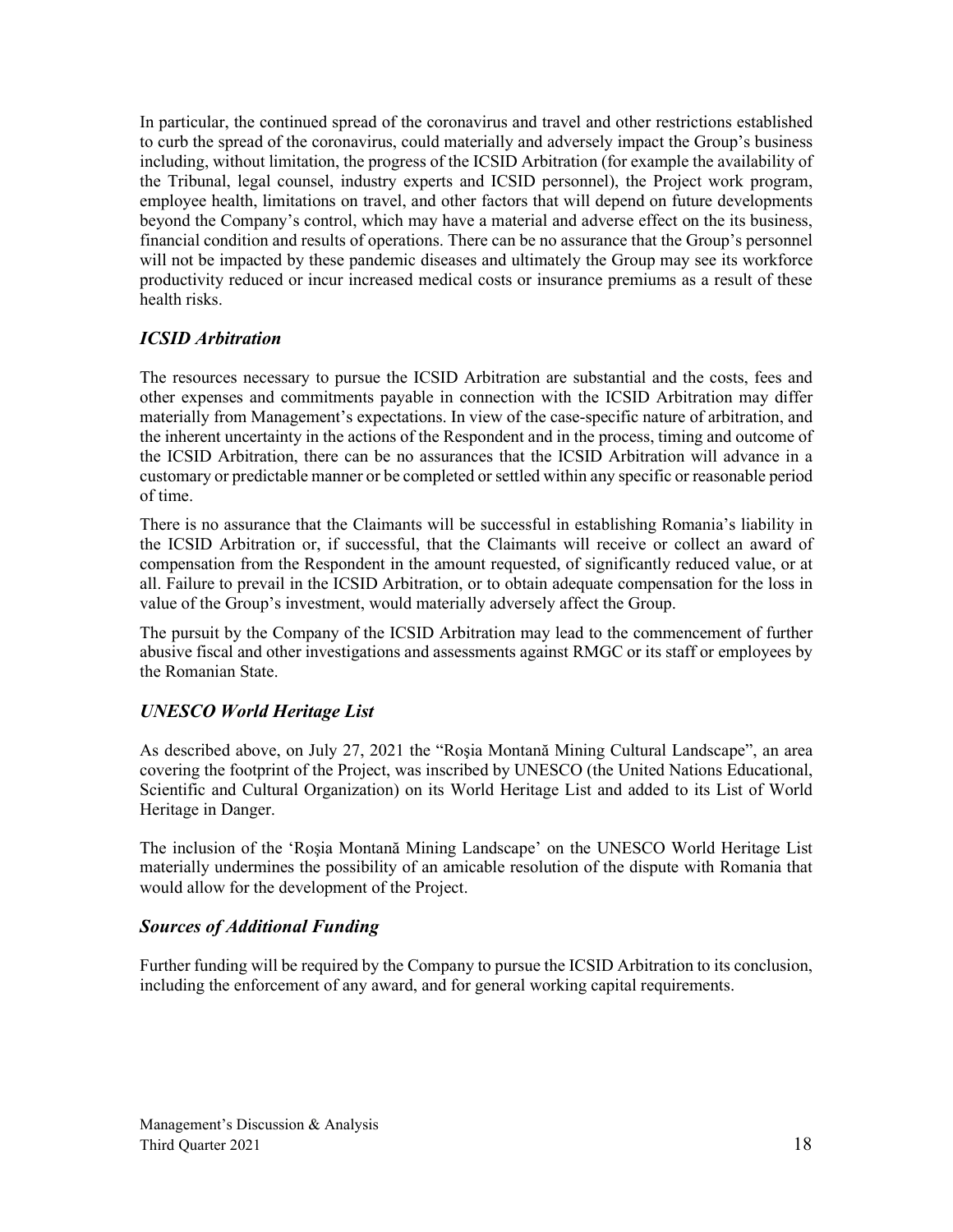In particular, the continued spread of the coronavirus and travel and other restrictions established to curb the spread of the coronavirus, could materially and adversely impact the Group's business including, without limitation, the progress of the ICSID Arbitration (for example the availability of the Tribunal, legal counsel, industry experts and ICSID personnel), the Project work program, employee health, limitations on travel, and other factors that will depend on future developments beyond the Company's control, which may have a material and adverse effect on the its business, financial condition and results of operations. There can be no assurance that the Group's personnel will not be impacted by these pandemic diseases and ultimately the Group may see its workforce productivity reduced or incur increased medical costs or insurance premiums as a result of these health risks.

# *ICSID Arbitration*

The resources necessary to pursue the ICSID Arbitration are substantial and the costs, fees and other expenses and commitments payable in connection with the ICSID Arbitration may differ materially from Management's expectations. In view of the case-specific nature of arbitration, and the inherent uncertainty in the actions of the Respondent and in the process, timing and outcome of the ICSID Arbitration, there can be no assurances that the ICSID Arbitration will advance in a customary or predictable manner or be completed or settled within any specific or reasonable period of time.

There is no assurance that the Claimants will be successful in establishing Romania's liability in the ICSID Arbitration or, if successful, that the Claimants will receive or collect an award of compensation from the Respondent in the amount requested, of significantly reduced value, or at all. Failure to prevail in the ICSID Arbitration, or to obtain adequate compensation for the loss in value of the Group's investment, would materially adversely affect the Group.

The pursuit by the Company of the ICSID Arbitration may lead to the commencement of further abusive fiscal and other investigations and assessments against RMGC or its staff or employees by the Romanian State.

# *UNESCO World Heritage List*

As described above, on July 27, 2021 the "Roşia Montană Mining Cultural Landscape", an area covering the footprint of the Project, was inscribed by UNESCO (the United Nations Educational, Scientific and Cultural Organization) on its World Heritage List and added to its List of World Heritage in Danger.

The inclusion of the 'Roşia Montană Mining Landscape' on the UNESCO World Heritage List materially undermines the possibility of an amicable resolution of the dispute with Romania that would allow for the development of the Project.

### *Sources of Additional Funding*

Further funding will be required by the Company to pursue the ICSID Arbitration to its conclusion, including the enforcement of any award, and for general working capital requirements.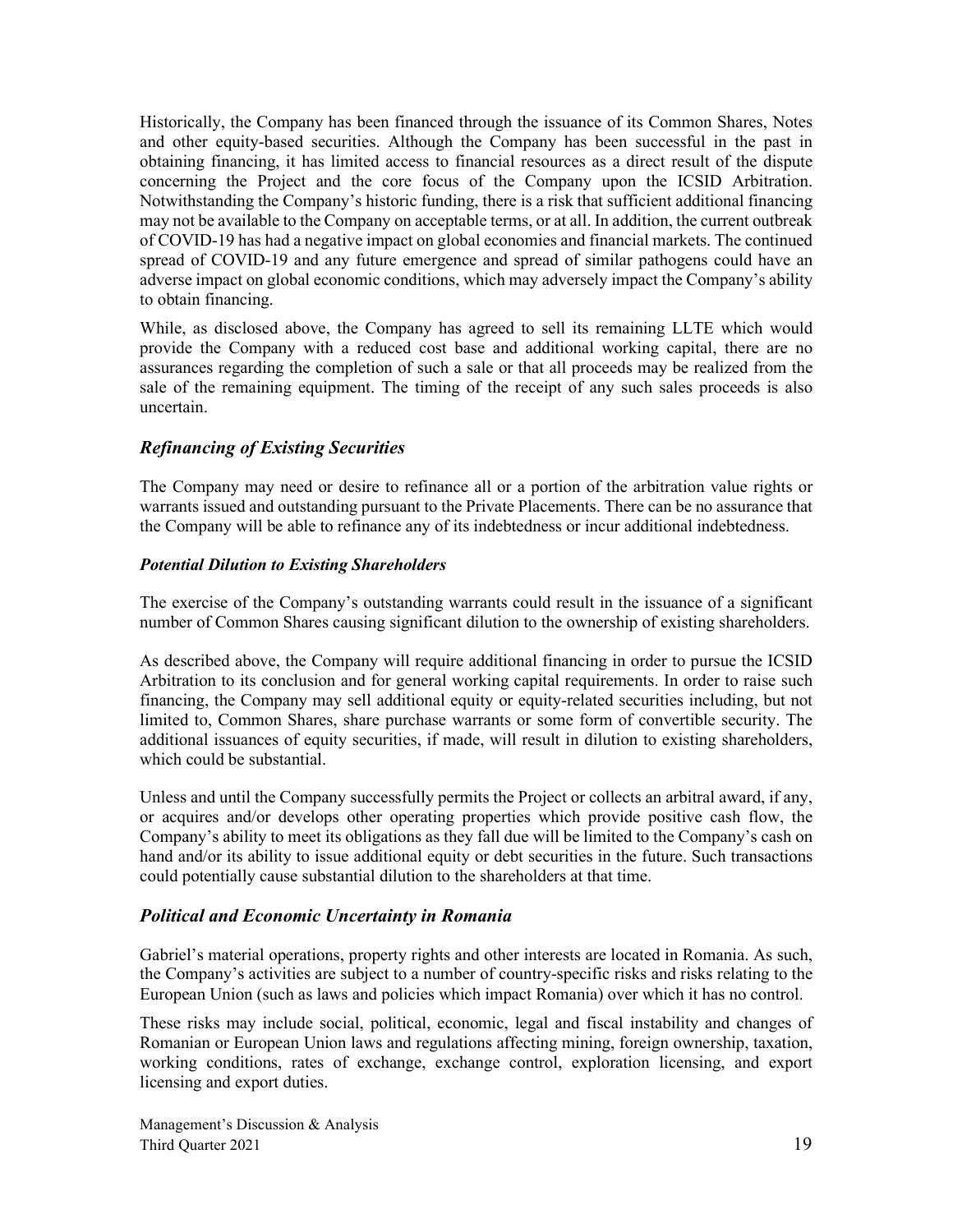Historically, the Company has been financed through the issuance of its Common Shares, Notes and other equity-based securities. Although the Company has been successful in the past in obtaining financing, it has limited access to financial resources as a direct result of the dispute concerning the Project and the core focus of the Company upon the ICSID Arbitration. Notwithstanding the Company's historic funding, there is a risk that sufficient additional financing may not be available to the Company on acceptable terms, or at all. In addition, the current outbreak of COVID-19 has had a negative impact on global economies and financial markets. The continued spread of COVID-19 and any future emergence and spread of similar pathogens could have an adverse impact on global economic conditions, which may adversely impact the Company's ability to obtain financing.

While, as disclosed above, the Company has agreed to sell its remaining LLTE which would provide the Company with a reduced cost base and additional working capital, there are no assurances regarding the completion of such a sale or that all proceeds may be realized from the sale of the remaining equipment. The timing of the receipt of any such sales proceeds is also uncertain.

### *Refinancing of Existing Securities*

The Company may need or desire to refinance all or a portion of the arbitration value rights or warrants issued and outstanding pursuant to the Private Placements. There can be no assurance that the Company will be able to refinance any of its indebtedness or incur additional indebtedness.

### *Potential Dilution to Existing Shareholders*

The exercise of the Company's outstanding warrants could result in the issuance of a significant number of Common Shares causing significant dilution to the ownership of existing shareholders.

As described above, the Company will require additional financing in order to pursue the ICSID Arbitration to its conclusion and for general working capital requirements. In order to raise such financing, the Company may sell additional equity or equity-related securities including, but not limited to, Common Shares, share purchase warrants or some form of convertible security. The additional issuances of equity securities, if made, will result in dilution to existing shareholders, which could be substantial.

Unless and until the Company successfully permits the Project or collects an arbitral award, if any, or acquires and/or develops other operating properties which provide positive cash flow, the Company's ability to meet its obligations as they fall due will be limited to the Company's cash on hand and/or its ability to issue additional equity or debt securities in the future. Such transactions could potentially cause substantial dilution to the shareholders at that time.

### *Political and Economic Uncertainty in Romania*

Gabriel's material operations, property rights and other interests are located in Romania. As such, the Company's activities are subject to a number of country-specific risks and risks relating to the European Union (such as laws and policies which impact Romania) over which it has no control.

These risks may include social, political, economic, legal and fiscal instability and changes of Romanian or European Union laws and regulations affecting mining, foreign ownership, taxation, working conditions, rates of exchange, exchange control, exploration licensing, and export licensing and export duties.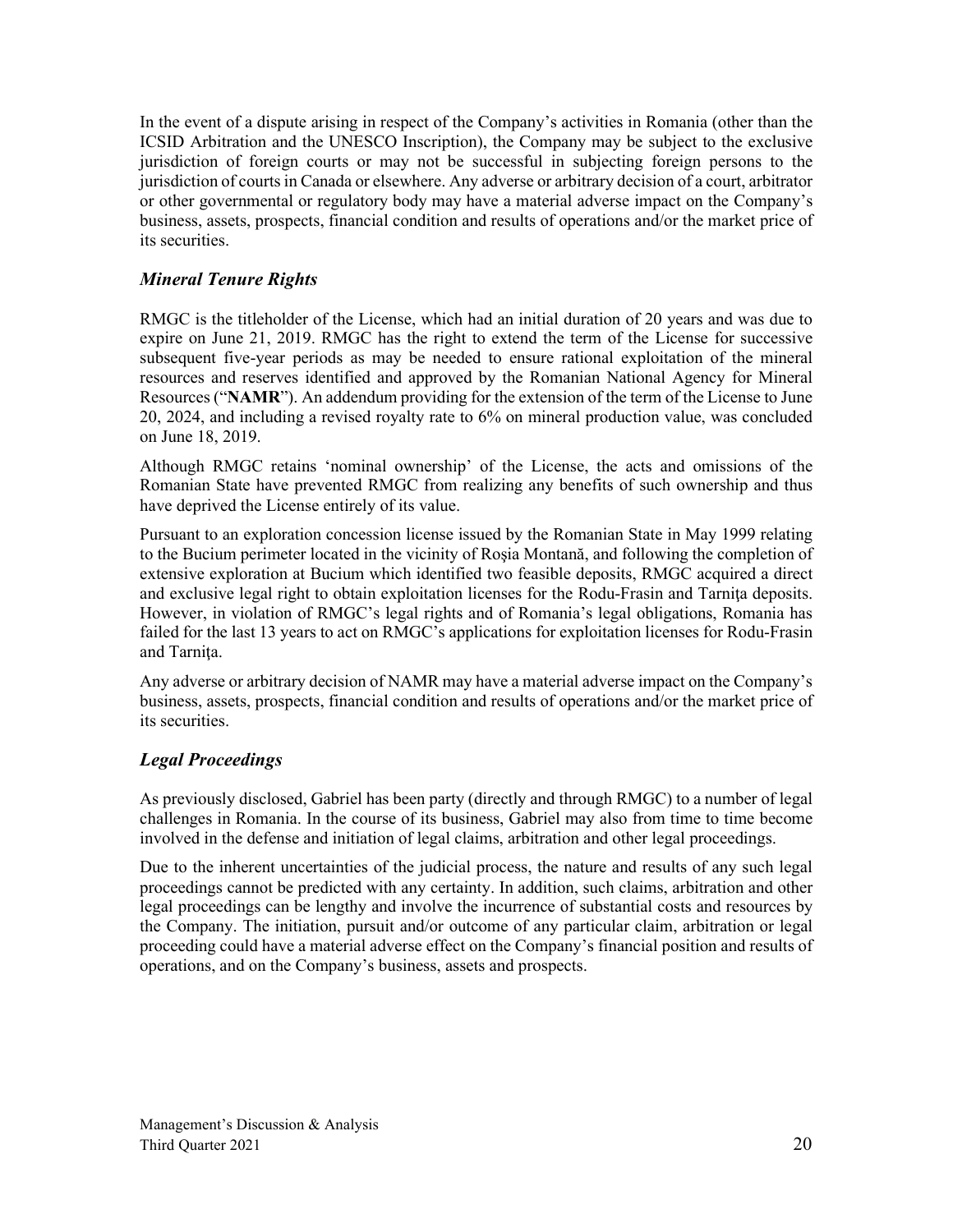In the event of a dispute arising in respect of the Company's activities in Romania (other than the ICSID Arbitration and the UNESCO Inscription), the Company may be subject to the exclusive jurisdiction of foreign courts or may not be successful in subjecting foreign persons to the jurisdiction of courts in Canada or elsewhere. Any adverse or arbitrary decision of a court, arbitrator or other governmental or regulatory body may have a material adverse impact on the Company's business, assets, prospects, financial condition and results of operations and/or the market price of its securities.

## *Mineral Tenure Rights*

RMGC is the titleholder of the License, which had an initial duration of 20 years and was due to expire on June 21, 2019. RMGC has the right to extend the term of the License for successive subsequent five-year periods as may be needed to ensure rational exploitation of the mineral resources and reserves identified and approved by the Romanian National Agency for Mineral Resources ("**NAMR**"). An addendum providing for the extension of the term of the License to June 20, 2024, and including a revised royalty rate to 6% on mineral production value, was concluded on June 18, 2019.

Although RMGC retains 'nominal ownership' of the License, the acts and omissions of the Romanian State have prevented RMGC from realizing any benefits of such ownership and thus have deprived the License entirely of its value.

Pursuant to an exploration concession license issued by the Romanian State in May 1999 relating to the Bucium perimeter located in the vicinity of Roşia Montană, and following the completion of extensive exploration at Bucium which identified two feasible deposits, RMGC acquired a direct and exclusive legal right to obtain exploitation licenses for the Rodu-Frasin and Tarnita deposits. However, in violation of RMGC's legal rights and of Romania's legal obligations, Romania has failed for the last 13 years to act on RMGC's applications for exploitation licenses for Rodu-Frasin and Tarnita.

Any adverse or arbitrary decision of NAMR may have a material adverse impact on the Company's business, assets, prospects, financial condition and results of operations and/or the market price of its securities.

# *Legal Proceedings*

As previously disclosed, Gabriel has been party (directly and through RMGC) to a number of legal challenges in Romania. In the course of its business, Gabriel may also from time to time become involved in the defense and initiation of legal claims, arbitration and other legal proceedings.

Due to the inherent uncertainties of the judicial process, the nature and results of any such legal proceedings cannot be predicted with any certainty. In addition, such claims, arbitration and other legal proceedings can be lengthy and involve the incurrence of substantial costs and resources by the Company. The initiation, pursuit and/or outcome of any particular claim, arbitration or legal proceeding could have a material adverse effect on the Company's financial position and results of operations, and on the Company's business, assets and prospects.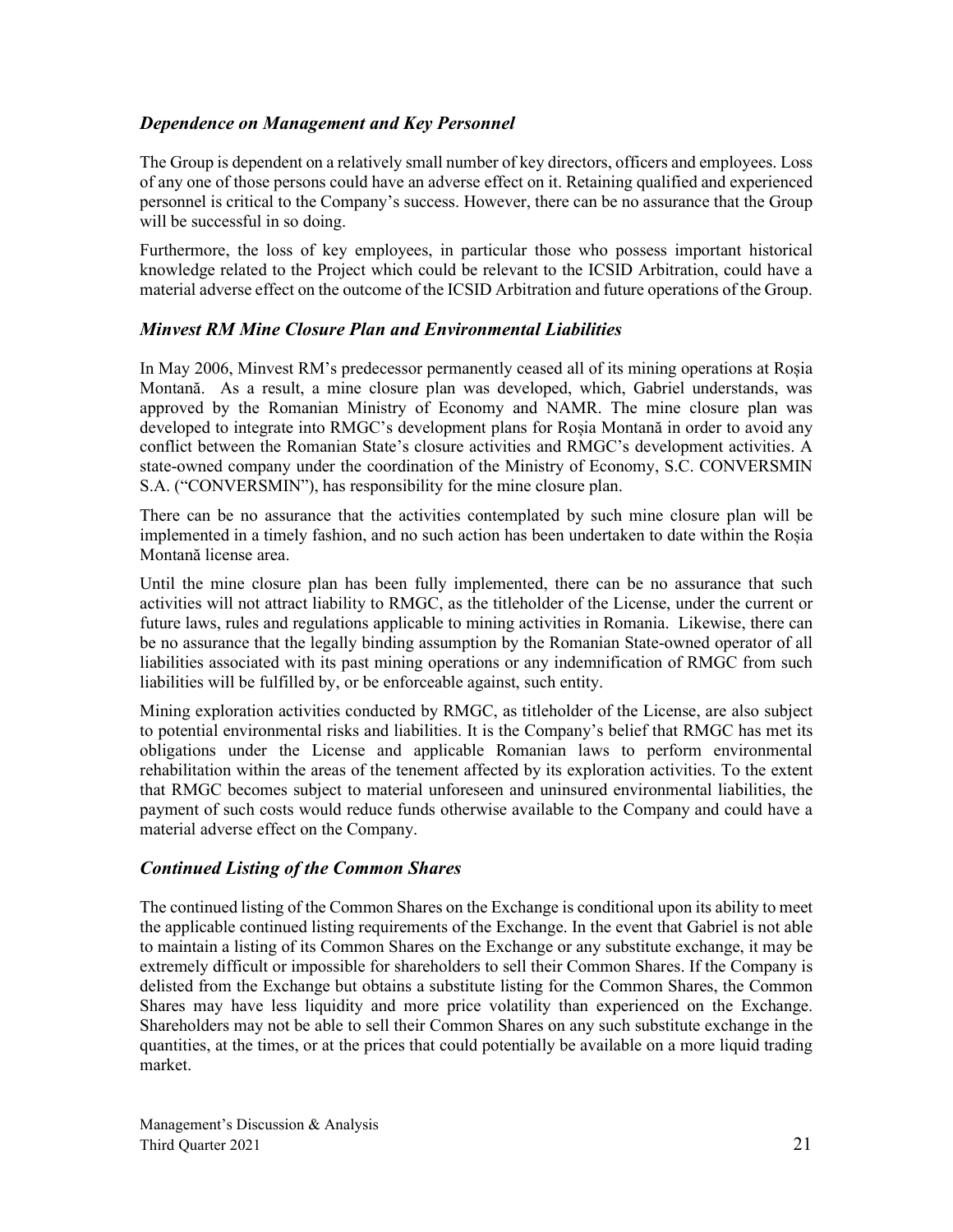## *Dependence on Management and Key Personnel*

The Group is dependent on a relatively small number of key directors, officers and employees. Loss of any one of those persons could have an adverse effect on it. Retaining qualified and experienced personnel is critical to the Company's success. However, there can be no assurance that the Group will be successful in so doing.

Furthermore, the loss of key employees, in particular those who possess important historical knowledge related to the Project which could be relevant to the ICSID Arbitration, could have a material adverse effect on the outcome of the ICSID Arbitration and future operations of the Group.

### *Minvest RM Mine Closure Plan and Environmental Liabilities*

In May 2006, Minvest RM's predecessor permanently ceased all of its mining operations at Roșia Montană. As a result, a mine closure plan was developed, which, Gabriel understands, was approved by the Romanian Ministry of Economy and NAMR. The mine closure plan was developed to integrate into RMGC's development plans for Roșia Montană in order to avoid any conflict between the Romanian State's closure activities and RMGC's development activities. A state-owned company under the coordination of the Ministry of Economy, S.C. CONVERSMIN S.A. ("CONVERSMIN"), has responsibility for the mine closure plan.

There can be no assurance that the activities contemplated by such mine closure plan will be implemented in a timely fashion, and no such action has been undertaken to date within the Roșia Montană license area.

Until the mine closure plan has been fully implemented, there can be no assurance that such activities will not attract liability to RMGC, as the titleholder of the License, under the current or future laws, rules and regulations applicable to mining activities in Romania. Likewise, there can be no assurance that the legally binding assumption by the Romanian State-owned operator of all liabilities associated with its past mining operations or any indemnification of RMGC from such liabilities will be fulfilled by, or be enforceable against, such entity.

Mining exploration activities conducted by RMGC, as titleholder of the License, are also subject to potential environmental risks and liabilities. It is the Company's belief that RMGC has met its obligations under the License and applicable Romanian laws to perform environmental rehabilitation within the areas of the tenement affected by its exploration activities. To the extent that RMGC becomes subject to material unforeseen and uninsured environmental liabilities, the payment of such costs would reduce funds otherwise available to the Company and could have a material adverse effect on the Company.

# *Continued Listing of the Common Shares*

The continued listing of the Common Shares on the Exchange is conditional upon its ability to meet the applicable continued listing requirements of the Exchange. In the event that Gabriel is not able to maintain a listing of its Common Shares on the Exchange or any substitute exchange, it may be extremely difficult or impossible for shareholders to sell their Common Shares. If the Company is delisted from the Exchange but obtains a substitute listing for the Common Shares, the Common Shares may have less liquidity and more price volatility than experienced on the Exchange. Shareholders may not be able to sell their Common Shares on any such substitute exchange in the quantities, at the times, or at the prices that could potentially be available on a more liquid trading market.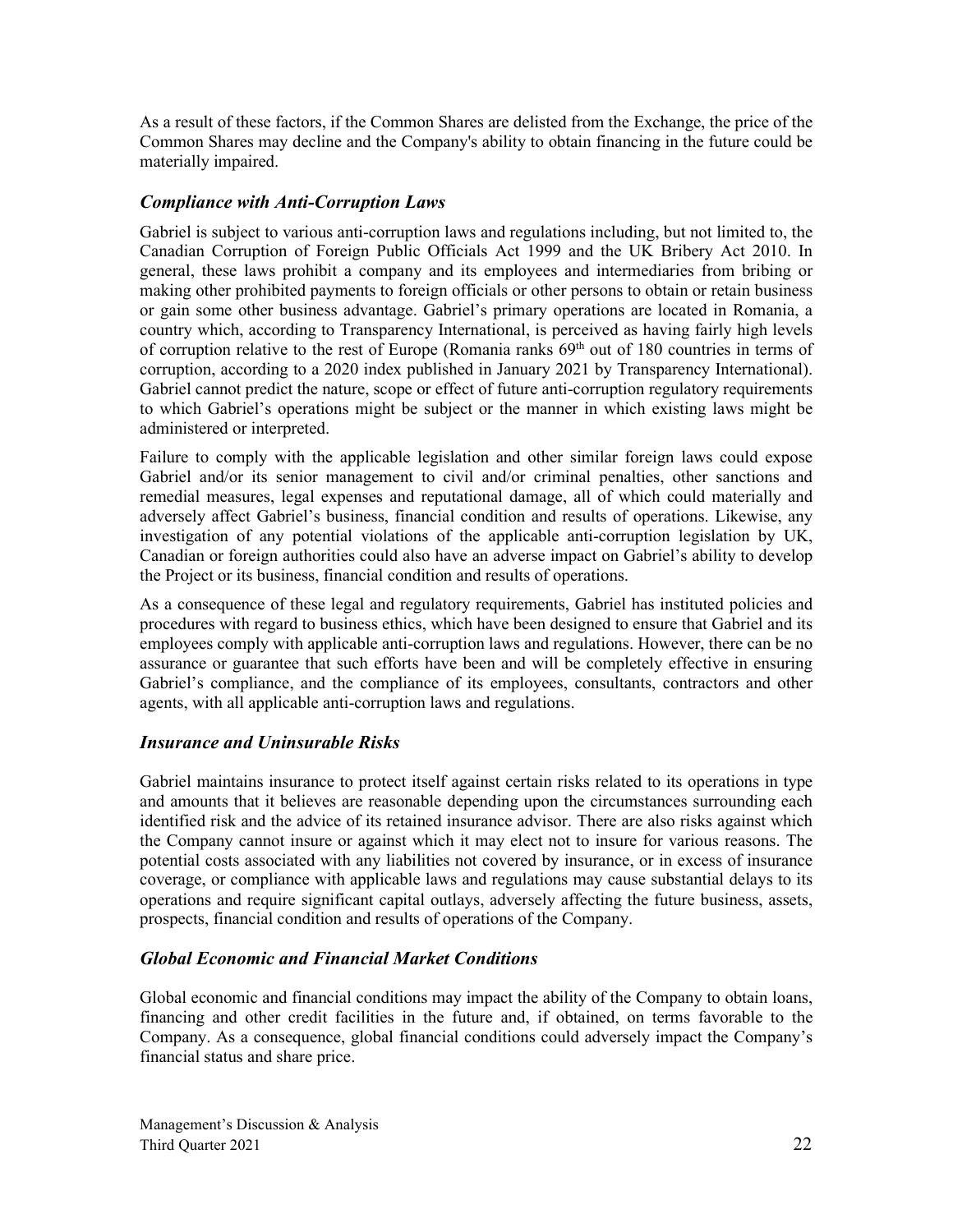As a result of these factors, if the Common Shares are delisted from the Exchange, the price of the Common Shares may decline and the Company's ability to obtain financing in the future could be materially impaired.

## *Compliance with Anti-Corruption Laws*

Gabriel is subject to various anti-corruption laws and regulations including, but not limited to, the Canadian Corruption of Foreign Public Officials Act 1999 and the UK Bribery Act 2010. In general, these laws prohibit a company and its employees and intermediaries from bribing or making other prohibited payments to foreign officials or other persons to obtain or retain business or gain some other business advantage. Gabriel's primary operations are located in Romania, a country which, according to Transparency International, is perceived as having fairly high levels of corruption relative to the rest of Europe (Romania ranks 69<sup>th</sup> out of 180 countries in terms of corruption, according to a 2020 index published in January 2021 by Transparency International). Gabriel cannot predict the nature, scope or effect of future anti-corruption regulatory requirements to which Gabriel's operations might be subject or the manner in which existing laws might be administered or interpreted.

Failure to comply with the applicable legislation and other similar foreign laws could expose Gabriel and/or its senior management to civil and/or criminal penalties, other sanctions and remedial measures, legal expenses and reputational damage, all of which could materially and adversely affect Gabriel's business, financial condition and results of operations. Likewise, any investigation of any potential violations of the applicable anti-corruption legislation by UK, Canadian or foreign authorities could also have an adverse impact on Gabriel's ability to develop the Project or its business, financial condition and results of operations.

As a consequence of these legal and regulatory requirements, Gabriel has instituted policies and procedures with regard to business ethics, which have been designed to ensure that Gabriel and its employees comply with applicable anti-corruption laws and regulations. However, there can be no assurance or guarantee that such efforts have been and will be completely effective in ensuring Gabriel's compliance, and the compliance of its employees, consultants, contractors and other agents, with all applicable anti-corruption laws and regulations.

### *Insurance and Uninsurable Risks*

Gabriel maintains insurance to protect itself against certain risks related to its operations in type and amounts that it believes are reasonable depending upon the circumstances surrounding each identified risk and the advice of its retained insurance advisor. There are also risks against which the Company cannot insure or against which it may elect not to insure for various reasons. The potential costs associated with any liabilities not covered by insurance, or in excess of insurance coverage, or compliance with applicable laws and regulations may cause substantial delays to its operations and require significant capital outlays, adversely affecting the future business, assets, prospects, financial condition and results of operations of the Company.

# *Global Economic and Financial Market Conditions*

Global economic and financial conditions may impact the ability of the Company to obtain loans, financing and other credit facilities in the future and, if obtained, on terms favorable to the Company. As a consequence, global financial conditions could adversely impact the Company's financial status and share price.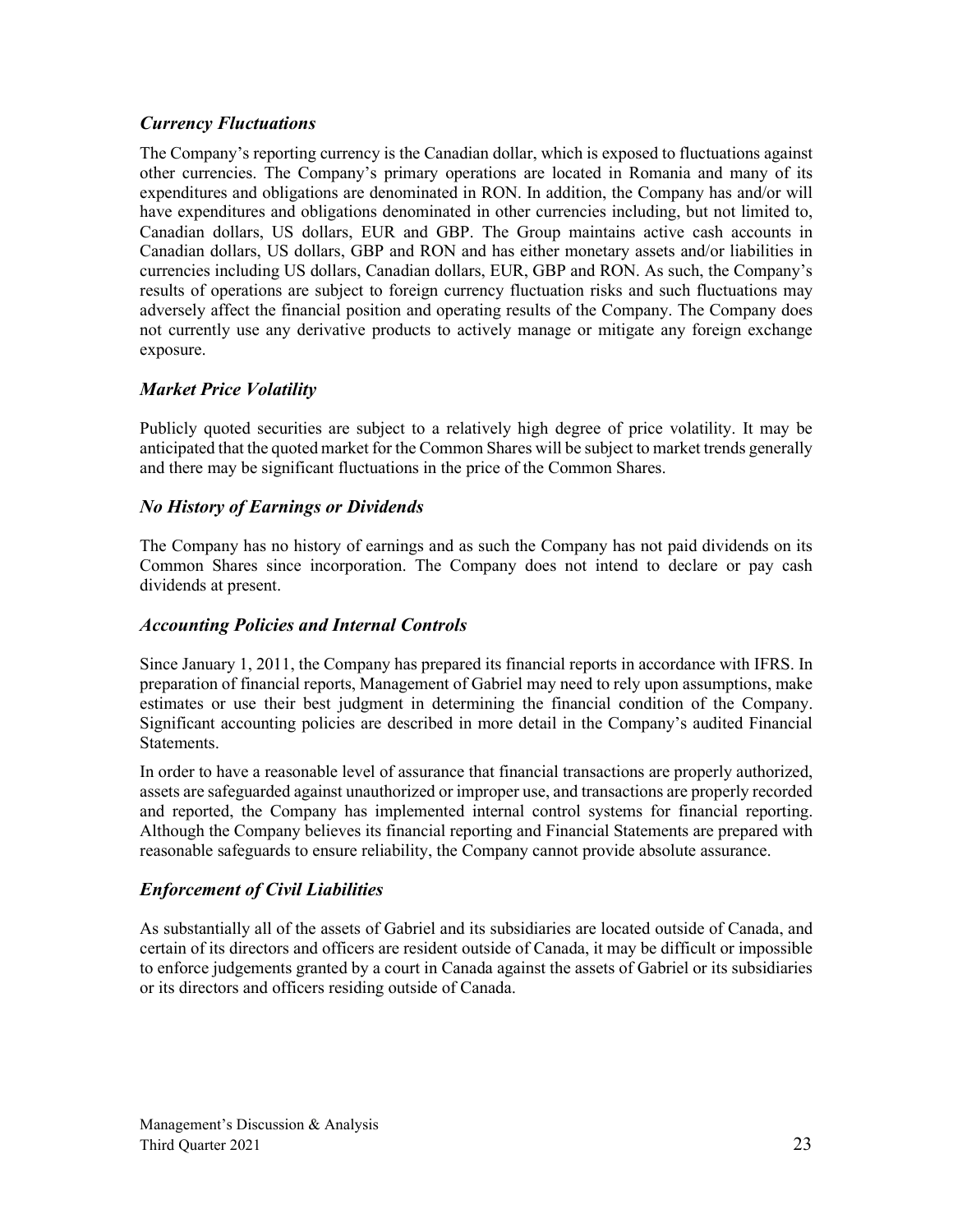# *Currency Fluctuations*

The Company's reporting currency is the Canadian dollar, which is exposed to fluctuations against other currencies. The Company's primary operations are located in Romania and many of its expenditures and obligations are denominated in RON. In addition, the Company has and/or will have expenditures and obligations denominated in other currencies including, but not limited to, Canadian dollars, US dollars, EUR and GBP. The Group maintains active cash accounts in Canadian dollars, US dollars, GBP and RON and has either monetary assets and/or liabilities in currencies including US dollars, Canadian dollars, EUR, GBP and RON. As such, the Company's results of operations are subject to foreign currency fluctuation risks and such fluctuations may adversely affect the financial position and operating results of the Company. The Company does not currently use any derivative products to actively manage or mitigate any foreign exchange exposure.

### *Market Price Volatility*

Publicly quoted securities are subject to a relatively high degree of price volatility. It may be anticipated that the quoted market for the Common Shares will be subject to market trends generally and there may be significant fluctuations in the price of the Common Shares.

### *No History of Earnings or Dividends*

The Company has no history of earnings and as such the Company has not paid dividends on its Common Shares since incorporation. The Company does not intend to declare or pay cash dividends at present.

### *Accounting Policies and Internal Controls*

Since January 1, 2011, the Company has prepared its financial reports in accordance with IFRS. In preparation of financial reports, Management of Gabriel may need to rely upon assumptions, make estimates or use their best judgment in determining the financial condition of the Company. Significant accounting policies are described in more detail in the Company's audited Financial Statements.

In order to have a reasonable level of assurance that financial transactions are properly authorized, assets are safeguarded against unauthorized or improper use, and transactions are properly recorded and reported, the Company has implemented internal control systems for financial reporting. Although the Company believes its financial reporting and Financial Statements are prepared with reasonable safeguards to ensure reliability, the Company cannot provide absolute assurance.

### *Enforcement of Civil Liabilities*

As substantially all of the assets of Gabriel and its subsidiaries are located outside of Canada, and certain of its directors and officers are resident outside of Canada, it may be difficult or impossible to enforce judgements granted by a court in Canada against the assets of Gabriel or its subsidiaries or its directors and officers residing outside of Canada.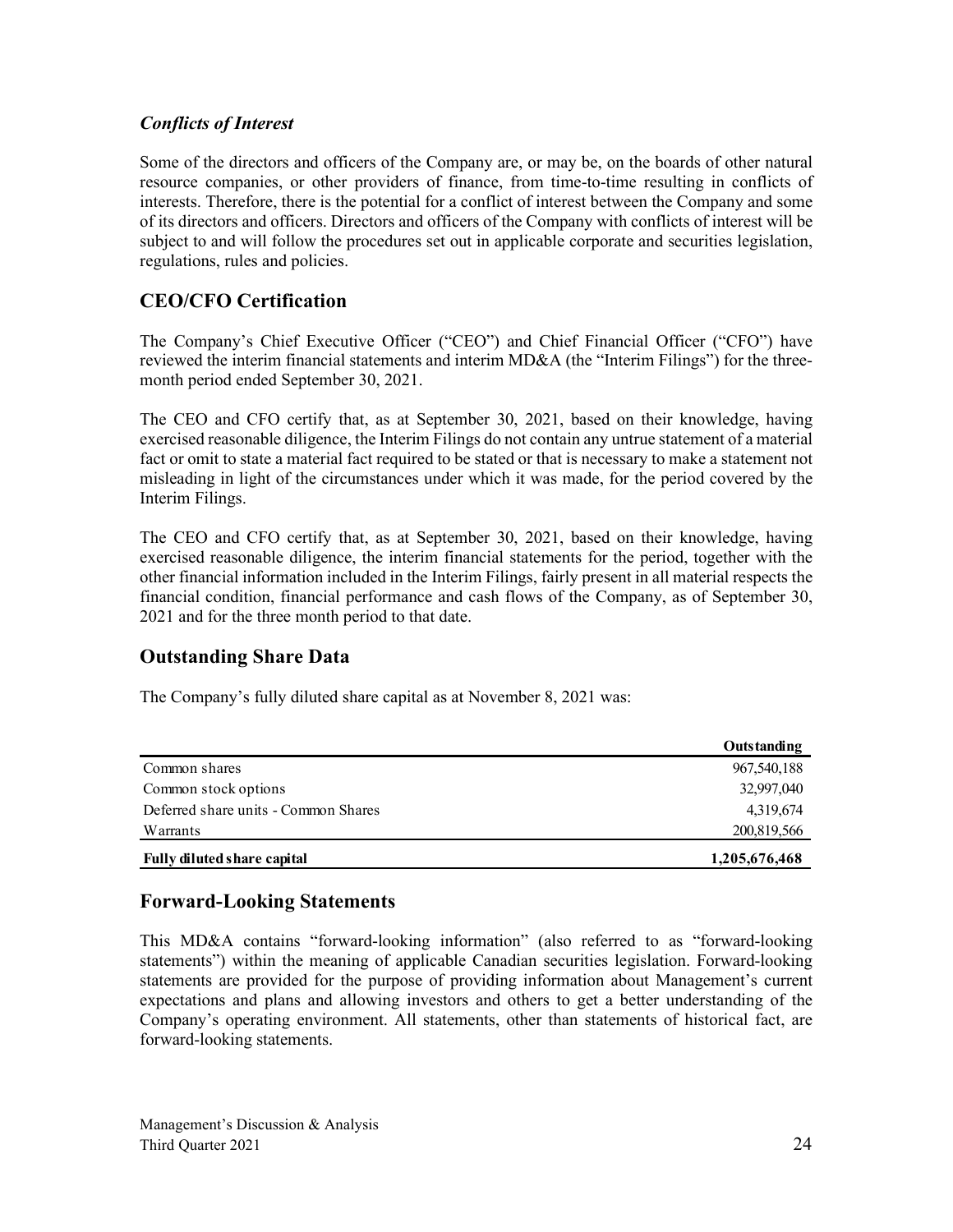# *Conflicts of Interest*

Some of the directors and officers of the Company are, or may be, on the boards of other natural resource companies, or other providers of finance, from time-to-time resulting in conflicts of interests. Therefore, there is the potential for a conflict of interest between the Company and some of its directors and officers. Directors and officers of the Company with conflicts of interest will be subject to and will follow the procedures set out in applicable corporate and securities legislation, regulations, rules and policies.

# **CEO/CFO Certification**

The Company's Chief Executive Officer ("CEO") and Chief Financial Officer ("CFO") have reviewed the interim financial statements and interim MD&A (the "Interim Filings") for the threemonth period ended September 30, 2021.

The CEO and CFO certify that, as at September 30, 2021, based on their knowledge, having exercised reasonable diligence, the Interim Filings do not contain any untrue statement of a material fact or omit to state a material fact required to be stated or that is necessary to make a statement not misleading in light of the circumstances under which it was made, for the period covered by the Interim Filings.

The CEO and CFO certify that, as at September 30, 2021, based on their knowledge, having exercised reasonable diligence, the interim financial statements for the period, together with the other financial information included in the Interim Filings, fairly present in all material respects the financial condition, financial performance and cash flows of the Company, as of September 30, 2021 and for the three month period to that date.

# **Outstanding Share Data**

The Company's fully diluted share capital as at November 8, 2021 was:

|                                      | Outstanding   |
|--------------------------------------|---------------|
| Common shares                        | 967,540,188   |
| Common stock options                 | 32,997,040    |
| Deferred share units - Common Shares | 4,319,674     |
| Warrants                             | 200,819,566   |
| Fully diluted share capital          | 1,205,676,468 |

# **Forward-Looking Statements**

This MD&A contains "forward-looking information" (also referred to as "forward-looking statements") within the meaning of applicable Canadian securities legislation. Forward-looking statements are provided for the purpose of providing information about Management's current expectations and plans and allowing investors and others to get a better understanding of the Company's operating environment. All statements, other than statements of historical fact, are forward-looking statements.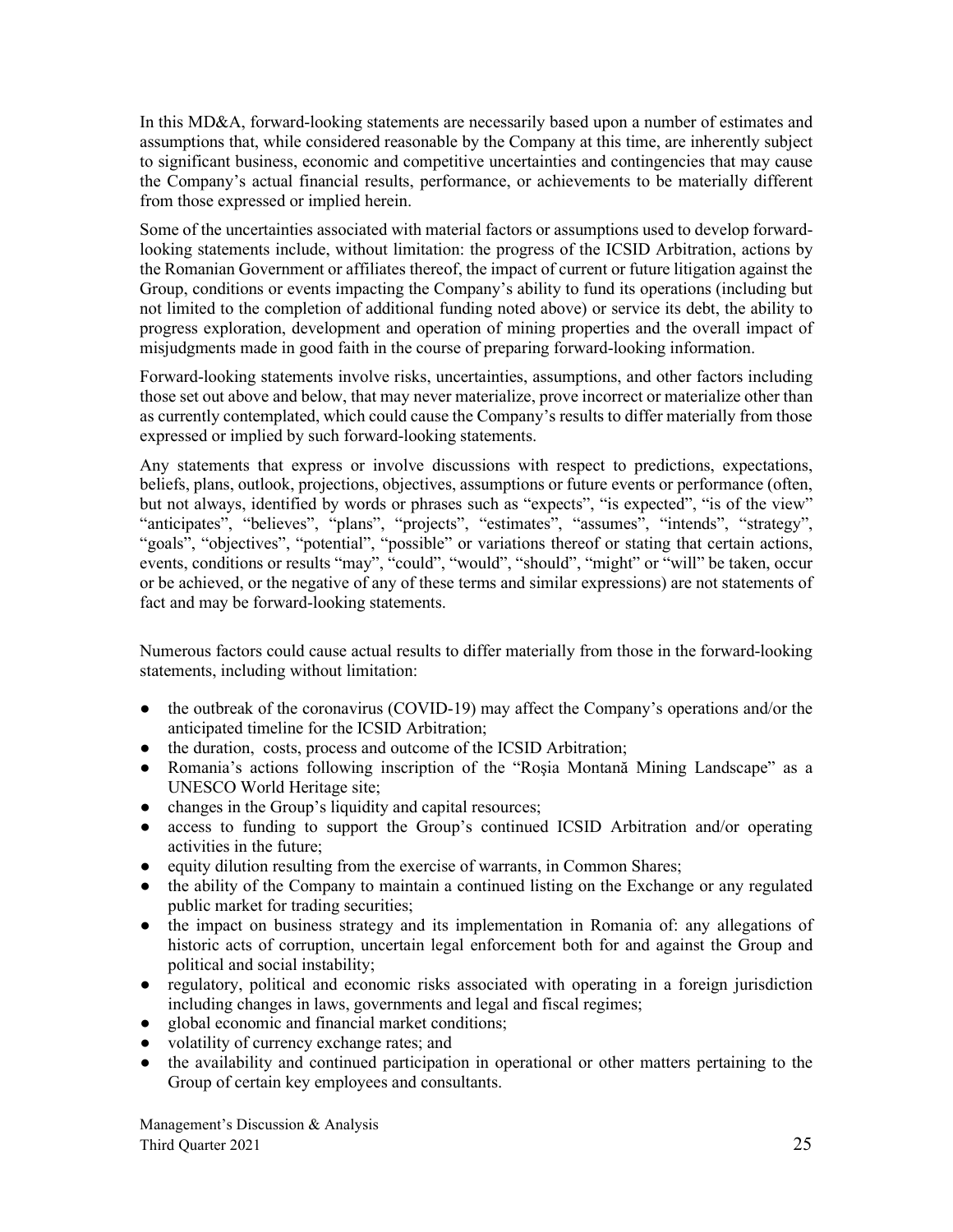In this MD&A, forward-looking statements are necessarily based upon a number of estimates and assumptions that, while considered reasonable by the Company at this time, are inherently subject to significant business, economic and competitive uncertainties and contingencies that may cause the Company's actual financial results, performance, or achievements to be materially different from those expressed or implied herein.

Some of the uncertainties associated with material factors or assumptions used to develop forwardlooking statements include, without limitation: the progress of the ICSID Arbitration, actions by the Romanian Government or affiliates thereof, the impact of current or future litigation against the Group, conditions or events impacting the Company's ability to fund its operations (including but not limited to the completion of additional funding noted above) or service its debt, the ability to progress exploration, development and operation of mining properties and the overall impact of misjudgments made in good faith in the course of preparing forward-looking information.

Forward-looking statements involve risks, uncertainties, assumptions, and other factors including those set out above and below, that may never materialize, prove incorrect or materialize other than as currently contemplated, which could cause the Company's results to differ materially from those expressed or implied by such forward-looking statements.

Any statements that express or involve discussions with respect to predictions, expectations, beliefs, plans, outlook, projections, objectives, assumptions or future events or performance (often, but not always, identified by words or phrases such as "expects", "is expected", "is of the view" "anticipates", "believes", "plans", "projects", "estimates", "assumes", "intends", "strategy", "goals", "objectives", "potential", "possible" or variations thereof or stating that certain actions, events, conditions or results "may", "could", "would", "should", "might" or "will" be taken, occur or be achieved, or the negative of any of these terms and similar expressions) are not statements of fact and may be forward-looking statements.

Numerous factors could cause actual results to differ materially from those in the forward-looking statements, including without limitation:

- the outbreak of the coronavirus (COVID-19) may affect the Company's operations and/or the anticipated timeline for the ICSID Arbitration;
- the duration, costs, process and outcome of the ICSID Arbitration;
- Romania's actions following inscription of the "Roşia Montană Mining Landscape" as a UNESCO World Heritage site;
- changes in the Group's liquidity and capital resources;
- access to funding to support the Group's continued ICSID Arbitration and/or operating activities in the future;
- equity dilution resulting from the exercise of warrants, in Common Shares;
- the ability of the Company to maintain a continued listing on the Exchange or any regulated public market for trading securities;
- the impact on business strategy and its implementation in Romania of: any allegations of historic acts of corruption, uncertain legal enforcement both for and against the Group and political and social instability;
- regulatory, political and economic risks associated with operating in a foreign jurisdiction including changes in laws, governments and legal and fiscal regimes;
- global economic and financial market conditions;
- volatility of currency exchange rates; and
- the availability and continued participation in operational or other matters pertaining to the Group of certain key employees and consultants.

Management's Discussion & Analysis Third Quarter 2021 25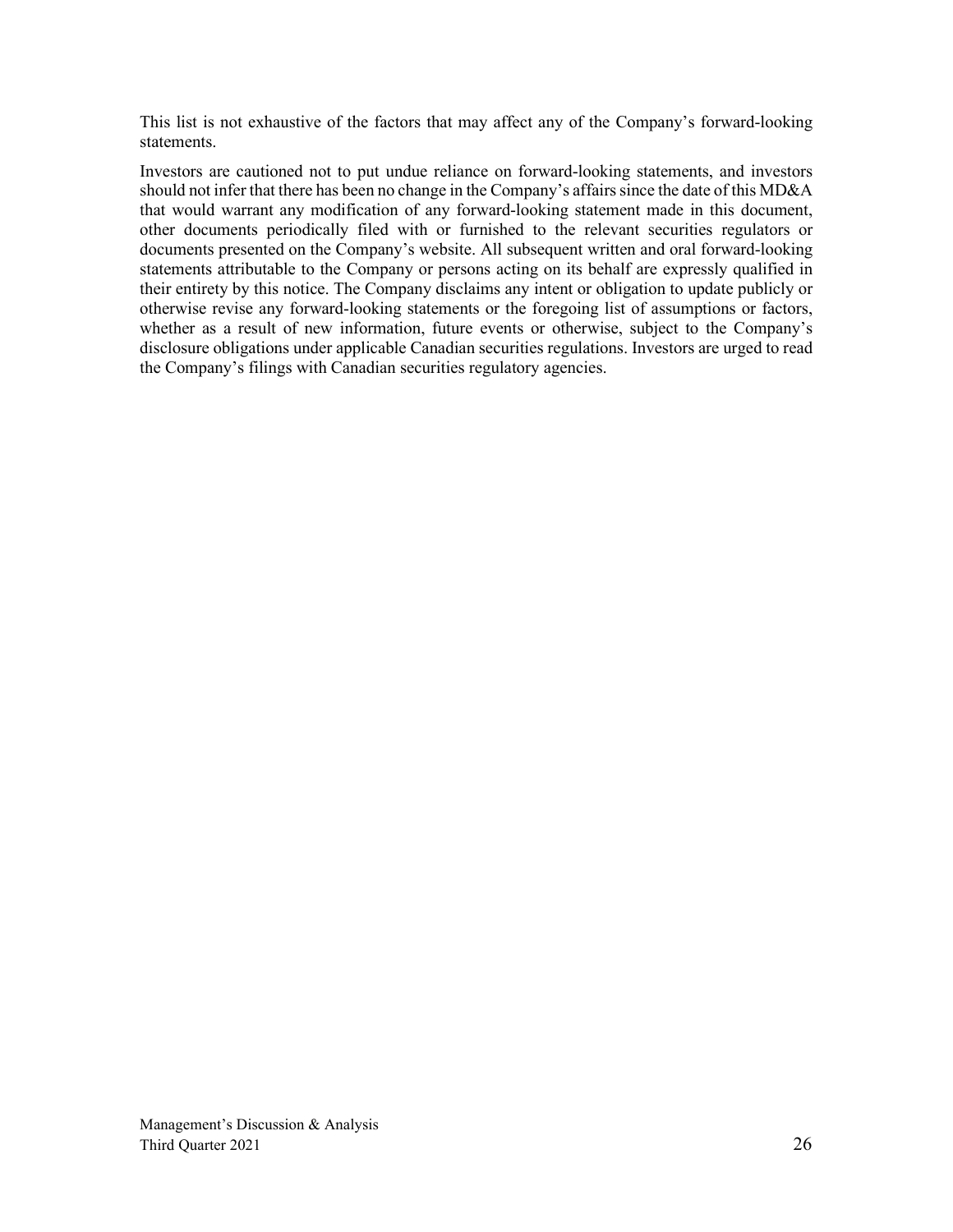This list is not exhaustive of the factors that may affect any of the Company's forward-looking statements.

Investors are cautioned not to put undue reliance on forward-looking statements, and investors should not infer that there has been no change in the Company's affairs since the date of this MD&A that would warrant any modification of any forward-looking statement made in this document, other documents periodically filed with or furnished to the relevant securities regulators or documents presented on the Company's website. All subsequent written and oral forward-looking statements attributable to the Company or persons acting on its behalf are expressly qualified in their entirety by this notice. The Company disclaims any intent or obligation to update publicly or otherwise revise any forward-looking statements or the foregoing list of assumptions or factors, whether as a result of new information, future events or otherwise, subject to the Company's disclosure obligations under applicable Canadian securities regulations. Investors are urged to read the Company's filings with Canadian securities regulatory agencies.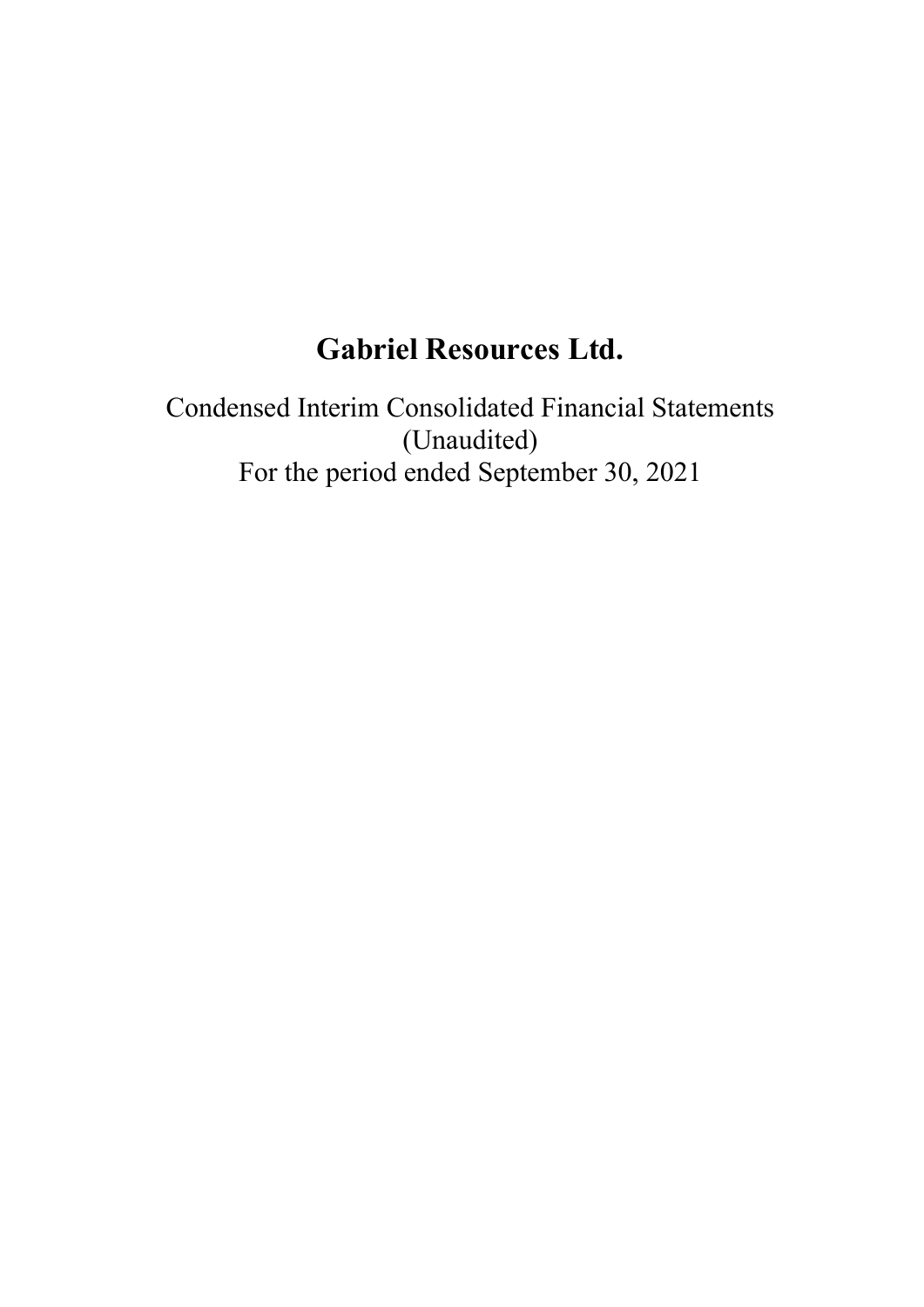# **Gabriel Resources Ltd.**

Condensed Interim Consolidated Financial Statements (Unaudited) For the period ended September 30, 2021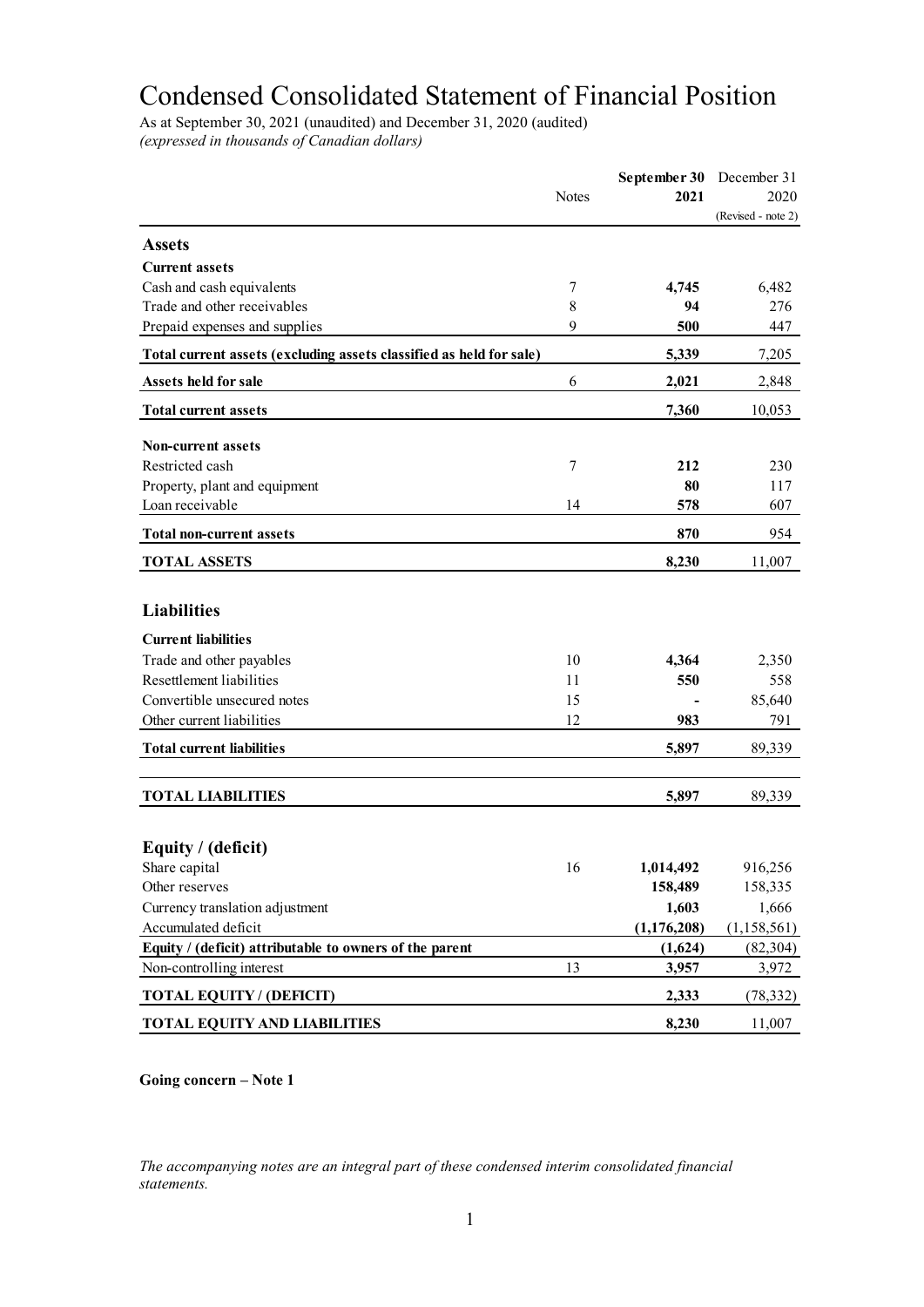# Condensed Consolidated Statement of Financial Position

As at September 30, 2021 (unaudited) and December 31, 2020 (audited) *(expressed in thousands of Canadian dollars)* 

|                                                                     |              | September 30 December 31 |                    |
|---------------------------------------------------------------------|--------------|--------------------------|--------------------|
|                                                                     | <b>Notes</b> | 2021                     | 2020               |
|                                                                     |              |                          | (Revised - note 2) |
| <b>Assets</b>                                                       |              |                          |                    |
| <b>Current assets</b>                                               |              |                          |                    |
| Cash and cash equivalents                                           | 7            | 4,745                    | 6,482              |
| Trade and other receivables                                         | $8\,$        | 94                       | 276                |
| Prepaid expenses and supplies                                       | 9            | 500                      | 447                |
| Total current assets (excluding assets classified as held for sale) |              | 5,339                    | 7,205              |
| Assets held for sale                                                | 6            | 2,021                    | 2,848              |
| <b>Total current assets</b>                                         |              | 7,360                    | 10,053             |
| <b>Non-current assets</b>                                           |              |                          |                    |
| Restricted cash                                                     | 7            | 212                      | 230                |
| Property, plant and equipment                                       |              | 80                       | 117                |
| Loan receivable                                                     | 14           | 578                      | 607                |
| <b>Total non-current assets</b>                                     |              | 870                      | 954                |
| <b>TOTAL ASSETS</b>                                                 |              | 8,230                    | 11,007             |
|                                                                     |              |                          |                    |
| <b>Liabilities</b>                                                  |              |                          |                    |
| <b>Current liabilities</b>                                          |              |                          |                    |
| Trade and other payables                                            | 10           | 4,364                    | 2,350              |
| Resettlement liabilities                                            | 11           | 550                      | 558                |
| Convertible unsecured notes                                         | 15           |                          | 85,640             |
| Other current liabilities                                           | 12           | 983                      | 791                |
| <b>Total current liabilities</b>                                    |              | 5,897                    | 89,339             |
|                                                                     |              |                          |                    |
| <b>TOTAL LIABILITIES</b>                                            |              | 5,897                    | 89,339             |
|                                                                     |              |                          |                    |
| Equity / (deficit)                                                  |              |                          |                    |
| Share capital<br>Other reserves                                     | 16           | 1,014,492<br>158,489     | 916,256<br>158,335 |
| Currency translation adjustment                                     |              | 1,603                    | 1,666              |
| Accumulated deficit                                                 |              | (1, 176, 208)            | (1, 158, 561)      |
| Equity / (deficit) attributable to owners of the parent             |              | (1,624)                  | (82, 304)          |
| Non-controlling interest                                            | 13           | 3,957                    | 3,972              |
| <b>TOTAL EQUITY / (DEFICIT)</b>                                     |              | 2,333                    | (78, 332)          |
| <b>TOTAL EQUITY AND LIABILITIES</b>                                 |              | 8,230                    | 11,007             |
|                                                                     |              |                          |                    |

**Going concern – Note 1**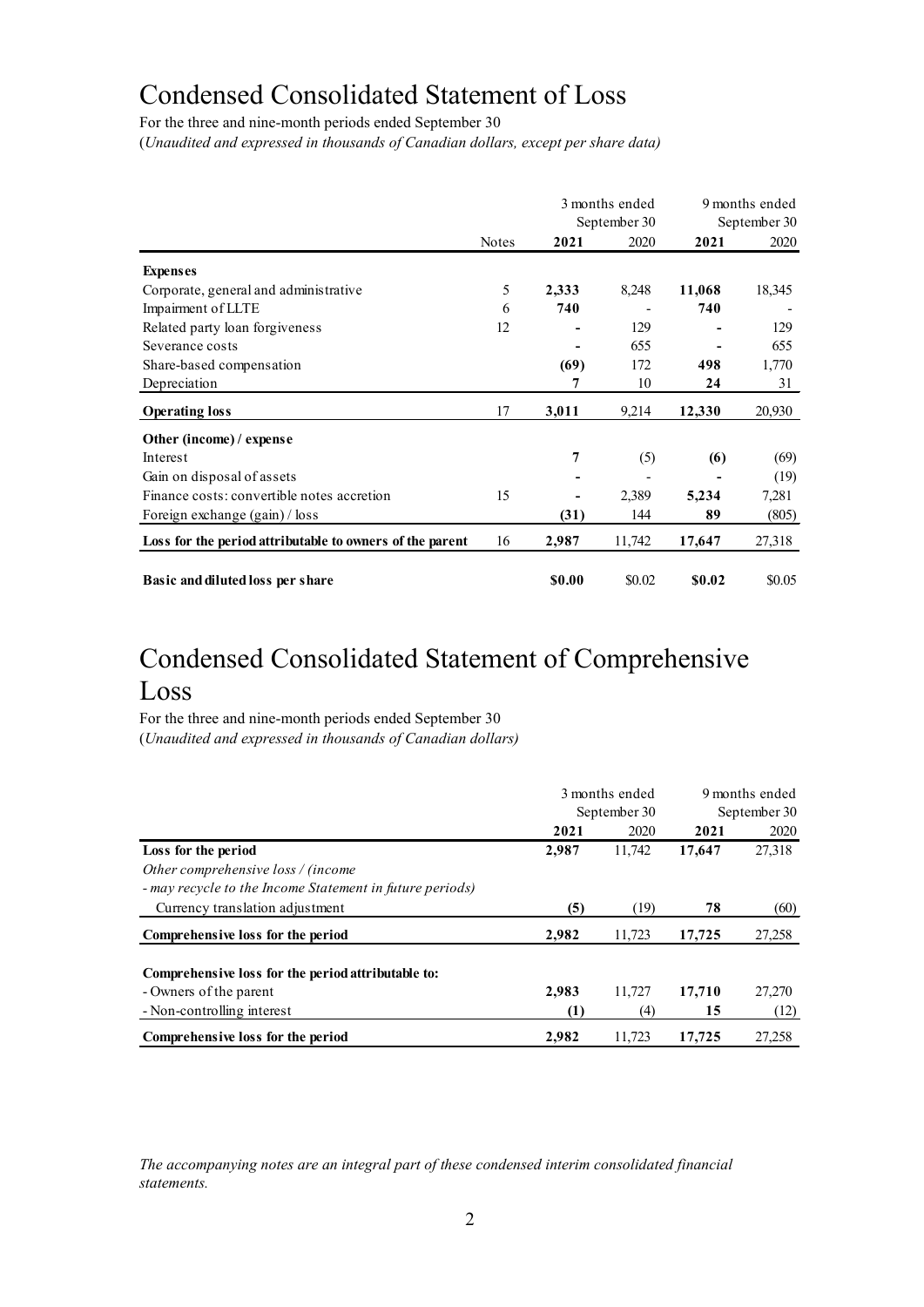# Condensed Consolidated Statement of Loss

For the three and nine-month periods ended September 30

(*Unaudited and expressed in thousands of Canadian dollars, except per share data)* 

|                                                          |              |        | 3 months ended<br>September 30 |        | 9 months ended<br>September 30 |
|----------------------------------------------------------|--------------|--------|--------------------------------|--------|--------------------------------|
|                                                          | <b>Notes</b> | 2021   | 2020                           | 2021   | 2020                           |
| <b>Expenses</b>                                          |              |        |                                |        |                                |
| Corporate, general and administrative                    | 5            | 2,333  | 8,248                          | 11,068 | 18,345                         |
| Impairment of LLTE                                       | 6            | 740    |                                | 740    |                                |
| Related party loan forgiveness                           | 12           |        | 129                            |        | 129                            |
| Severance costs                                          |              |        | 655                            |        | 655                            |
| Share-based compensation                                 |              | (69)   | 172                            | 498    | 1,770                          |
| Depreciation                                             |              | 7      | 10                             | 24     | 31                             |
| <b>Operating loss</b>                                    | 17           | 3,011  | 9,214                          | 12,330 | 20,930                         |
| Other (income) / expense                                 |              |        |                                |        |                                |
| Interest                                                 |              | 7      | (5)                            | (6)    | (69)                           |
| Gain on disposal of assets                               |              |        |                                |        | (19)                           |
| Finance costs: convertible notes accretion               | 15           | -      | 2,389                          | 5,234  | 7,281                          |
| Foreign exchange (gain) / loss                           |              | (31)   | 144                            | 89     | (805)                          |
| Loss for the period attributable to owners of the parent | 16           | 2,987  | 11,742                         | 17,647 | 27,318                         |
| Basic and diluted loss per share                         |              | \$0.00 | \$0.02                         | \$0.02 | \$0.05                         |

# Condensed Consolidated Statement of Comprehensive Loss

For the three and nine-month periods ended September 30 (*Unaudited and expressed in thousands of Canadian dollars)*

|                                                          |                  | 3 months ended | 9 months ended |              |  |
|----------------------------------------------------------|------------------|----------------|----------------|--------------|--|
|                                                          |                  | September 30   |                | September 30 |  |
|                                                          | 2021             | 2020           | 2021           | 2020         |  |
| Loss for the period                                      | 2,987            | 11,742         | 17,647         | 27,318       |  |
| Other comprehensive loss / (income                       |                  |                |                |              |  |
| - may recycle to the Income Statement in future periods) |                  |                |                |              |  |
| Currency translation adjustment                          | (5)              | (19)           | 78             | (60)         |  |
| Comprehensive loss for the period                        | 2,982            | 11,723         | 17,725         | 27,258       |  |
| Comprehensive loss for the period attributable to:       |                  |                |                |              |  |
| - Owners of the parent                                   | 2.983            | 11.727         | 17,710         | 27,270       |  |
| - Non-controlling interest                               | $\left(1\right)$ | (4)            | 15             | (12)         |  |
| Comprehensive loss for the period                        | 2.982            | 11.723         | 17,725         | 27,258       |  |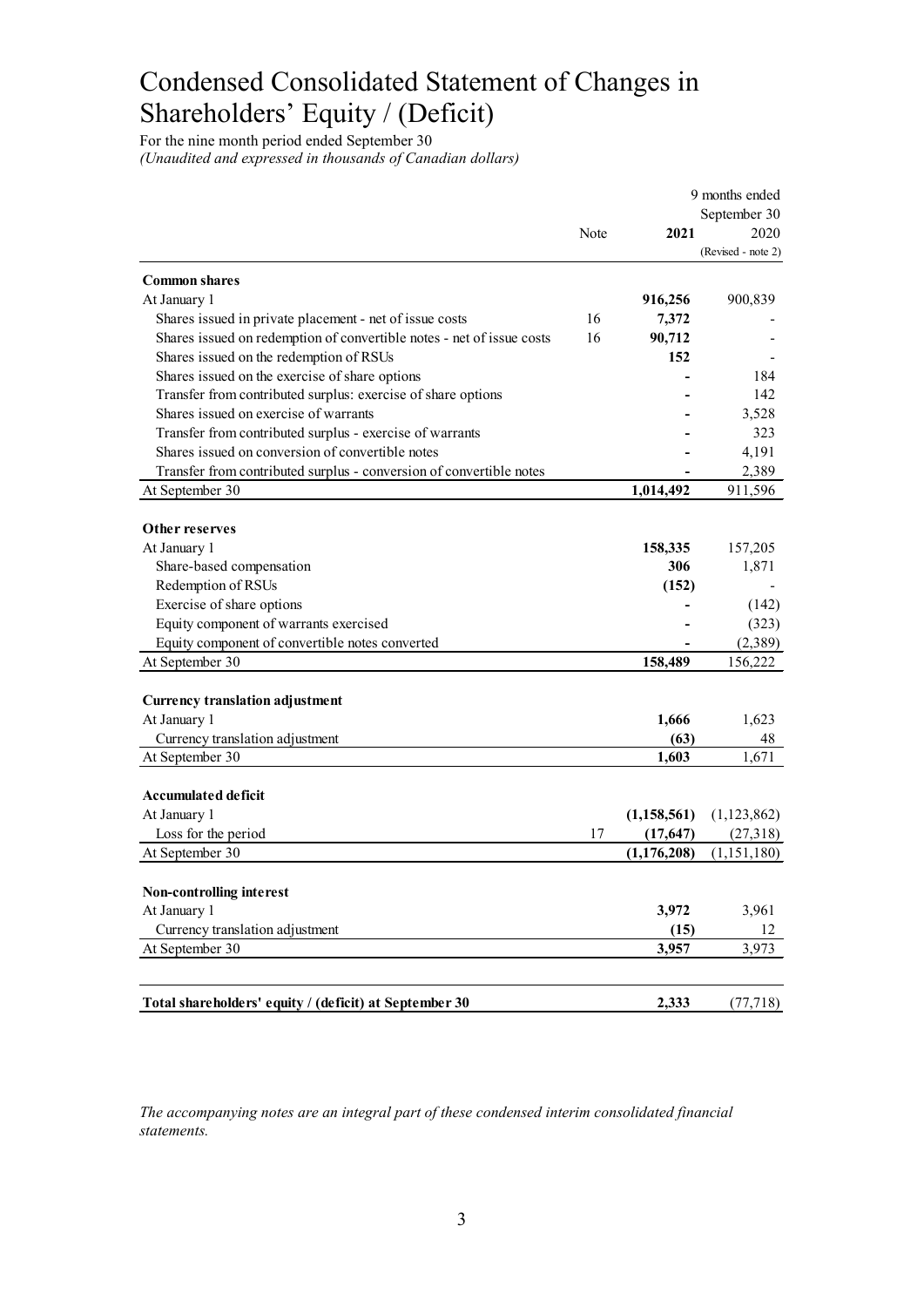# Condensed Consolidated Statement of Changes in Shareholders' Equity / (Deficit)

For the nine month period ended September 30 *(Unaudited and expressed in thousands of Canadian dollars)* 

|                                                                       |      |               | 9 months ended     |
|-----------------------------------------------------------------------|------|---------------|--------------------|
|                                                                       |      | September 30  |                    |
|                                                                       | Note | 2021          | 2020               |
|                                                                       |      |               | (Revised - note 2) |
| <b>Common shares</b>                                                  |      |               |                    |
| At January 1                                                          |      | 916,256       | 900,839            |
| Shares issued in private placement - net of issue costs               | 16   | 7,372         |                    |
| Shares issued on redemption of convertible notes - net of issue costs | 16   | 90,712        |                    |
| Shares issued on the redemption of RSUs                               |      | 152           |                    |
| Shares issued on the exercise of share options                        |      |               | 184                |
| Transfer from contributed surplus: exercise of share options          |      |               | 142                |
| Shares issued on exercise of warrants                                 |      |               | 3,528              |
| Transfer from contributed surplus - exercise of warrants              |      |               | 323                |
| Shares issued on conversion of convertible notes                      |      |               | 4,191              |
| Transfer from contributed surplus - conversion of convertible notes   |      |               | 2,389              |
|                                                                       |      |               |                    |
| At September 30                                                       |      | 1,014,492     | 911,596            |
| Other reserves                                                        |      |               |                    |
| At January 1                                                          |      | 158,335       | 157,205            |
| Share-based compensation                                              |      | 306           | 1,871              |
| Redemption of RSUs                                                    |      | (152)         |                    |
|                                                                       |      |               |                    |
| Exercise of share options                                             |      |               | (142)              |
| Equity component of warrants exercised                                |      |               | (323)              |
| Equity component of convertible notes converted                       |      |               | (2,389)            |
| At September 30                                                       |      | 158,489       | 156,222            |
|                                                                       |      |               |                    |
| <b>Currency translation adjustment</b><br>At January 1                |      | 1,666         | 1,623              |
|                                                                       |      |               |                    |
| Currency translation adjustment                                       |      | (63)          | 48                 |
| At September 30                                                       |      | 1,603         | 1,671              |
| Accumulated deficit                                                   |      |               |                    |
|                                                                       |      | (1, 158, 561) |                    |
| At January 1<br>Loss for the period                                   |      |               | (1,123,862)        |
|                                                                       | 17   | (17, 647)     | (27,318)           |
| At September 30                                                       |      | (1, 176, 208) | (1,151,180)        |
| <b>Non-controlling interest</b>                                       |      |               |                    |
| At January 1                                                          |      | 3,972         | 3,961              |
| Currency translation adjustment                                       |      | (15)          | 12                 |
| At September 30                                                       |      | 3,957         | 3,973              |
|                                                                       |      |               |                    |
|                                                                       |      |               |                    |
| Total shareholders' equity / (deficit) at September 30                |      | 2,333         | (77, 718)          |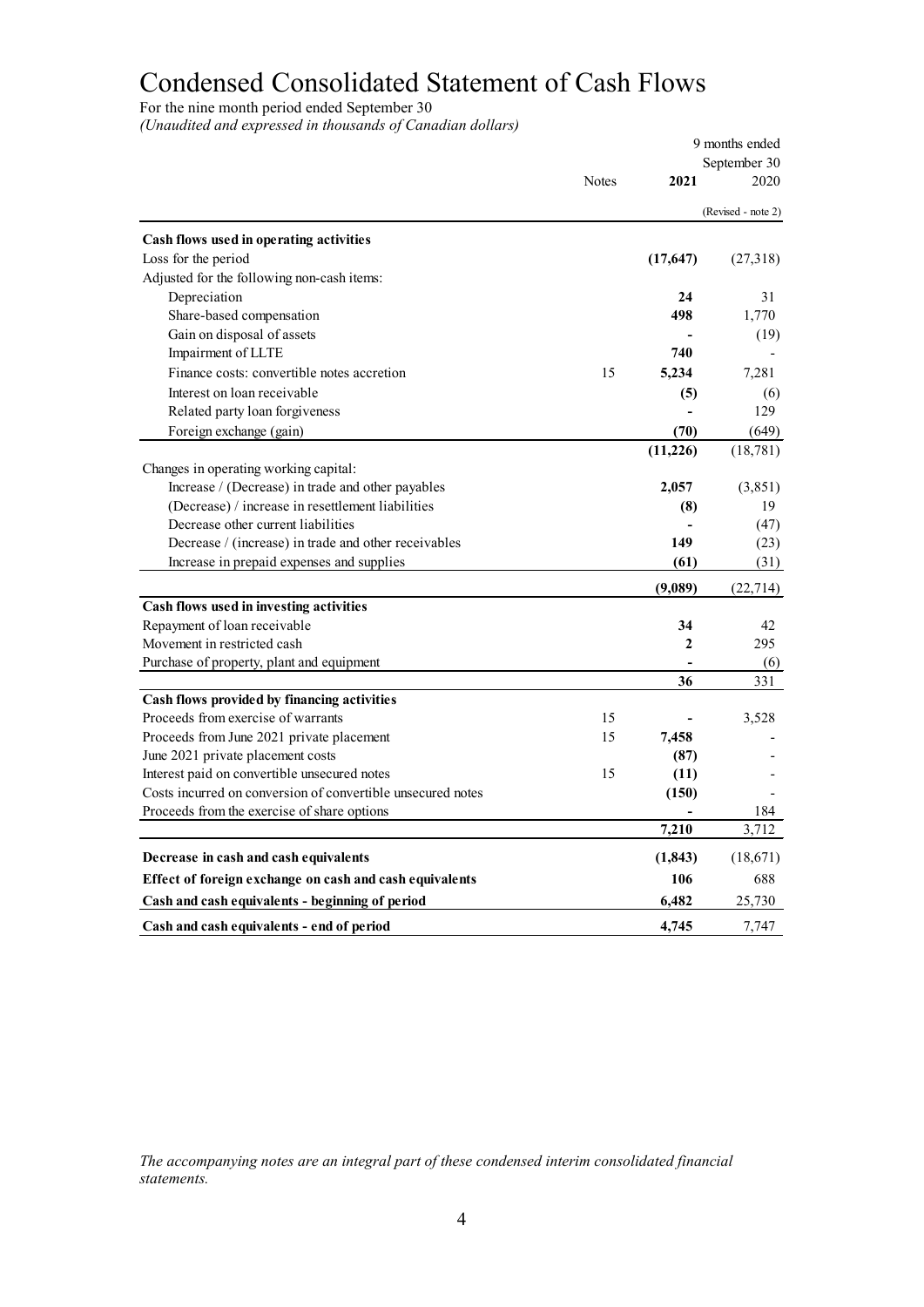# Condensed Consolidated Statement of Cash Flows

For the nine month period ended September 30

*(Unaudited and expressed in thousands of Canadian dollars)* 

|                                                             |              |              | 9 months ended     |
|-------------------------------------------------------------|--------------|--------------|--------------------|
|                                                             |              |              | September 30       |
|                                                             | <b>Notes</b> | 2021         | 2020               |
|                                                             |              |              | (Revised - note 2) |
| Cash flows used in operating activities                     |              |              |                    |
| Loss for the period                                         |              | (17, 647)    | (27,318)           |
| Adjusted for the following non-cash items:                  |              |              |                    |
| Depreciation                                                |              | 24           | 31                 |
| Share-based compensation                                    |              | 498          | 1,770              |
| Gain on disposal of assets                                  |              |              | (19)               |
| Impairment of LLTE                                          |              | 740          |                    |
| Finance costs: convertible notes accretion                  | 15           | 5,234        | 7,281              |
| Interest on loan receivable                                 |              | (5)          | (6)                |
| Related party loan forgiveness                              |              |              | 129                |
| Foreign exchange (gain)                                     |              | (70)         | (649)              |
|                                                             |              | (11,226)     | (18, 781)          |
| Changes in operating working capital:                       |              |              |                    |
| Increase / (Decrease) in trade and other payables           |              | 2,057        | (3,851)            |
| (Decrease) / increase in resettlement liabilities           |              | (8)          | 19                 |
| Decrease other current liabilities                          |              |              | (47)               |
| Decrease / (increase) in trade and other receivables        |              | 149          | (23)               |
| Increase in prepaid expenses and supplies                   |              | (61)         | (31)               |
|                                                             |              | (9,089)      | (22, 714)          |
| Cash flows used in investing activities                     |              |              |                    |
| Repayment of loan receivable                                |              | 34           | 42                 |
| Movement in restricted cash                                 |              | $\mathbf{2}$ | 295                |
| Purchase of property, plant and equipment                   |              |              | (6)                |
|                                                             |              | 36           | 331                |
| Cash flows provided by financing activities                 |              |              |                    |
| Proceeds from exercise of warrants                          | 15           |              | 3,528              |
| Proceeds from June 2021 private placement                   | 15           | 7,458        |                    |
| June 2021 private placement costs                           |              | (87)         |                    |
| Interest paid on convertible unsecured notes                | 15           | (11)         |                    |
| Costs incurred on conversion of convertible unsecured notes |              | (150)        |                    |
| Proceeds from the exercise of share options                 |              |              | 184                |
|                                                             |              | 7,210        | 3,712              |
| Decrease in cash and cash equivalents                       |              | (1, 843)     | (18, 671)          |
| Effect of foreign exchange on cash and cash equivalents     |              | 106          | 688                |
| Cash and cash equivalents - beginning of period             |              | 6,482        | 25,730             |
| Cash and cash equivalents - end of period                   |              | 4,745        | 7,747              |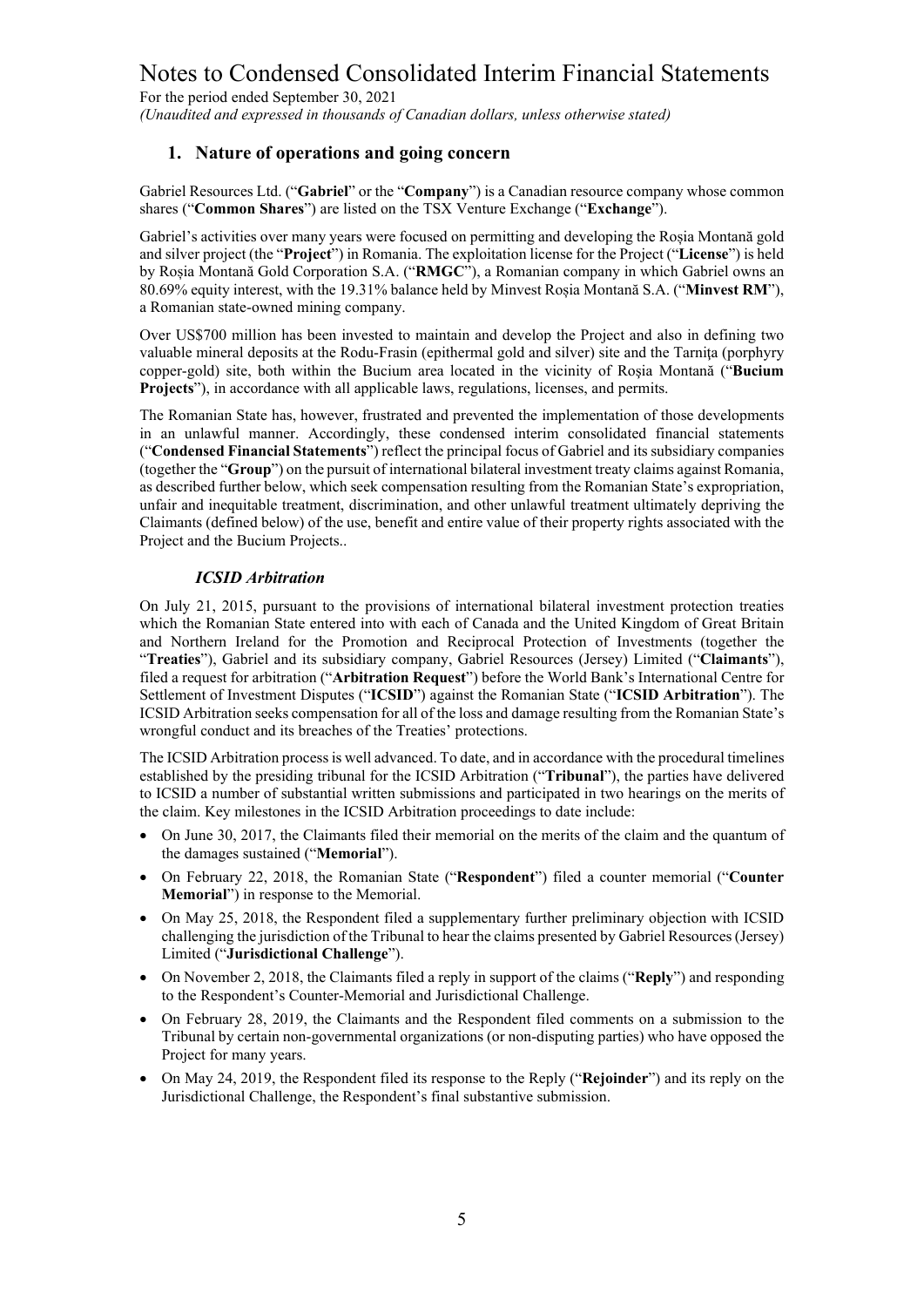For the period ended September 30, 2021

*(Unaudited and expressed in thousands of Canadian dollars, unless otherwise stated)*

### **1. Nature of operations and going concern**

Gabriel Resources Ltd. ("**Gabriel**" or the "**Company**") is a Canadian resource company whose common shares ("**Common Shares**") are listed on the TSX Venture Exchange ("**Exchange**").

Gabriel's activities over many years were focused on permitting and developing the Roșia Montană gold and silver project (the "**Project**") in Romania. The exploitation license for the Project ("**License**") is held by Roșia Montană Gold Corporation S.A. ("**RMGC**"), a Romanian company in which Gabriel owns an 80.69% equity interest, with the 19.31% balance held by Minvest Roșia Montană S.A. ("**Minvest RM**"), a Romanian state-owned mining company.

Over US\$700 million has been invested to maintain and develop the Project and also in defining two valuable mineral deposits at the Rodu-Frasin (epithermal gold and silver) site and the Tarniţa (porphyry copper-gold) site, both within the Bucium area located in the vicinity of Roşia Montană ("**Bucium Projects**"), in accordance with all applicable laws, regulations, licenses, and permits.

The Romanian State has, however, frustrated and prevented the implementation of those developments in an unlawful manner. Accordingly, these condensed interim consolidated financial statements ("**Condensed Financial Statements**") reflect the principal focus of Gabriel and its subsidiary companies (together the "**Group**") on the pursuit of international bilateral investment treaty claims against Romania, as described further below, which seek compensation resulting from the Romanian State's expropriation, unfair and inequitable treatment, discrimination, and other unlawful treatment ultimately depriving the Claimants (defined below) of the use, benefit and entire value of their property rights associated with the Project and the Bucium Projects..

#### *ICSID Arbitration*

On July 21, 2015, pursuant to the provisions of international bilateral investment protection treaties which the Romanian State entered into with each of Canada and the United Kingdom of Great Britain and Northern Ireland for the Promotion and Reciprocal Protection of Investments (together the "**Treaties**"), Gabriel and its subsidiary company, Gabriel Resources (Jersey) Limited ("**Claimants**"), filed a request for arbitration ("**Arbitration Request**") before the World Bank's International Centre for Settlement of Investment Disputes ("**ICSID**") against the Romanian State ("**ICSID Arbitration**"). The ICSID Arbitration seeks compensation for all of the loss and damage resulting from the Romanian State's wrongful conduct and its breaches of the Treaties' protections.

The ICSID Arbitration processis well advanced. To date, and in accordance with the procedural timelines established by the presiding tribunal for the ICSID Arbitration ("**Tribunal**"), the parties have delivered to ICSID a number of substantial written submissions and participated in two hearings on the merits of the claim. Key milestones in the ICSID Arbitration proceedings to date include:

- On June 30, 2017, the Claimants filed their memorial on the merits of the claim and the quantum of the damages sustained ("**Memorial**").
- On February 22, 2018, the Romanian State ("**Respondent**") filed a counter memorial ("**Counter Memorial**") in response to the Memorial.
- On May 25, 2018, the Respondent filed a supplementary further preliminary objection with ICSID challenging the jurisdiction of the Tribunal to hear the claims presented by Gabriel Resources (Jersey) Limited ("**Jurisdictional Challenge**").
- On November 2, 2018, the Claimants filed a reply in support of the claims ("**Reply**") and responding to the Respondent's Counter-Memorial and Jurisdictional Challenge.
- On February 28, 2019, the Claimants and the Respondent filed comments on a submission to the Tribunal by certain non-governmental organizations (or non-disputing parties) who have opposed the Project for many years.
- On May 24, 2019, the Respondent filed its response to the Reply ("**Rejoinder**") and its reply on the Jurisdictional Challenge, the Respondent's final substantive submission.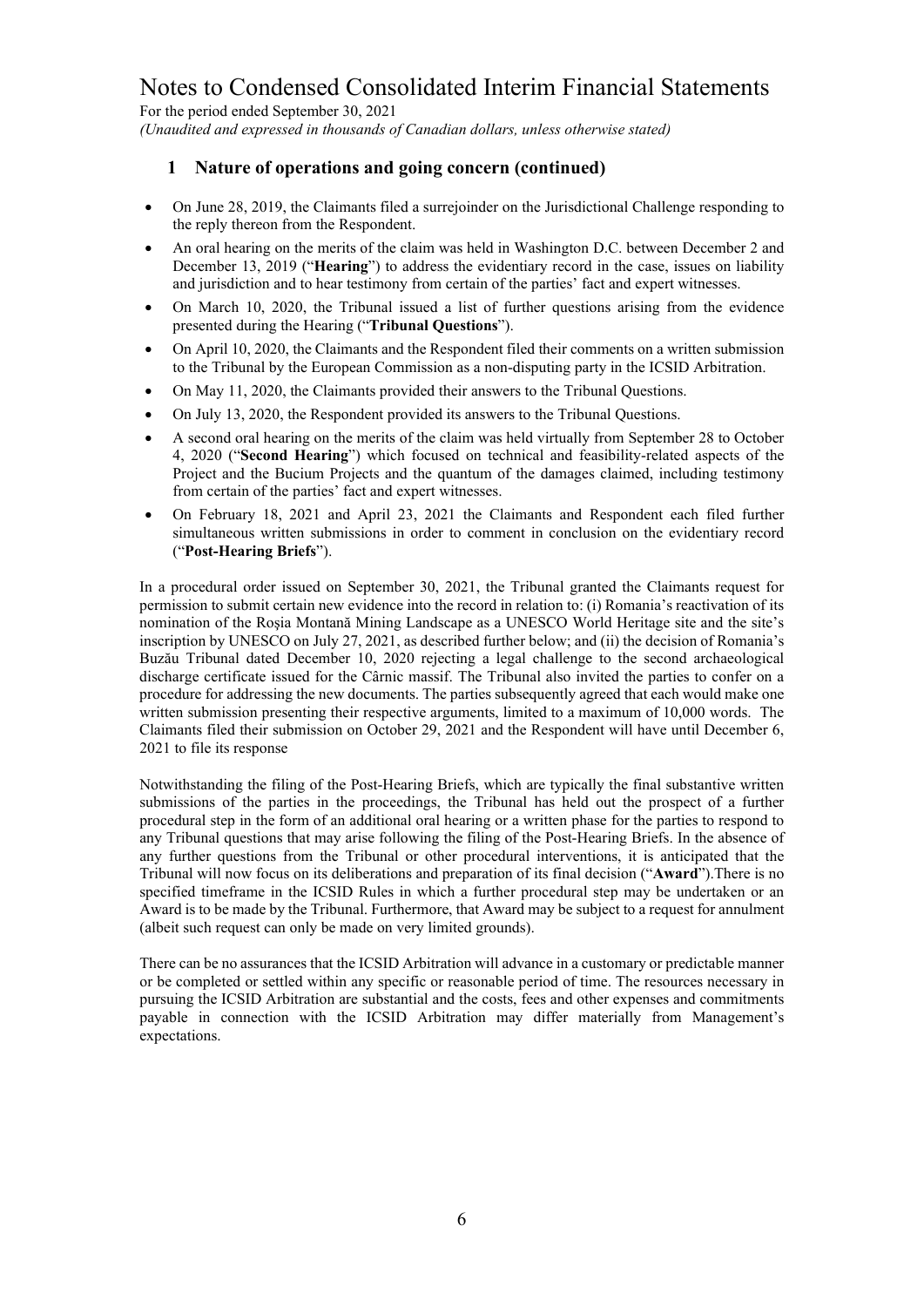For the period ended September 30, 2021

*(Unaudited and expressed in thousands of Canadian dollars, unless otherwise stated)*

# **1 Nature of operations and going concern (continued)**

- On June 28, 2019, the Claimants filed a surrejoinder on the Jurisdictional Challenge responding to the reply thereon from the Respondent.
- An oral hearing on the merits of the claim was held in Washington D.C. between December 2 and December 13, 2019 ("**Hearing**") to address the evidentiary record in the case, issues on liability and jurisdiction and to hear testimony from certain of the parties' fact and expert witnesses.
- On March 10, 2020, the Tribunal issued a list of further questions arising from the evidence presented during the Hearing ("**Tribunal Questions**").
- On April 10, 2020, the Claimants and the Respondent filed their comments on a written submission to the Tribunal by the European Commission as a non-disputing party in the ICSID Arbitration.
- On May 11, 2020, the Claimants provided their answers to the Tribunal Questions.
- On July 13, 2020, the Respondent provided its answers to the Tribunal Questions.
- A second oral hearing on the merits of the claim was held virtually from September 28 to October 4, 2020 ("**Second Hearing**") which focused on technical and feasibility-related aspects of the Project and the Bucium Projects and the quantum of the damages claimed, including testimony from certain of the parties' fact and expert witnesses.
- On February 18, 2021 and April 23, 2021 the Claimants and Respondent each filed further simultaneous written submissions in order to comment in conclusion on the evidentiary record ("**Post-Hearing Briefs**").

In a procedural order issued on September 30, 2021, the Tribunal granted the Claimants request for permission to submit certain new evidence into the record in relation to: (i) Romania's reactivation of its nomination of the Roşia Montană Mining Landscape as a UNESCO World Heritage site and the site's inscription by UNESCO on July 27, 2021, as described further below; and (ii) the decision of Romania's Buzău Tribunal dated December 10, 2020 rejecting a legal challenge to the second archaeological discharge certificate issued for the Cârnic massif. The Tribunal also invited the parties to confer on a procedure for addressing the new documents. The parties subsequently agreed that each would make one written submission presenting their respective arguments, limited to a maximum of 10,000 words. The Claimants filed their submission on October 29, 2021 and the Respondent will have until December 6, 2021 to file its response

Notwithstanding the filing of the Post-Hearing Briefs, which are typically the final substantive written submissions of the parties in the proceedings, the Tribunal has held out the prospect of a further procedural step in the form of an additional oral hearing or a written phase for the parties to respond to any Tribunal questions that may arise following the filing of the Post-Hearing Briefs. In the absence of any further questions from the Tribunal or other procedural interventions, it is anticipated that the Tribunal will now focus on its deliberations and preparation of its final decision ("**Award**").There is no specified timeframe in the ICSID Rules in which a further procedural step may be undertaken or an Award is to be made by the Tribunal. Furthermore, that Award may be subject to a request for annulment (albeit such request can only be made on very limited grounds).

There can be no assurances that the ICSID Arbitration will advance in a customary or predictable manner or be completed or settled within any specific or reasonable period of time. The resources necessary in pursuing the ICSID Arbitration are substantial and the costs, fees and other expenses and commitments payable in connection with the ICSID Arbitration may differ materially from Management's expectations.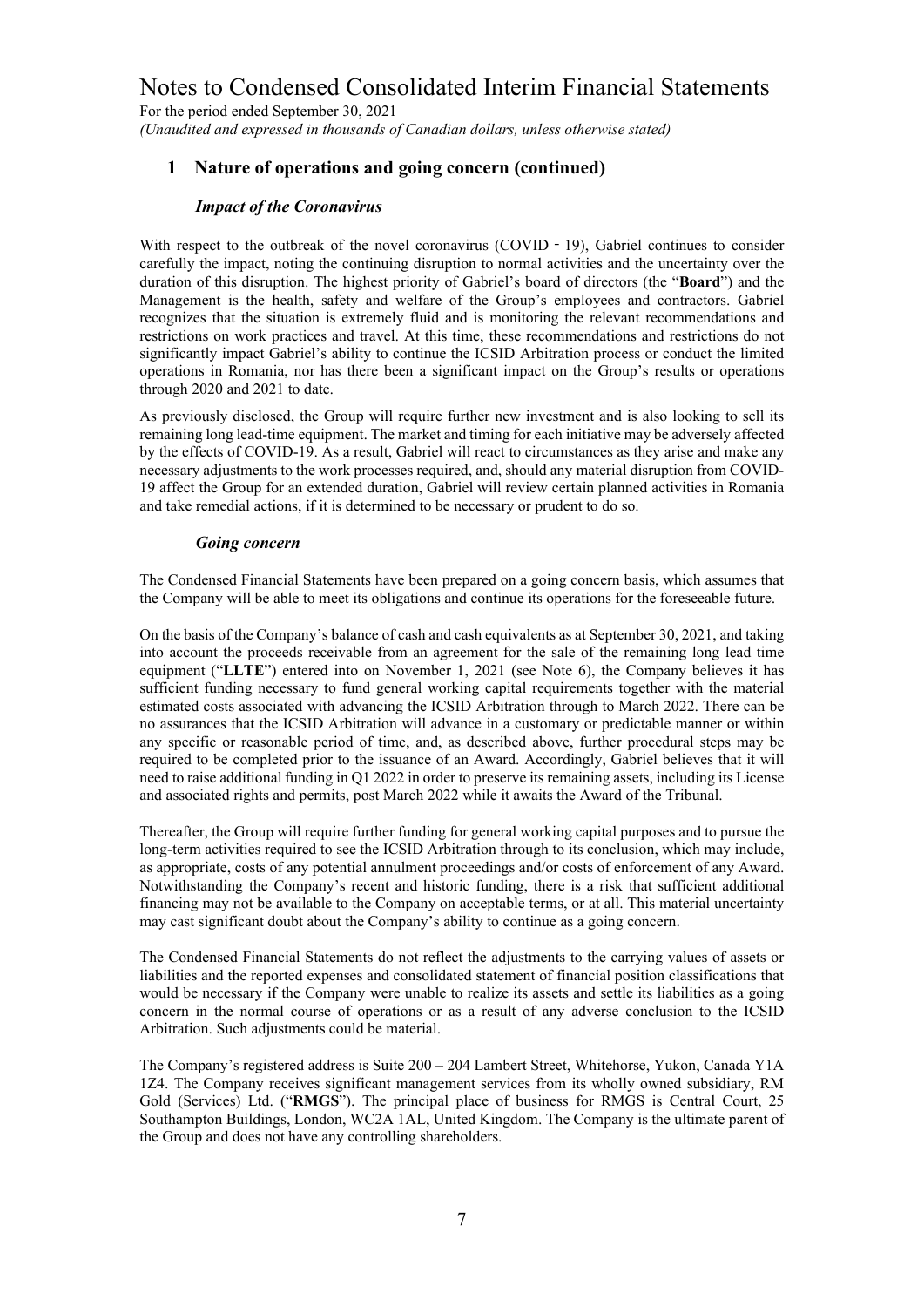For the period ended September 30, 2021 *(Unaudited and expressed in thousands of Canadian dollars, unless otherwise stated)*

### **1 Nature of operations and going concern (continued)**

### *Impact of the Coronavirus*

With respect to the outbreak of the novel coronavirus (COVID - 19), Gabriel continues to consider carefully the impact, noting the continuing disruption to normal activities and the uncertainty over the duration of this disruption. The highest priority of Gabriel's board of directors (the "**Board**") and the Management is the health, safety and welfare of the Group's employees and contractors. Gabriel recognizes that the situation is extremely fluid and is monitoring the relevant recommendations and restrictions on work practices and travel. At this time, these recommendations and restrictions do not significantly impact Gabriel's ability to continue the ICSID Arbitration process or conduct the limited operations in Romania, nor has there been a significant impact on the Group's results or operations through 2020 and 2021 to date.

As previously disclosed, the Group will require further new investment and is also looking to sell its remaining long lead-time equipment. The market and timing for each initiative may be adversely affected by the effects of COVID-19. As a result, Gabriel will react to circumstances as they arise and make any necessary adjustments to the work processes required, and, should any material disruption from COVID-19 affect the Group for an extended duration, Gabriel will review certain planned activities in Romania and take remedial actions, if it is determined to be necessary or prudent to do so.

#### *Going concern*

The Condensed Financial Statements have been prepared on a going concern basis, which assumes that the Company will be able to meet its obligations and continue its operations for the foreseeable future.

On the basis of the Company's balance of cash and cash equivalents as at September 30, 2021, and taking into account the proceeds receivable from an agreement for the sale of the remaining long lead time equipment ("**LLTE**") entered into on November 1, 2021 (see Note 6), the Company believes it has sufficient funding necessary to fund general working capital requirements together with the material estimated costs associated with advancing the ICSID Arbitration through to March 2022. There can be no assurances that the ICSID Arbitration will advance in a customary or predictable manner or within any specific or reasonable period of time, and, as described above, further procedural steps may be required to be completed prior to the issuance of an Award. Accordingly, Gabriel believes that it will need to raise additional funding in Q1 2022 in order to preserve its remaining assets, including its License and associated rights and permits, post March 2022 while it awaits the Award of the Tribunal.

Thereafter, the Group will require further funding for general working capital purposes and to pursue the long-term activities required to see the ICSID Arbitration through to its conclusion, which may include, as appropriate, costs of any potential annulment proceedings and/or costs of enforcement of any Award. Notwithstanding the Company's recent and historic funding, there is a risk that sufficient additional financing may not be available to the Company on acceptable terms, or at all. This material uncertainty may cast significant doubt about the Company's ability to continue as a going concern.

The Condensed Financial Statements do not reflect the adjustments to the carrying values of assets or liabilities and the reported expenses and consolidated statement of financial position classifications that would be necessary if the Company were unable to realize its assets and settle its liabilities as a going concern in the normal course of operations or as a result of any adverse conclusion to the ICSID Arbitration. Such adjustments could be material.

The Company's registered address is Suite 200 – 204 Lambert Street, Whitehorse, Yukon, Canada Y1A 1Z4. The Company receives significant management services from its wholly owned subsidiary, RM Gold (Services) Ltd. ("**RMGS**"). The principal place of business for RMGS is Central Court, 25 Southampton Buildings, London, WC2A 1AL, United Kingdom. The Company is the ultimate parent of the Group and does not have any controlling shareholders.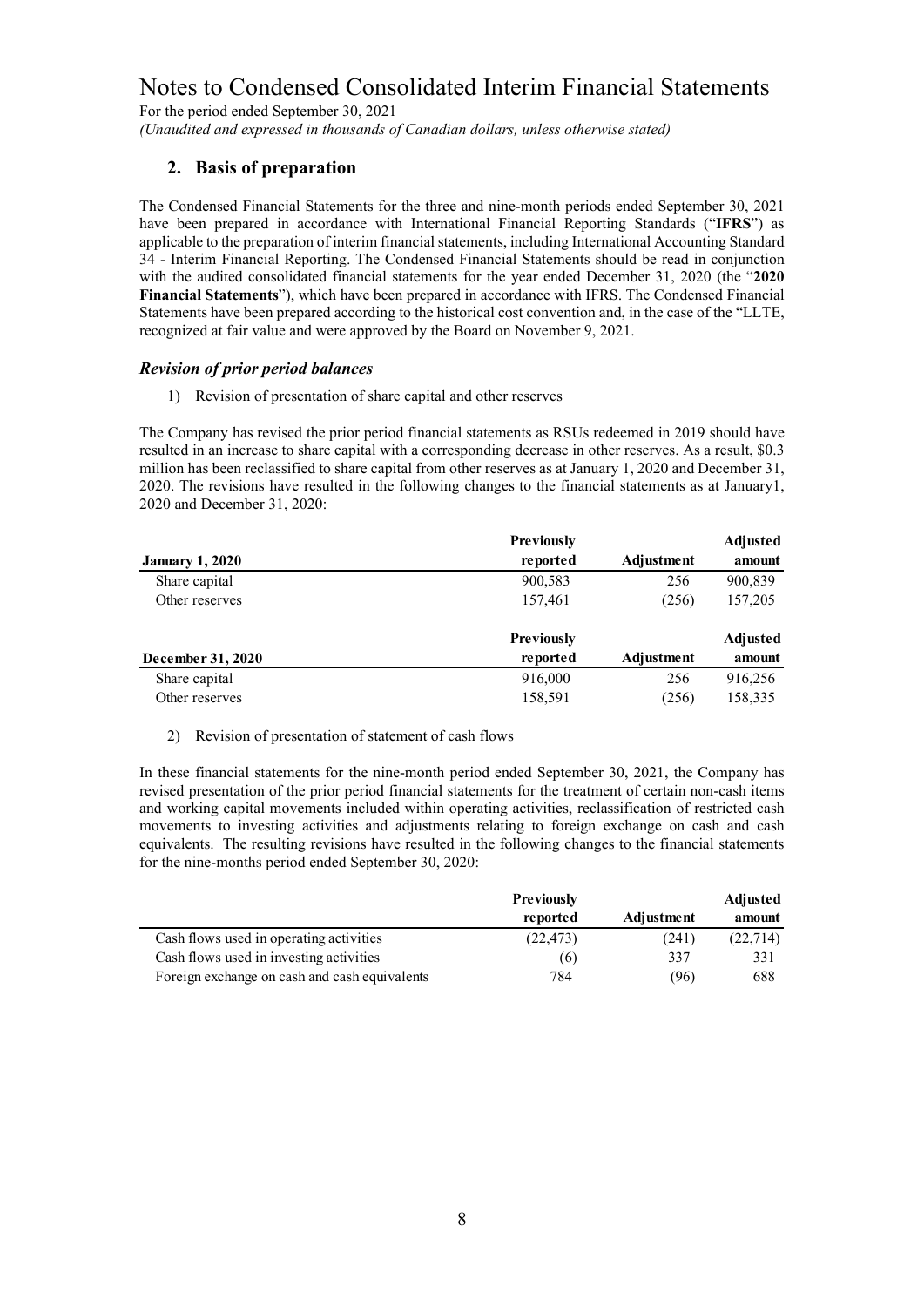For the period ended September 30, 2021 *(Unaudited and expressed in thousands of Canadian dollars, unless otherwise stated)*

# **2. Basis of preparation**

The Condensed Financial Statements for the three and nine-month periods ended September 30, 2021 have been prepared in accordance with International Financial Reporting Standards ("**IFRS**") as applicable to the preparation of interim financial statements, including International Accounting Standard 34 - Interim Financial Reporting. The Condensed Financial Statements should be read in conjunction with the audited consolidated financial statements for the year ended December 31, 2020 (the "**2020 Financial Statements**"), which have been prepared in accordance with IFRS. The Condensed Financial Statements have been prepared according to the historical cost convention and, in the case of the "LLTE, recognized at fair value and were approved by the Board on November 9, 2021.

### *Revision of prior period balances*

1) Revision of presentation of share capital and other reserves

The Company has revised the prior period financial statements as RSUs redeemed in 2019 should have resulted in an increase to share capital with a corresponding decrease in other reserves. As a result, \$0.3 million has been reclassified to share capital from other reserves as at January 1, 2020 and December 31, 2020. The revisions have resulted in the following changes to the financial statements as at January1, 2020 and December 31, 2020:

|                        | <b>Previously</b> |            | Adjusted |
|------------------------|-------------------|------------|----------|
| <b>January 1, 2020</b> | reported          | Adjustment | amount   |
| Share capital          | 900,583           | 256        | 900,839  |
| Other reserves         | 157,461           | (256)      | 157,205  |
|                        | <b>Previously</b> |            | Adjusted |
| December 31, 2020      | reported          | Adjustment | amount   |
| Share capital          | 916,000           | 256        | 916,256  |
| Other reserves         | 158,591           | (256)      | 158,335  |

#### 2) Revision of presentation of statement of cash flows

In these financial statements for the nine-month period ended September 30, 2021, the Company has revised presentation of the prior period financial statements for the treatment of certain non-cash items and working capital movements included within operating activities, reclassification of restricted cash movements to investing activities and adjustments relating to foreign exchange on cash and cash equivalents. The resulting revisions have resulted in the following changes to the financial statements for the nine-months period ended September 30, 2020:

|                                               | <b>Previously</b> |            | Adjusted  |  |
|-----------------------------------------------|-------------------|------------|-----------|--|
|                                               | reported          | Adjustment | amount    |  |
| Cash flows used in operating activities       | (22, 473)         | (241)      | (22, 714) |  |
| Cash flows used in investing activities       | (6)               | 337        | 331       |  |
| Foreign exchange on cash and cash equivalents | 784               | (96)       | 688       |  |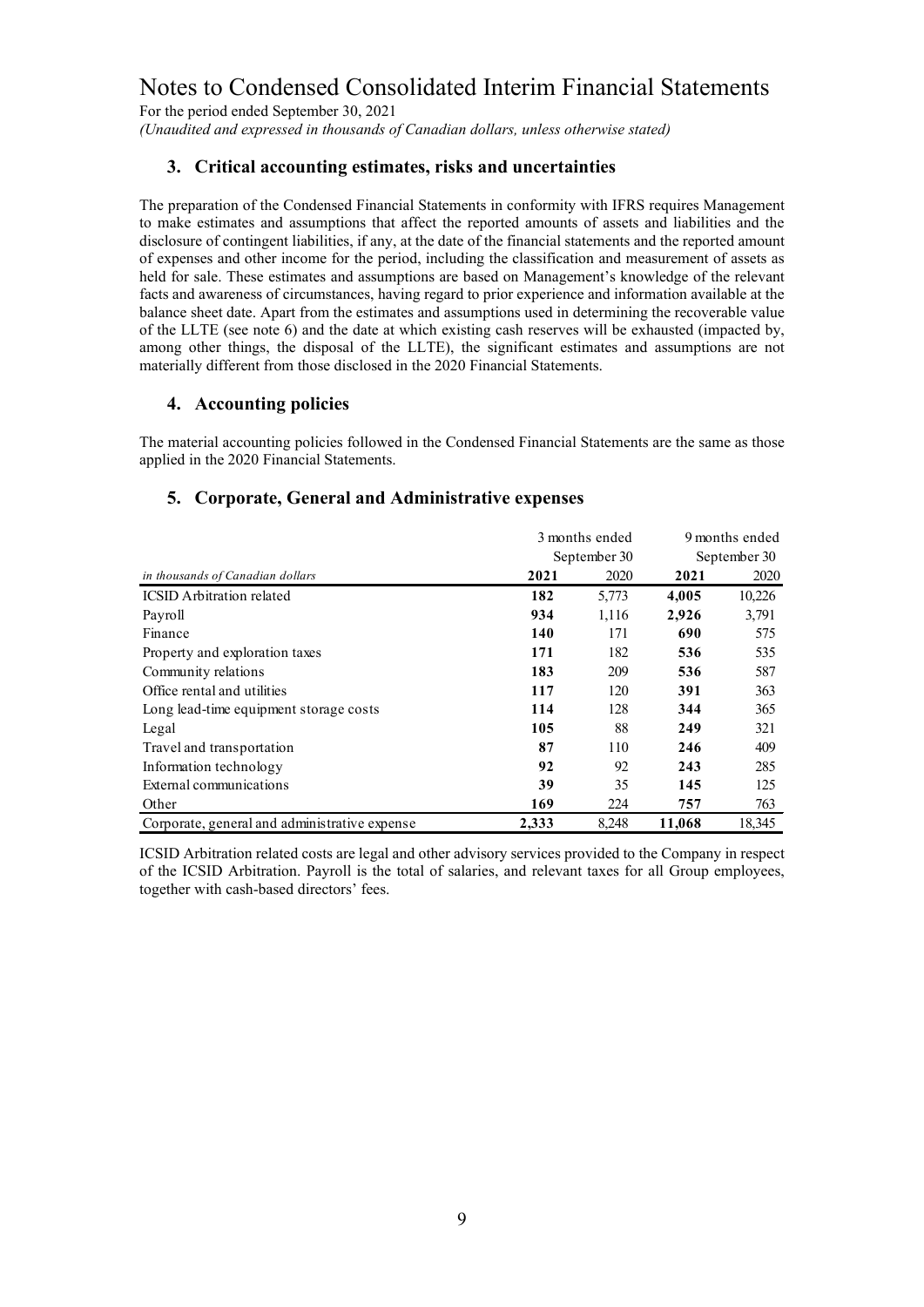For the period ended September 30, 2021

*(Unaudited and expressed in thousands of Canadian dollars, unless otherwise stated)*

### **3. Critical accounting estimates, risks and uncertainties**

The preparation of the Condensed Financial Statements in conformity with IFRS requires Management to make estimates and assumptions that affect the reported amounts of assets and liabilities and the disclosure of contingent liabilities, if any, at the date of the financial statements and the reported amount of expenses and other income for the period, including the classification and measurement of assets as held for sale. These estimates and assumptions are based on Management's knowledge of the relevant facts and awareness of circumstances, having regard to prior experience and information available at the balance sheet date. Apart from the estimates and assumptions used in determining the recoverable value of the LLTE (see note 6) and the date at which existing cash reserves will be exhausted (impacted by, among other things, the disposal of the LLTE), the significant estimates and assumptions are not materially different from those disclosed in the 2020 Financial Statements.

### **4. Accounting policies**

The material accounting policies followed in the Condensed Financial Statements are the same as those applied in the 2020 Financial Statements.

### **5. Corporate, General and Administrative expenses**

|                                               |       | 3 months ended |        | 9 months ended |
|-----------------------------------------------|-------|----------------|--------|----------------|
|                                               |       | September 30   |        | September 30   |
| in thousands of Canadian dollars              | 2021  | 2020           | 2021   | 2020           |
| <b>ICSID</b> Arbitration related              | 182   | 5,773          | 4,005  | 10,226         |
| Payroll                                       | 934   | 1,116          | 2,926  | 3,791          |
| Finance                                       | 140   | 171            | 690    | 575            |
| Property and exploration taxes                | 171   | 182            | 536    | 535            |
| Community relations                           | 183   | 209            | 536    | 587            |
| Office rental and utilities                   | 117   | 120            | 391    | 363            |
| Long lead-time equipment storage costs        | 114   | 128            | 344    | 365            |
| Legal                                         | 105   | 88             | 249    | 321            |
| Travel and transportation                     | 87    | 110            | 246    | 409            |
| Information technology                        | 92    | 92             | 243    | 285            |
| External communications                       | 39    | 35             | 145    | 125            |
| Other                                         | 169   | 224            | 757    | 763            |
| Corporate, general and administrative expense | 2.333 | 8,248          | 11,068 | 18,345         |

ICSID Arbitration related costs are legal and other advisory services provided to the Company in respect of the ICSID Arbitration. Payroll is the total of salaries, and relevant taxes for all Group employees, together with cash-based directors' fees.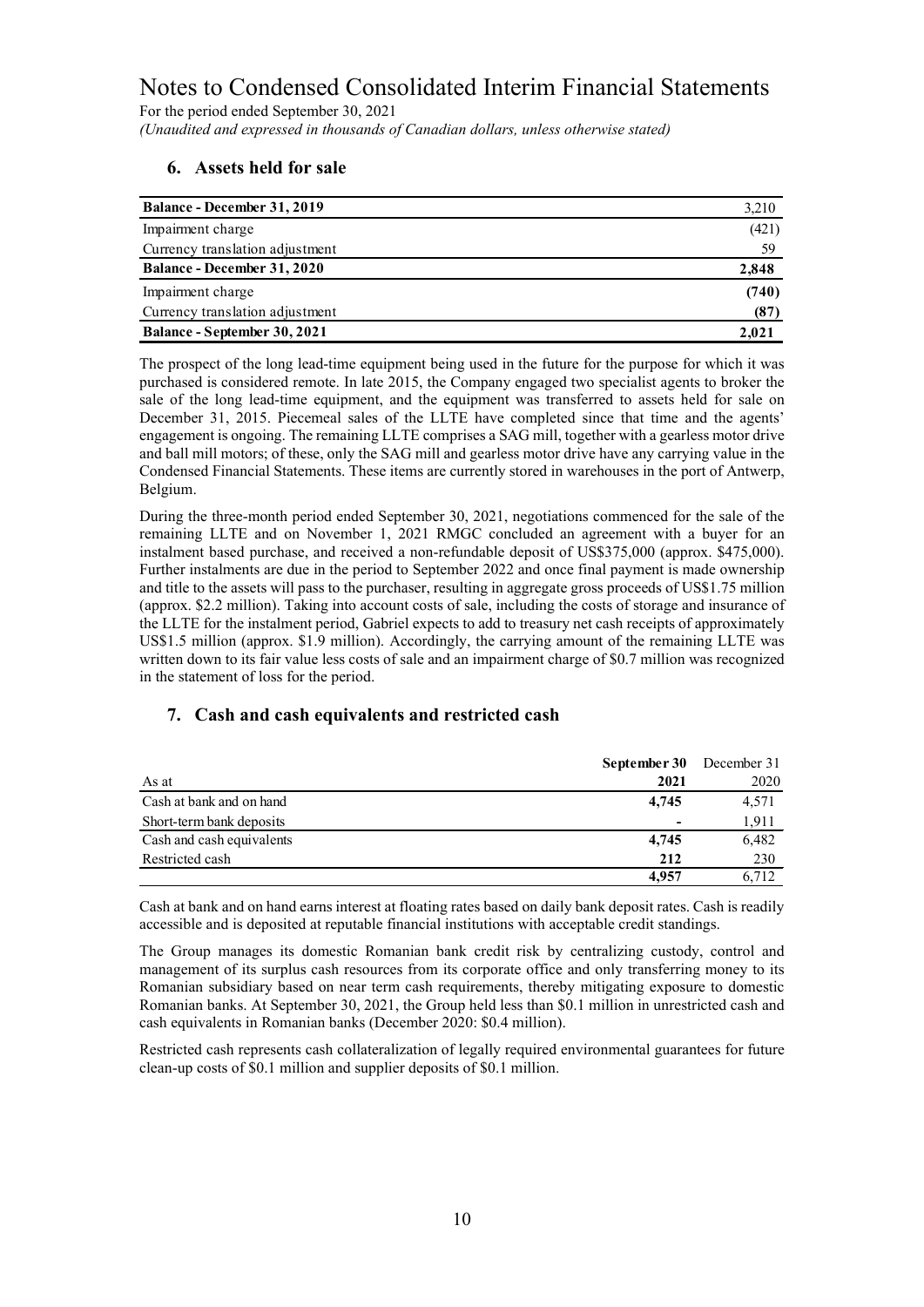For the period ended September 30, 2021 *(Unaudited and expressed in thousands of Canadian dollars, unless otherwise stated)*

# **6. Assets held for sale**

| <b>Balance - December 31, 2019</b> | 3,210 |
|------------------------------------|-------|
| Impairment charge                  | (421) |
| Currency translation adjustment    | 59    |
| <b>Balance - December 31, 2020</b> | 2,848 |
| Impairment charge                  | (740) |
| Currency translation adjustment    | (87)  |
| Balance - September 30, 2021       | 2.021 |

The prospect of the long lead-time equipment being used in the future for the purpose for which it was purchased is considered remote. In late 2015, the Company engaged two specialist agents to broker the sale of the long lead-time equipment, and the equipment was transferred to assets held for sale on December 31, 2015. Piecemeal sales of the LLTE have completed since that time and the agents' engagement is ongoing. The remaining LLTE comprises a SAG mill, together with a gearless motor drive and ball mill motors; of these, only the SAG mill and gearless motor drive have any carrying value in the Condensed Financial Statements. These items are currently stored in warehouses in the port of Antwerp, Belgium.

During the three-month period ended September 30, 2021, negotiations commenced for the sale of the remaining LLTE and on November 1, 2021 RMGC concluded an agreement with a buyer for an instalment based purchase, and received a non-refundable deposit of US\$375,000 (approx. \$475,000). Further instalments are due in the period to September 2022 and once final payment is made ownership and title to the assets will pass to the purchaser, resulting in aggregate gross proceeds of US\$1.75 million (approx. \$2.2 million). Taking into account costs of sale, including the costs of storage and insurance of the LLTE for the instalment period, Gabriel expects to add to treasury net cash receipts of approximately US\$1.5 million (approx. \$1.9 million). Accordingly, the carrying amount of the remaining LLTE was written down to its fair value less costs of sale and an impairment charge of \$0.7 million was recognized in the statement of loss for the period.

### **7. Cash and cash equivalents and restricted cash**

|                           | September 30 December 31 |       |
|---------------------------|--------------------------|-------|
| As at                     | 2021                     | 2020  |
| Cash at bank and on hand  | 4,745                    | 4,571 |
| Short-term bank deposits  |                          | 1,911 |
| Cash and cash equivalents | 4,745                    | 6,482 |
| Restricted cash           | 212                      | 230   |
|                           | 4,957                    | 6,712 |
|                           |                          |       |

Cash at bank and on hand earns interest at floating rates based on daily bank deposit rates. Cash is readily accessible and is deposited at reputable financial institutions with acceptable credit standings.

The Group manages its domestic Romanian bank credit risk by centralizing custody, control and management of its surplus cash resources from its corporate office and only transferring money to its Romanian subsidiary based on near term cash requirements, thereby mitigating exposure to domestic Romanian banks. At September 30, 2021, the Group held less than \$0.1 million in unrestricted cash and cash equivalents in Romanian banks (December 2020: \$0.4 million).

Restricted cash represents cash collateralization of legally required environmental guarantees for future clean-up costs of \$0.1 million and supplier deposits of \$0.1 million.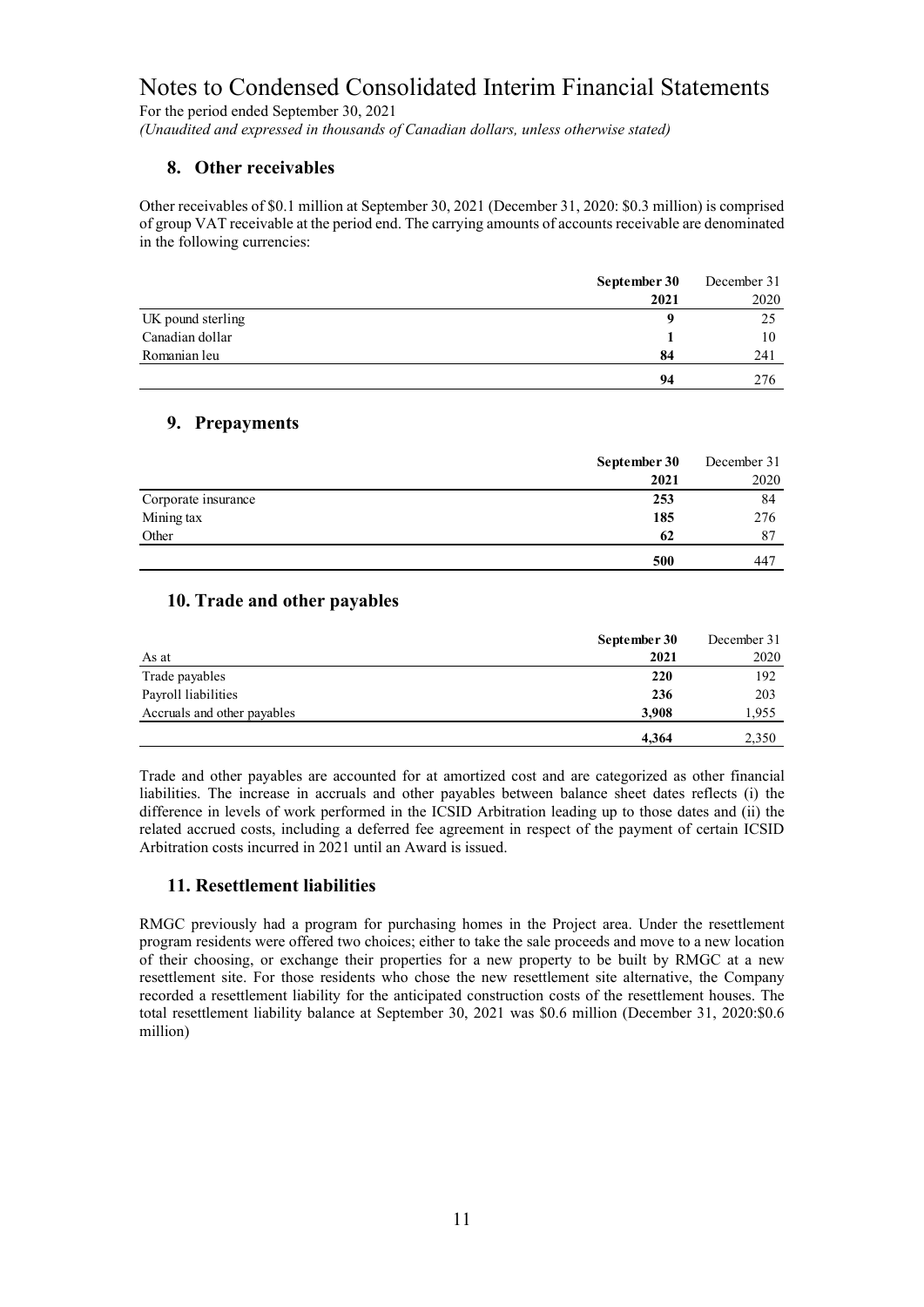For the period ended September 30, 2021 *(Unaudited and expressed in thousands of Canadian dollars, unless otherwise stated)*

## **8. Other receivables**

Other receivables of \$0.1 million at September 30, 2021 (December 31, 2020: \$0.3 million) is comprised of group VAT receivable at the period end. The carrying amounts of accounts receivable are denominated in the following currencies:

|                   | September 30 | December 31 |
|-------------------|--------------|-------------|
|                   | 2021         | 2020        |
| UK pound sterling |              | 25          |
| Canadian dollar   |              | 10          |
| Romanian leu      | 84           | 241         |
|                   | 94           | 276         |

### **9. Prepayments**

|                     | September 30 | December 31 |
|---------------------|--------------|-------------|
|                     | 2021         | 2020        |
| Corporate insurance | 253          | 84          |
| Mining tax          | 185          | 276         |
| Other               | 62           | 87          |
|                     | 500          | 447         |

### **10. Trade and other payables**

|                             | September 30 | December 31 |
|-----------------------------|--------------|-------------|
| As at                       | 2021         | 2020        |
| Trade payables              | 220          | 192         |
| Payroll liabilities         | 236          | 203         |
| Accruals and other payables | 3,908        | 1,955       |
|                             | 4,364        | 2,350       |

Trade and other payables are accounted for at amortized cost and are categorized as other financial liabilities. The increase in accruals and other payables between balance sheet dates reflects (i) the difference in levels of work performed in the ICSID Arbitration leading up to those dates and (ii) the related accrued costs, including a deferred fee agreement in respect of the payment of certain ICSID Arbitration costs incurred in 2021 until an Award is issued.

# **11. Resettlement liabilities**

RMGC previously had a program for purchasing homes in the Project area. Under the resettlement program residents were offered two choices; either to take the sale proceeds and move to a new location of their choosing, or exchange their properties for a new property to be built by RMGC at a new resettlement site. For those residents who chose the new resettlement site alternative, the Company recorded a resettlement liability for the anticipated construction costs of the resettlement houses. The total resettlement liability balance at September 30, 2021 was \$0.6 million (December 31, 2020:\$0.6 million)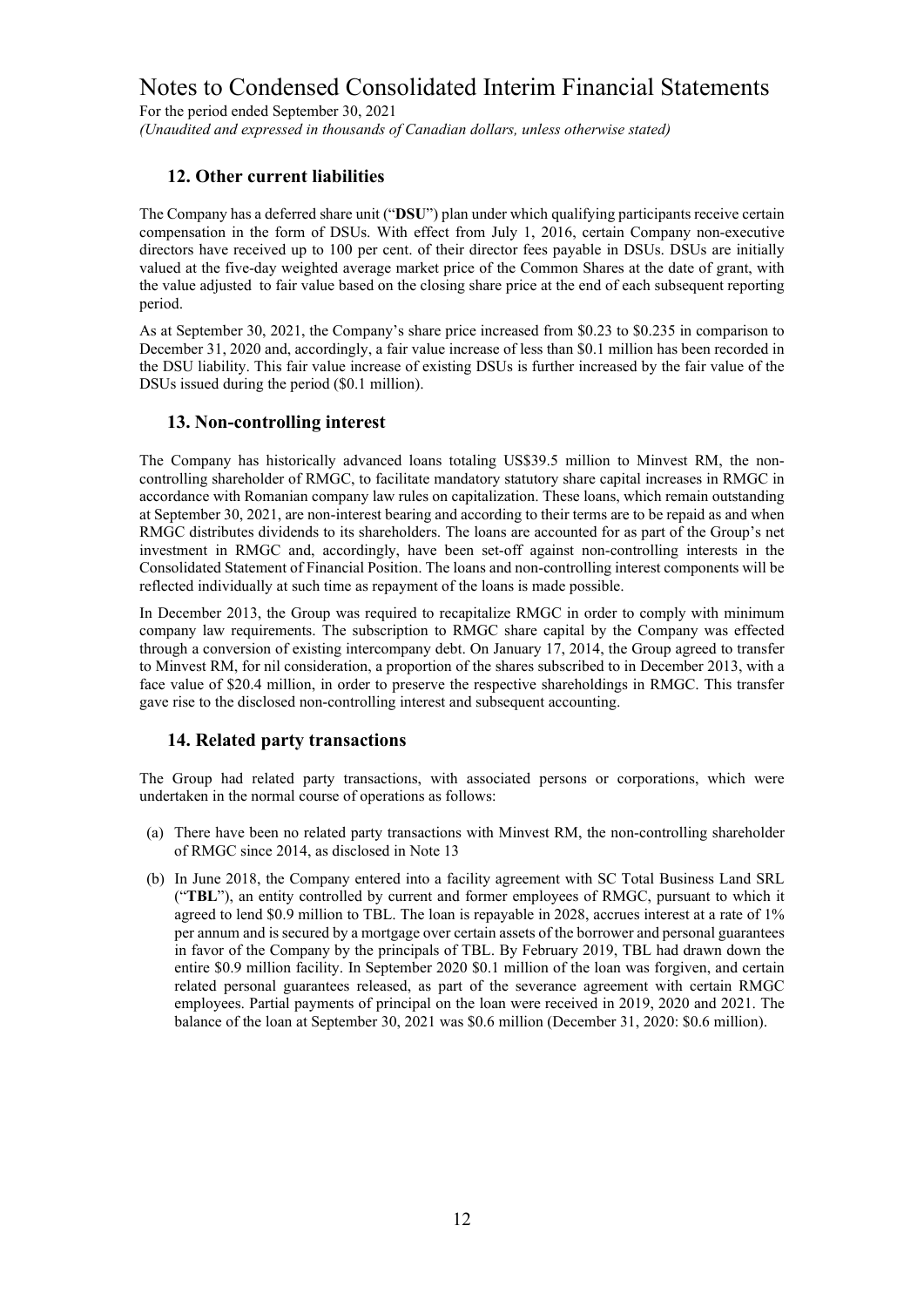For the period ended September 30, 2021 *(Unaudited and expressed in thousands of Canadian dollars, unless otherwise stated)*

### **12. Other current liabilities**

The Company has a deferred share unit ("**DSU**") plan under which qualifying participants receive certain compensation in the form of DSUs. With effect from July 1, 2016, certain Company non-executive directors have received up to 100 per cent. of their director fees payable in DSUs. DSUs are initially valued at the five-day weighted average market price of the Common Shares at the date of grant, with the value adjusted to fair value based on the closing share price at the end of each subsequent reporting period.

As at September 30, 2021, the Company's share price increased from \$0.23 to \$0.235 in comparison to December 31, 2020 and, accordingly, a fair value increase of less than \$0.1 million has been recorded in the DSU liability. This fair value increase of existing DSUs is further increased by the fair value of the DSUs issued during the period (\$0.1 million).

### **13. Non-controlling interest**

The Company has historically advanced loans totaling US\$39.5 million to Minvest RM, the noncontrolling shareholder of RMGC, to facilitate mandatory statutory share capital increases in RMGC in accordance with Romanian company law rules on capitalization. These loans, which remain outstanding at September 30, 2021, are non-interest bearing and according to their terms are to be repaid as and when RMGC distributes dividends to its shareholders. The loans are accounted for as part of the Group's net investment in RMGC and, accordingly, have been set-off against non-controlling interests in the Consolidated Statement of Financial Position. The loans and non-controlling interest components will be reflected individually at such time as repayment of the loans is made possible.

In December 2013, the Group was required to recapitalize RMGC in order to comply with minimum company law requirements. The subscription to RMGC share capital by the Company was effected through a conversion of existing intercompany debt. On January 17, 2014, the Group agreed to transfer to Minvest RM, for nil consideration, a proportion of the shares subscribed to in December 2013, with a face value of \$20.4 million, in order to preserve the respective shareholdings in RMGC. This transfer gave rise to the disclosed non-controlling interest and subsequent accounting.

### **14. Related party transactions**

The Group had related party transactions, with associated persons or corporations, which were undertaken in the normal course of operations as follows:

- (a) There have been no related party transactions with Minvest RM, the non-controlling shareholder of RMGC since 2014, as disclosed in Note 13
- (b) In June 2018, the Company entered into a facility agreement with SC Total Business Land SRL ("**TBL**"), an entity controlled by current and former employees of RMGC, pursuant to which it agreed to lend \$0.9 million to TBL. The loan is repayable in 2028, accrues interest at a rate of 1% per annum and is secured by a mortgage over certain assets of the borrower and personal guarantees in favor of the Company by the principals of TBL. By February 2019, TBL had drawn down the entire \$0.9 million facility. In September 2020 \$0.1 million of the loan was forgiven, and certain related personal guarantees released, as part of the severance agreement with certain RMGC employees. Partial payments of principal on the loan were received in 2019, 2020 and 2021. The balance of the loan at September 30, 2021 was \$0.6 million (December 31, 2020: \$0.6 million).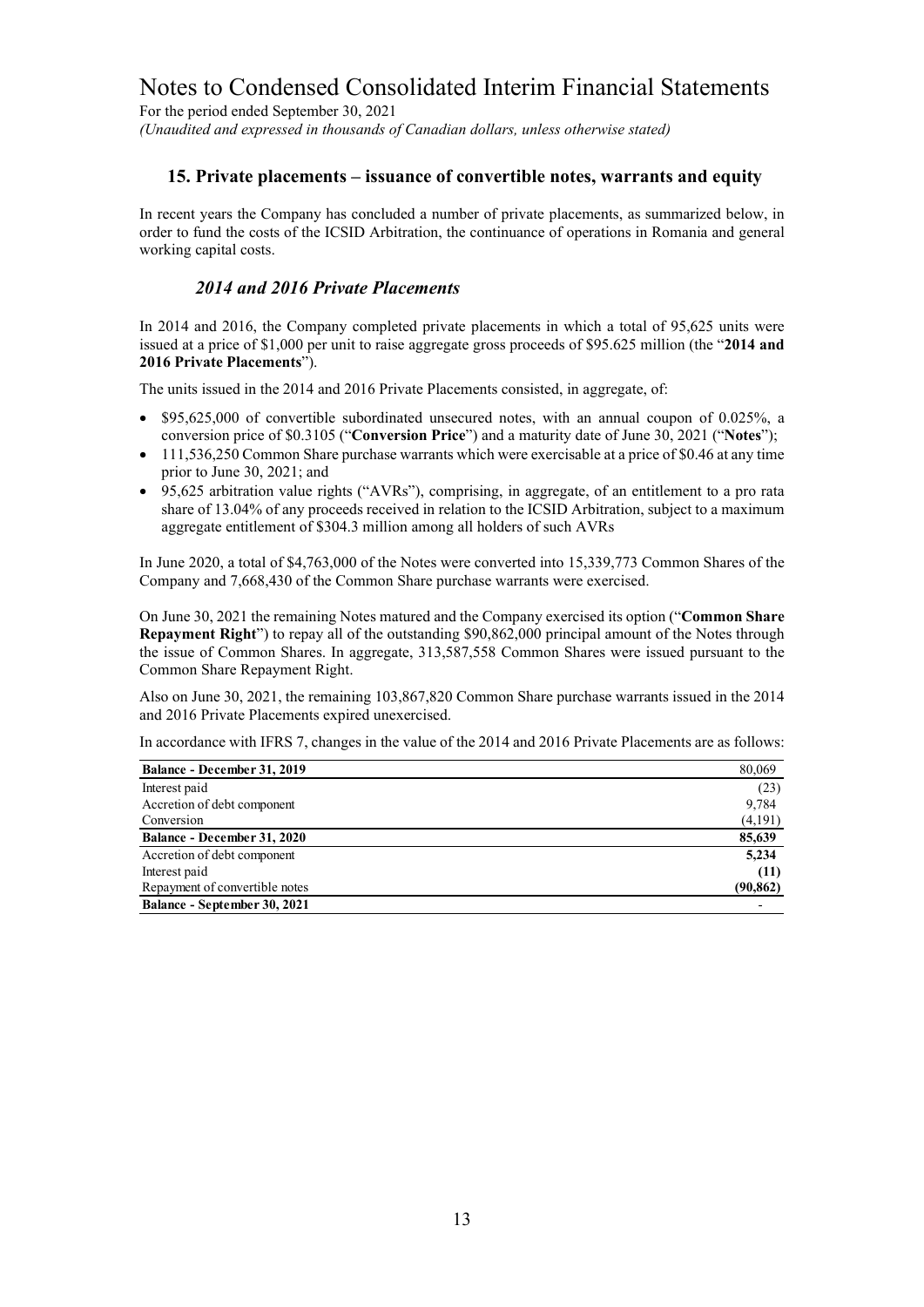For the period ended September 30, 2021 *(Unaudited and expressed in thousands of Canadian dollars, unless otherwise stated)*

### **15. Private placements – issuance of convertible notes, warrants and equity**

In recent years the Company has concluded a number of private placements, as summarized below, in order to fund the costs of the ICSID Arbitration, the continuance of operations in Romania and general working capital costs.

### *2014 and 2016 Private Placements*

In 2014 and 2016, the Company completed private placements in which a total of 95,625 units were issued at a price of \$1,000 per unit to raise aggregate gross proceeds of \$95.625 million (the "**2014 and 2016 Private Placements**").

The units issued in the 2014 and 2016 Private Placements consisted, in aggregate, of:

- \$95,625,000 of convertible subordinated unsecured notes, with an annual coupon of 0.025%, a conversion price of \$0.3105 ("**Conversion Price**") and a maturity date of June 30, 2021 ("**Notes**");
- 111,536,250 Common Share purchase warrants which were exercisable at a price of \$0.46 at any time prior to June 30, 2021; and
- 95,625 arbitration value rights ("AVRs"), comprising, in aggregate, of an entitlement to a pro rata share of 13.04% of any proceeds received in relation to the ICSID Arbitration, subject to a maximum aggregate entitlement of \$304.3 million among all holders of such AVRs

In June 2020, a total of \$4,763,000 of the Notes were converted into 15,339,773 Common Shares of the Company and 7,668,430 of the Common Share purchase warrants were exercised.

On June 30, 2021 the remaining Notes matured and the Company exercised its option ("**Common Share Repayment Right**") to repay all of the outstanding \$90,862,000 principal amount of the Notes through the issue of Common Shares. In aggregate, 313,587,558 Common Shares were issued pursuant to the Common Share Repayment Right.

Also on June 30, 2021, the remaining 103,867,820 Common Share purchase warrants issued in the 2014 and 2016 Private Placements expired unexercised.

In accordance with IFRS 7, changes in the value of the 2014 and 2016 Private Placements are as follows:

| Balance - December 31, 2019        | 80,069    |
|------------------------------------|-----------|
| Interest paid                      | (23)      |
| Accretion of debt component        | 9,784     |
| Conversion                         | (4,191)   |
| <b>Balance - December 31, 2020</b> | 85,639    |
| Accretion of debt component        | 5,234     |
| Interest paid                      | (11)      |
| Repayment of convertible notes     | (90, 862) |
| Balance - September 30, 2021       |           |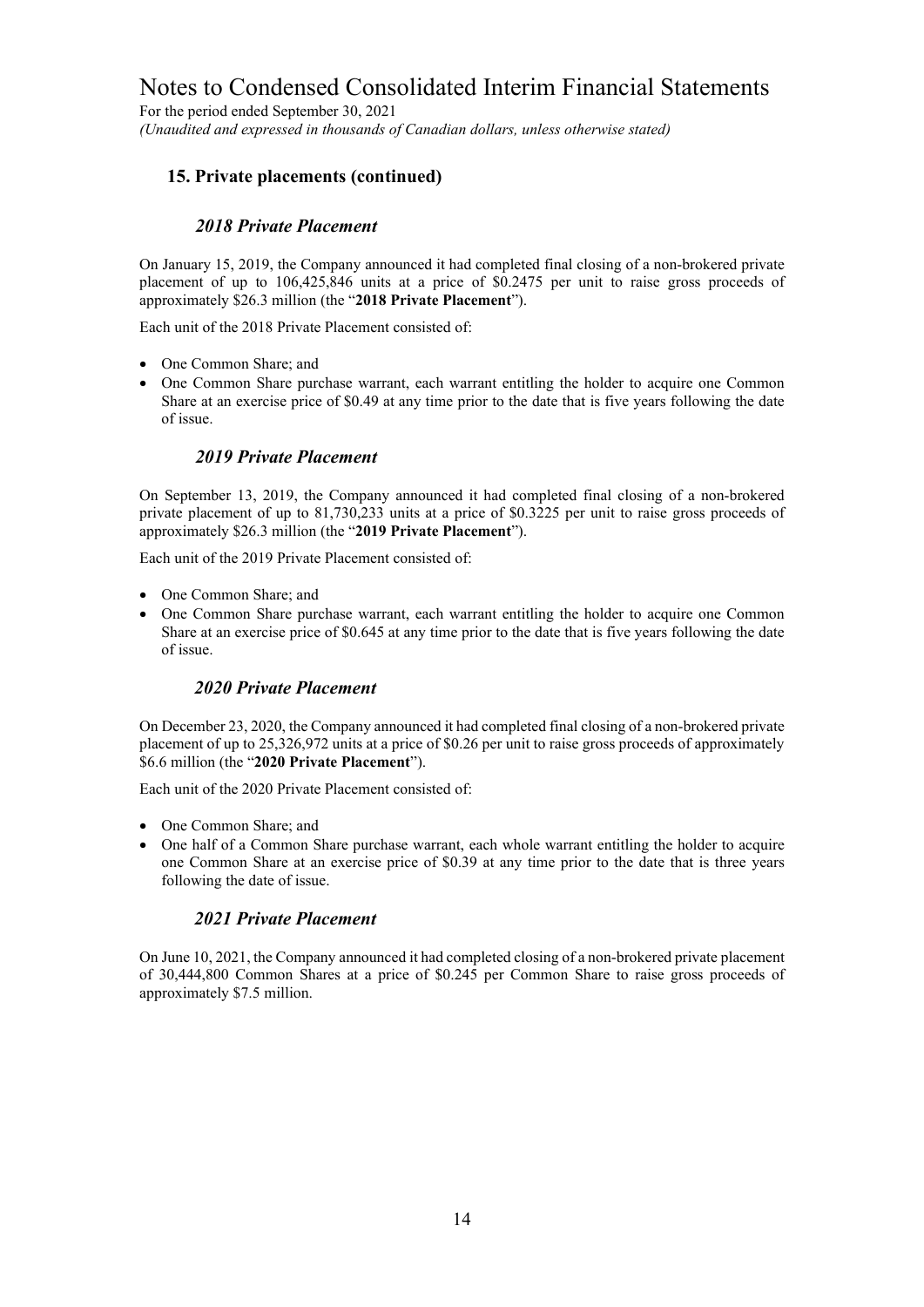For the period ended September 30, 2021 *(Unaudited and expressed in thousands of Canadian dollars, unless otherwise stated)*

### **15. Private placements (continued)**

### *2018 Private Placement*

On January 15, 2019, the Company announced it had completed final closing of a non-brokered private placement of up to 106,425,846 units at a price of \$0.2475 per unit to raise gross proceeds of approximately \$26.3 million (the "**2018 Private Placement**").

Each unit of the 2018 Private Placement consisted of:

- One Common Share; and
- One Common Share purchase warrant, each warrant entitling the holder to acquire one Common Share at an exercise price of \$0.49 at any time prior to the date that is five years following the date of issue.

### *2019 Private Placement*

On September 13, 2019, the Company announced it had completed final closing of a non-brokered private placement of up to 81,730,233 units at a price of \$0.3225 per unit to raise gross proceeds of approximately \$26.3 million (the "**2019 Private Placement**").

Each unit of the 2019 Private Placement consisted of:

- One Common Share; and
- One Common Share purchase warrant, each warrant entitling the holder to acquire one Common Share at an exercise price of \$0.645 at any time prior to the date that is five years following the date of issue.

#### *2020 Private Placement*

On December 23, 2020, the Company announced it had completed final closing of a non-brokered private placement of up to 25,326,972 units at a price of \$0.26 per unit to raise gross proceeds of approximately \$6.6 million (the "**2020 Private Placement**").

Each unit of the 2020 Private Placement consisted of:

- One Common Share: and
- One half of a Common Share purchase warrant, each whole warrant entitling the holder to acquire one Common Share at an exercise price of \$0.39 at any time prior to the date that is three years following the date of issue.

### *2021 Private Placement*

On June 10, 2021, the Company announced it had completed closing of a non-brokered private placement of 30,444,800 Common Shares at a price of \$0.245 per Common Share to raise gross proceeds of approximately \$7.5 million.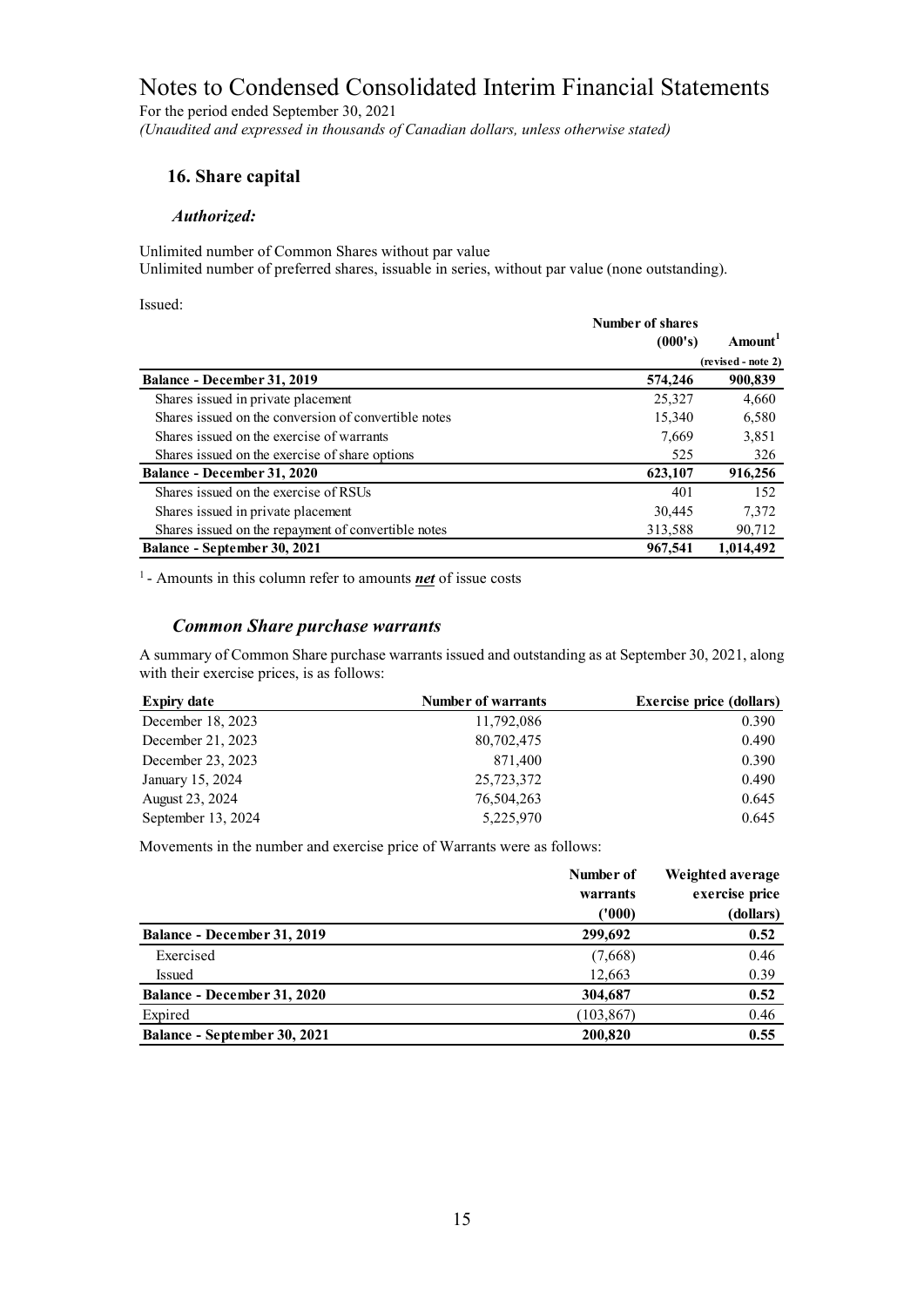For the period ended September 30, 2021 *(Unaudited and expressed in thousands of Canadian dollars, unless otherwise stated)*

### **16. Share capital**

#### *Authorized:*

Unlimited number of Common Shares without par value

Unlimited number of preferred shares, issuable in series, without par value (none outstanding).

Issued:

|                                                      | Number of shares<br>(000's) | Amount <sup>1</sup> |
|------------------------------------------------------|-----------------------------|---------------------|
|                                                      |                             | (revised - note 2)  |
| Balance - December 31, 2019                          | 574,246                     | 900,839             |
| Shares issued in private placement                   | 25,327                      | 4,660               |
| Shares issued on the conversion of convertible notes | 15,340                      | 6,580               |
| Shares issued on the exercise of warrants            | 7,669                       | 3,851               |
| Shares issued on the exercise of share options       | 525                         | 326                 |
| Balance - December 31, 2020                          | 623,107                     | 916,256             |
| Shares issued on the exercise of RSUs                | 401                         | 152                 |
| Shares issued in private placement                   | 30,445                      | 7,372               |
| Shares issued on the repayment of convertible notes  | 313,588                     | 90,712              |
| Balance - September 30, 2021                         | 967,541                     | 1,014,492           |

1 - Amounts in this column refer to amounts *net* of issue costs

### *Common Share purchase warrants*

A summary of Common Share purchase warrants issued and outstanding as at September 30, 2021, along with their exercise prices, is as follows:

| <b>Expiry date</b> | <b>Number of warrants</b> | <b>Exercise price (dollars)</b> |
|--------------------|---------------------------|---------------------------------|
| December 18, 2023  | 11,792,086                | 0.390                           |
| December 21, 2023  | 80,702,475                | 0.490                           |
| December 23, 2023  | 871,400                   | 0.390                           |
| January 15, 2024   | 25,723,372                | 0.490                           |
| August 23, 2024    | 76,504,263                | 0.645                           |
| September 13, 2024 | 5,225,970                 | 0.645                           |

Movements in the number and exercise price of Warrants were as follows:

|                              | Number of<br>warrants | Weighted average<br>exercise price |
|------------------------------|-----------------------|------------------------------------|
|                              | (1000)                | (dollars)                          |
| Balance - December 31, 2019  | 299,692               | 0.52                               |
| Exercised                    | (7,668)               | 0.46                               |
| Issued                       | 12,663                | 0.39                               |
| Balance - December 31, 2020  | 304,687               | 0.52                               |
| Expired                      | (103, 867)            | 0.46                               |
| Balance - September 30, 2021 | 200,820               | 0.55                               |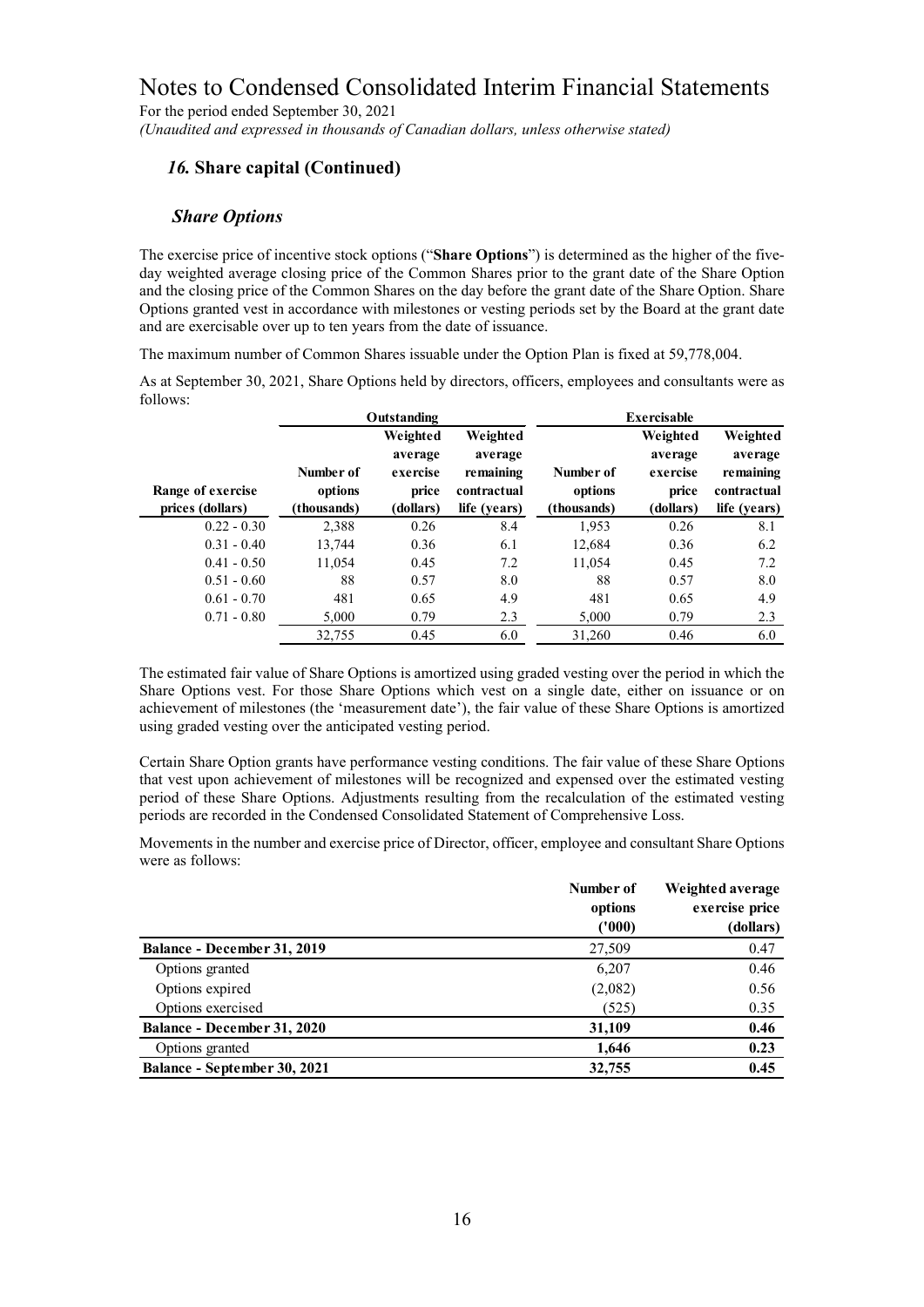For the period ended September 30, 2021 *(Unaudited and expressed in thousands of Canadian dollars, unless otherwise stated)*

# *16.* **Share capital (Continued)**

#### *Share Options*

The exercise price of incentive stock options ("**Share Options**") is determined as the higher of the fiveday weighted average closing price of the Common Shares prior to the grant date of the Share Option and the closing price of the Common Shares on the day before the grant date of the Share Option. Share Options granted vest in accordance with milestones or vesting periods set by the Board at the grant date and are exercisable over up to ten years from the date of issuance.

The maximum number of Common Shares issuable under the Option Plan is fixed at 59,778,004.

As at September 30, 2021, Share Options held by directors, officers, employees and consultants were as follows:

|                   |             | Outstanding                     |                                  |             | <b>Exercisable</b>              |                                  |
|-------------------|-------------|---------------------------------|----------------------------------|-------------|---------------------------------|----------------------------------|
|                   | Number of   | Weighted<br>average<br>exercise | Weighted<br>average<br>remaining | Number of   | Weighted<br>average<br>exercise | Weighted<br>average<br>remaining |
| Range of exercise | options     | price                           | contractual                      | options     | price                           | contractual                      |
| prices (dollars)  | (thousands) | (dollars)                       | life (years)                     | (thousands) | (dollars)                       | life (vears)                     |
| $0.22 - 0.30$     | 2,388       | 0.26                            | 8.4                              | 1,953       | 0.26                            | 8.1                              |
| $0.31 - 0.40$     | 13,744      | 0.36                            | 6.1                              | 12,684      | 0.36                            | 6.2                              |
| $0.41 - 0.50$     | 11,054      | 0.45                            | 7.2                              | 11,054      | 0.45                            | 7.2                              |
| $0.51 - 0.60$     | 88          | 0.57                            | 8.0                              | 88          | 0.57                            | 8.0                              |
| $0.61 - 0.70$     | 481         | 0.65                            | 4.9                              | 481         | 0.65                            | 4.9                              |
| $0.71 - 0.80$     | 5.000       | 0.79                            | 2.3                              | 5,000       | 0.79                            | 2.3                              |
|                   | 32,755      | 0.45                            | 6.0                              | 31,260      | 0.46                            | 6.0                              |

The estimated fair value of Share Options is amortized using graded vesting over the period in which the Share Options vest. For those Share Options which vest on a single date, either on issuance or on achievement of milestones (the 'measurement date'), the fair value of these Share Options is amortized using graded vesting over the anticipated vesting period.

Certain Share Option grants have performance vesting conditions. The fair value of these Share Options that vest upon achievement of milestones will be recognized and expensed over the estimated vesting period of these Share Options. Adjustments resulting from the recalculation of the estimated vesting periods are recorded in the Condensed Consolidated Statement of Comprehensive Loss.

Movements in the number and exercise price of Director, officer, employee and consultant Share Options were as follows:

|                              | Number of<br>options | Weighted average<br>exercise price |  |  |
|------------------------------|----------------------|------------------------------------|--|--|
|                              | (1000)               | (dollars)                          |  |  |
| Balance - December 31, 2019  | 27,509               | 0.47                               |  |  |
| Options granted              | 6.207                | 0.46                               |  |  |
| Options expired              | (2,082)              | 0.56                               |  |  |
| Options exercised            | (525)                | 0.35                               |  |  |
| Balance - December 31, 2020  | 31,109               | 0.46                               |  |  |
| Options granted              | 1,646                | 0.23                               |  |  |
| Balance - September 30, 2021 | 32,755               | 0.45                               |  |  |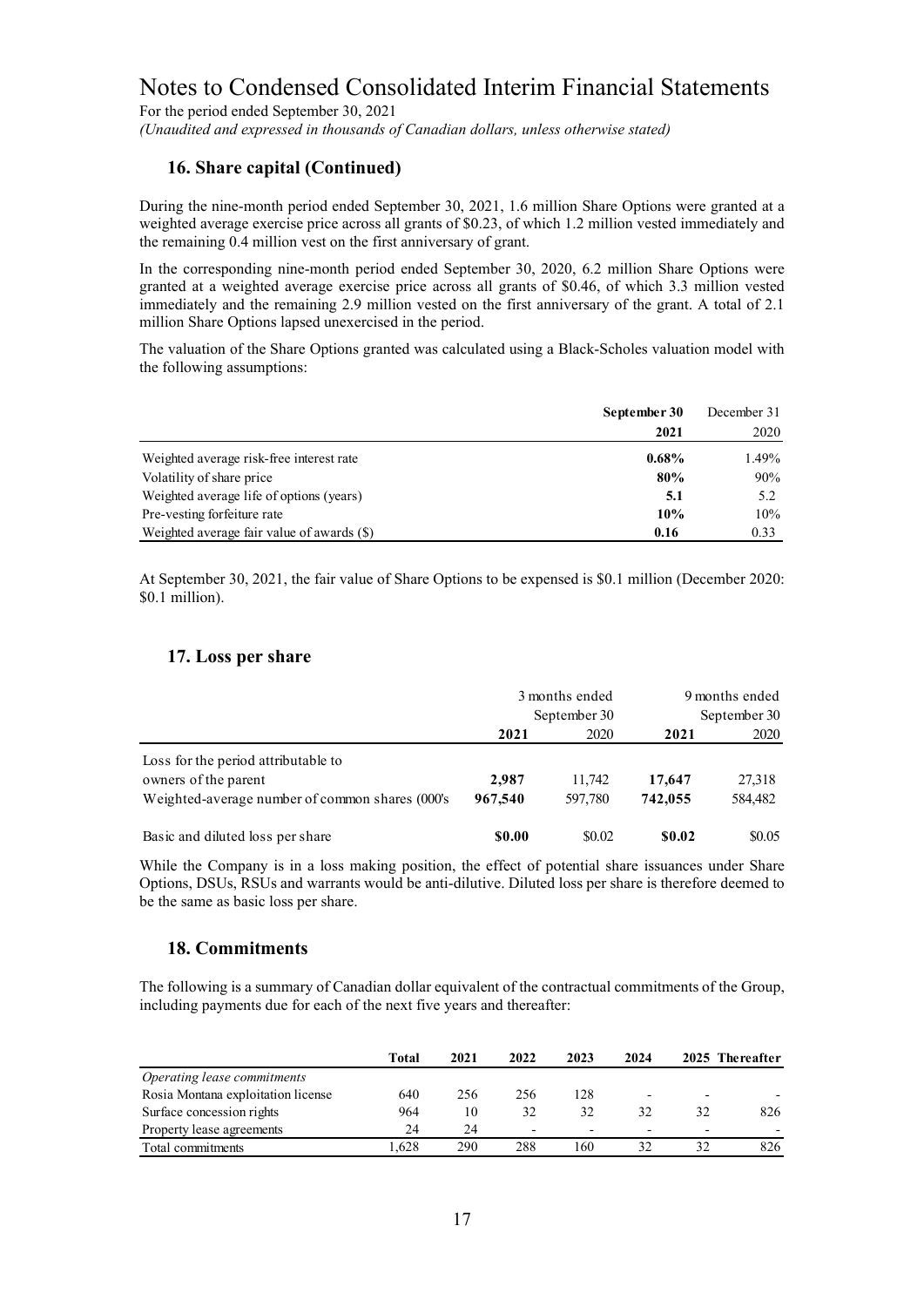For the period ended September 30, 2021 *(Unaudited and expressed in thousands of Canadian dollars, unless otherwise stated)*

### **16. Share capital (Continued)**

During the nine-month period ended September 30, 2021, 1.6 million Share Options were granted at a weighted average exercise price across all grants of \$0.23, of which 1.2 million vested immediately and the remaining 0.4 million vest on the first anniversary of grant.

In the corresponding nine-month period ended September 30, 2020, 6.2 million Share Options were granted at a weighted average exercise price across all grants of \$0.46, of which 3.3 million vested immediately and the remaining 2.9 million vested on the first anniversary of the grant. A total of 2.1 million Share Options lapsed unexercised in the period.

The valuation of the Share Options granted was calculated using a Black-Scholes valuation model with the following assumptions:

|                                            | September 30 | December 31 |
|--------------------------------------------|--------------|-------------|
|                                            | 2021         | 2020        |
| Weighted average risk-free interest rate   | $0.68\%$     | 1.49%       |
| Volatility of share price                  | 80%          | 90%         |
| Weighted average life of options (years)   | 5.1          | 5.2         |
| Pre-vesting forfeiture rate                | 10%          | 10%         |
| Weighted average fair value of awards (\$) | 0.16         | 0.33        |

At September 30, 2021, the fair value of Share Options to be expensed is \$0.1 million (December 2020: \$0.1 million).

## **17. Loss per share**

|                                                                                                                | 3 months ended<br>September 30 |                   | 9 months ended<br>September 30 |                   |  |
|----------------------------------------------------------------------------------------------------------------|--------------------------------|-------------------|--------------------------------|-------------------|--|
|                                                                                                                | 2021                           | 2020              | 2021                           | 2020              |  |
| Loss for the period attributable to<br>owners of the parent<br>Weighted-average number of common shares (000's | 2,987<br>967,540               | 11,742<br>597,780 | 17,647<br>742,055              | 27,318<br>584,482 |  |
| Basic and diluted loss per share                                                                               | <b>SO.00</b>                   | \$0.02            | \$0.02                         | \$0.05            |  |

While the Company is in a loss making position, the effect of potential share issuances under Share Options, DSUs, RSUs and warrants would be anti-dilutive. Diluted loss per share is therefore deemed to be the same as basic loss per share.

# **18. Commitments**

The following is a summary of Canadian dollar equivalent of the contractual commitments of the Group, including payments due for each of the next five years and thereafter:

|                                    | Total | 2021 | 2022                     | 2023                     | 2024 |                          | 2025 Thereafter |
|------------------------------------|-------|------|--------------------------|--------------------------|------|--------------------------|-----------------|
| Operating lease commitments        |       |      |                          |                          |      |                          |                 |
| Rosia Montana exploitation license | 640   | 256  | 256                      | 128                      |      |                          |                 |
| Surface concession rights          | 964   | 10   | 32                       | 32                       | 32   | 32                       | 826             |
| Property lease agreements          | 24    | 24   | $\overline{\phantom{0}}$ | $\overline{\phantom{0}}$ | -    | $\overline{\phantom{0}}$ |                 |
| Total commitments                  | .628  | 290  | 288                      | 160                      | 32   |                          | 826             |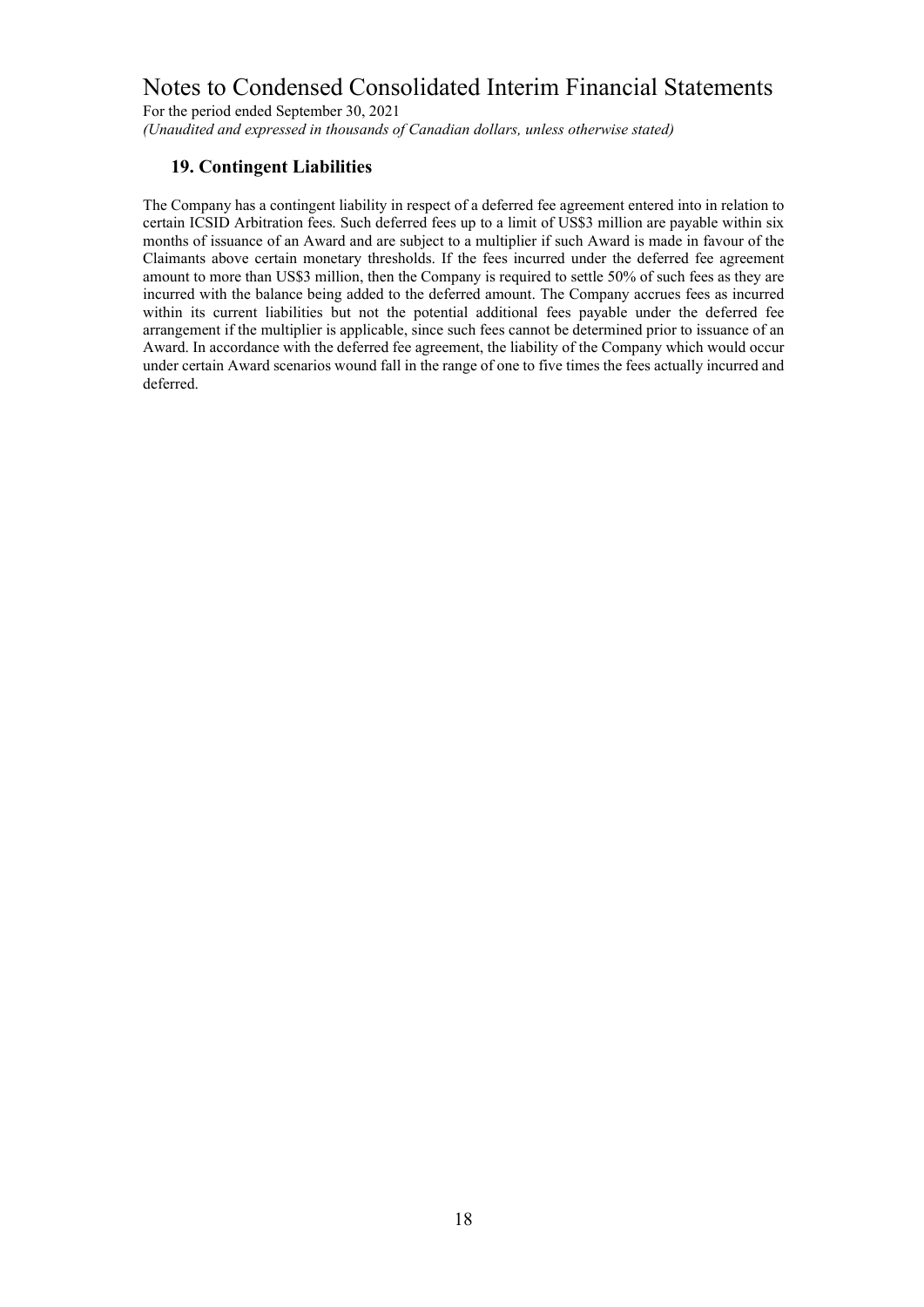For the period ended September 30, 2021 *(Unaudited and expressed in thousands of Canadian dollars, unless otherwise stated)*

## **19. Contingent Liabilities**

The Company has a contingent liability in respect of a deferred fee agreement entered into in relation to certain ICSID Arbitration fees. Such deferred fees up to a limit of US\$3 million are payable within six months of issuance of an Award and are subject to a multiplier if such Award is made in favour of the Claimants above certain monetary thresholds. If the fees incurred under the deferred fee agreement amount to more than US\$3 million, then the Company is required to settle 50% of such fees as they are incurred with the balance being added to the deferred amount. The Company accrues fees as incurred within its current liabilities but not the potential additional fees payable under the deferred fee arrangement if the multiplier is applicable, since such fees cannot be determined prior to issuance of an Award. In accordance with the deferred fee agreement, the liability of the Company which would occur under certain Award scenarios wound fall in the range of one to five times the fees actually incurred and deferred.